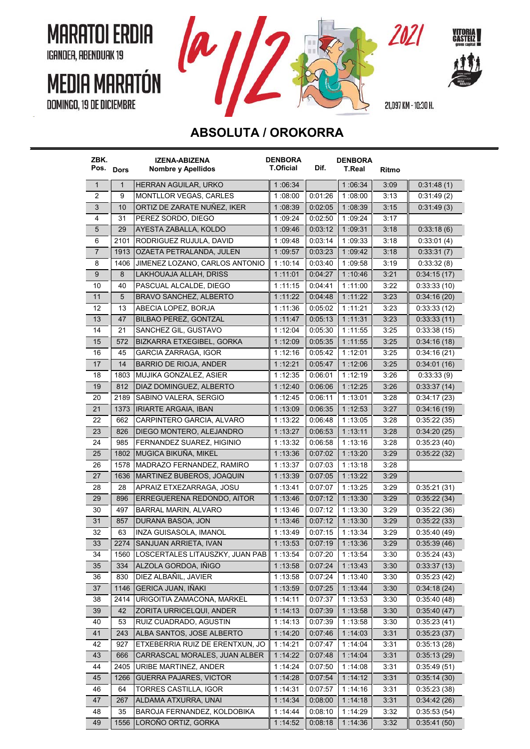**MARATOI ERDIA** IGANDEA, ABENDUAK 19

## **MEDIA MARATÓN DOMINGO, 19 DE DICIEMBRE**





21,097 KM - 10:30 H.

ZOZI

## **ABSOLUTA / OROKORRA**

| ZBK.<br>Pos. Dors |              | IZENA-ABIZENA<br>Nombre y Apellidos             | <b>DENBORA</b><br><b>T.Oficial</b> | Dif.               | <b>DENBORA</b><br><b>T.Real</b> | Ritmo        |                            |
|-------------------|--------------|-------------------------------------------------|------------------------------------|--------------------|---------------------------------|--------------|----------------------------|
| $\mathbf{1}$      | $\mathbf{1}$ | HERRAN AGUILAR, URKO                            | 1:06:34                            |                    | 1 :06:34                        | 3:09         | 0.31.48(1)                 |
| 2                 | 9            | MONTLLOR VEGAS, CARLES                          | 1:08:00                            | 0:01:26            | 1 08:00                         | 3:13         | 0.31.49(2)                 |
| 3                 | 10           | ORTIZ DE ZARATE NUÑEZ, IKER                     | 1:08:39                            | 0:02:05            | 1 08:39                         | 3:15         | 0.31:49(3)                 |
| 4                 | 31           | PEREZ SORDO, DIEGO                              | 1:09:24                            | 0:02:50            | 1 09:24                         | 3:17         |                            |
| $\sqrt{5}$        | 29           | AYESTA ZABALLA, KOLDO                           | 1:09:46                            | 0.03.12            | 1:09:31                         | 3:18         | 0.33.18(6)                 |
| 6                 | 2101         | RODRIGUEZ RUJULA, DAVID                         | 1:09:48                            | 0.03.14            | 1:09:33                         | 3:18         | 0.33.01(4)                 |
| 7                 | 1913         | OZAETA PETRALANDA, JULEN                        | 1:09:57                            | 0.03.23            | 1:09.42                         | 3:18         | 0:33:31(7)                 |
| 8                 | 1406         | JIMENEZ LOZANO, CARLOS ANTONIO                  | 1:10:14                            | 0:03:40            | 1:09:58                         | 3:19         | 0.33.32(8)                 |
| 9                 | 8            | LAKHOUAJA ALLAH, DRISS                          | 1:11:01                            | 0.04.27            | 1 10:46                         | 3:21         | 0.34:15(17)                |
| 10                | 40           | PASCUAL ALCALDE, DIEGO                          | 1:11:15                            | 0:04:41            | 1:11:00                         | 3:22         | 0.33:33(10)                |
| 11                | 5            | BRAVO SANCHEZ, ALBERTO                          | 1:11:22                            | 0.04.48            | 1:11:22                         | 3:23         | 0:34:16(20)                |
| 12                | 13           | ABECIA LOPEZ, BORJA                             | 1:11:36                            | 0.05.02            | 1:11:21                         | 3:23         | 0.33.33(12)                |
| 13                | 47           | BILBAO PEREZ, GONTZAL                           | 1:11.47                            | 0:05:13            | 1:11:31                         | 3:23         | 0.33:33(11)                |
| 14                | 21           | SANCHEZ GIL, GUSTAVO                            | 1:12:04                            | 0:05:30            | 1:11:55                         | 3:25         | 0:33:38(15)                |
| 15                | 572          | BIZKARRA ETXEGIBEL, GORKA                       | 1:12.09                            | 0:05:35            | 1:11.55                         | 3:25         | 0.34:16(18)                |
| 16                | 45           | GARCIA ZARRAGA, IGOR                            | 1:12:16                            | 0.05:42            | 1:12.01                         | 3:25         | 0.34:16(21)                |
| 17                | 14           | BARRIO DE RIOJA, ANDER                          | 1:12:21                            | 0.05.47            | 1:12:06                         | 3:25         | 0.34.01(16)                |
| 18                | 1803         | MUJIKA GONZALEZ, ASIER                          | 1:12:35                            | 0:06:01            | 1:12:19                         | 3:26         | 0:33:33(9)                 |
| 19                | 812          | DIAZ DOMINGUEZ, ALBERTO                         | 1:12:40                            | 0.06.06            | 1:12:25                         | 3:26         | 0.33.37(14)                |
| 20                | 2189         | SABINO VALERA, SERGIO                           | 1:12:45                            | 0:06:11            | 1:13:01                         | 3:28         | 0.34:17(23)                |
| 21                | 1373         | <b>IRIARTE ARGAIA, IBAN</b>                     | 1:13:09                            | 0:06:35            | 1 12:53                         | 3:27         | 0.34:16(19)                |
| 22                | 662          | CARPINTERO GARCIA, ALVARO                       | 1:13:22                            | 0.06.48            | 1:13:05                         | 3:28         | 0:35:22(35)                |
| 23                | 826          | DIEGO MONTERO, ALEJANDRO                        | 1:13.27                            | 0:06:53            | 1:13:11                         | 3:28         | 0.34:20(25)                |
| 24                | 985          | FERNANDEZ SUAREZ, HIGINIO                       | 1:13:32                            | 0.06.58            | 1:13:16                         | 3:28         | 0.35:23(40)                |
| 25                | 1802         | MUGICA BIKUÑA, MIKEL                            | 1 13:36                            | 0.07.02            | 1:13:20                         | 3:29         | 0.35:22(32)                |
| 26                | 1578         | MADRAZO FERNANDEZ, RAMIRO                       | 1:13:37                            | 0.07:03            | 1:13:18                         | 3:28         |                            |
| 27                | 1636         | MARTINEZ BUBEROS, JOAQUIN                       | 1:13:39                            | 0.07:05            | 1:13:22                         | 3:29         |                            |
| 28                | 28           | APRAIZ ETXEZARRAGA, JOSU                        | 1:13:41                            | 0.07:07            | 1:13:25                         | 3:29         | 0:35:21(31)                |
| 29                | 896          | ERREGUERENA REDONDO, AITOR                      | 1:13:46                            | 0.07.12            | 1:13:30                         | 3:29         | 0.35:22(34)                |
| 30                | 497          | BARRAL MARIN, ALVARO                            | 1:13:46                            | 0.07.12            | 1:13:30                         | 3:29         | 0.35:22(36)                |
| 31                | 857          | DURANA BASOA, JON                               | 1:13:46                            | 0.07.12            | 1:13:30                         | 3:29         | 0:35:22(33)                |
| 32                | 63           | <b>INZA GUISASOLA. IMANOL</b>                   | 1 13:49                            | 0.07:15            | 1:13:34                         | 3:29         | 0:35:40(49)                |
| 33                | 2274         | SANJUAN ARRIETA, IVAN                           | 1:13:53                            | 0:07:19            | 1 13 36                         | 3:29         | 0.35.39(46)                |
| 34                | 1560         | LOSCERTALES LITAUSZKY, JUAN PAB                 | 1:13:54                            | 0:07:20            | 1:13:54                         | 3:30         | 0:35:24(43)                |
| 35                | 334          | ALZOLA GORDOA, IÑIGO                            | 1:13:58                            | 0.07:24            | 1 13 43                         | 3:30         | 0.33:37(13)                |
| 36                | 830          | DIEZ ALBANIL, JAVIER                            | 1:13:58                            | 0.07:24            | 1:13:40                         | 3:30         | 0.35:23(42)                |
| 37                | 1146         | <b>GERICA JUAN, IÑAKI</b>                       | 1:13:59                            | 0.07:25            | 1:13:44                         | 3:30         | 0.34.18(24)                |
| 38                | 2414         | URIGOITIA ZAMACONA, MARKEL                      | 1:14:11                            | 0:07:37            | 1:13:53                         | 3:30         | 0.35.40(48)                |
| 39                | 42           | ZORITA URRICELQUI, ANDER                        | 1.14.13                            | 0.07.39            | 1:13:58                         | 3:30         | 0.35:40(47)                |
| 40                | 53           | RUIZ CUADRADO, AGUSTIN                          | 1:14:13                            | 0:07:39            | 1:13:58                         | 3:30         | 0.35:23(41)                |
| 41                | 243          | ALBA SANTOS, JOSE ALBERTO                       | 1:14:20                            | 0.07.46            | 1:14:03                         | 3:31         | 0:35:23(37)                |
| 42                | 927          | ETXEBERRIA RUIZ DE ERENTXUN, JO                 | 1:14:21                            | 0:07:47            | 1:14.04                         | 3:31         | 0.35:13(28)                |
| 43                | 666          | CARRASCAL MORALES, JUAN ALBER                   | 1:14.22                            | 0.07:48            | 1:14.04                         | 3:31         | 0.35:13(29)                |
| 44                | 2405         | URIBE MARTINEZ, ANDER                           | 1:14.24                            | 0.07.50            | 1:14.08                         | 3:31         | 0.35.49(51)                |
| 45                | 1266         |                                                 |                                    |                    |                                 |              |                            |
| 46                | 64           | GUERRA PAJARES, VICTOR<br>TORRES CASTILLA, IGOR | 1 14 28<br>1:14:31                 | 0.07:54<br>0:07:57 | 1:14:12                         | 3:31<br>3:31 | 0.35:14(30)                |
| 47                | 267          | ALDAMA ATXURRA, UNAI                            | 1 14:34                            | 0.08.00            | 1 :14:16                        | 3:31         | 0.35.23(38)                |
| 48                | 35           | BAROJA FERNANDEZ, KOLDOBIKA                     | 1:14:44                            | 0:08:10            | 1:14:18<br>1:14.29              | 3:32         | 0.34.42(26)<br>0.35.53(54) |
| 49                | 1556         | LOROÑO ORTIZ, GORKA                             | 1:14:52                            | 0:08:18            | 1:14:36                         | 3:32         | 0.35:41(50)                |
|                   |              |                                                 |                                    |                    |                                 |              |                            |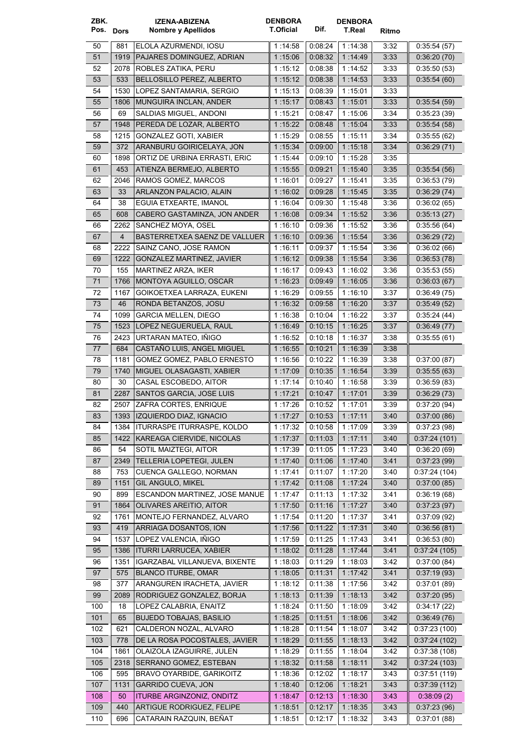| ZBK.<br>Pos. Dors |                | <b>IZENA-ABIZENA</b><br>Nombre y Apellidos                 | <b>DENBORA</b><br><b>T.Oficial</b> | Dif.               | <b>DENBORA</b><br>T.Real |              |                              |
|-------------------|----------------|------------------------------------------------------------|------------------------------------|--------------------|--------------------------|--------------|------------------------------|
|                   |                |                                                            |                                    |                    |                          | Ritmo        |                              |
| 50                | 881            | ELOLA AZURMENDI, IOSU                                      | 1:14:58                            | 0.08.24            | 1:14:38                  | 3:32         | 0.35.54(57)                  |
| 51                | 1919           | PAJARES DOMINGUEZ, ADRIAN                                  | 1:15.06                            | 0.08.32            | 1:14:49                  | 3:33         | 0.36:20(70)                  |
| 52                | 2078           | ROBLES ZATIKA, PERU                                        | 1:15:12                            | 0:08:38            | 1:14:52                  | 3:33         | 0:35:50(53)                  |
| 53                | 533            | BELLOSILLO PEREZ, ALBERTO                                  | 1:15:12                            | 0:08:38            | 1:14:53                  | 3:33         | 0.35.54(60)                  |
| 54                | 1530           | LOPEZ SANTAMARIA, SERGIO                                   | 1:15:13                            | 0:08:39            | 1:15:01                  | 3:33         |                              |
| 55                | 1806           | MUNGUIRA INCLAN, ANDER                                     | 1:15:17                            | 0.08:43            | 1:15:01                  | 3:33         | 0.35:54(59)                  |
| 56                | 69             | SALDIAS MIGUEL, ANDONI                                     | 1:15:21                            | 0:08:47            | 1:15:06                  | 3:34         | 0.35:23(39)                  |
| 57                | 1948           | PEREDA DE LOZAR, ALBERTO                                   | 1:15:22                            | 0.08.48            | 1:15:04                  | 3:33         | 0.35.54(58)                  |
| 58                | 1215           | <b>GONZALEZ GOTI. XABIER</b>                               | 1.15:29                            | 0:08:55            | 1:15:11                  | 3:34         | 0.35:55(62)                  |
| 59                | 372            | ARANBURU GOIRICELAYA, JON<br>ORTIZ DE URBINA ERRASTI, ERIC | 1:15:34                            | 0.09:00            | 1 15:18                  | 3:34         | 0:36:29(71)                  |
| 60                | 1898<br>453    | ATIENZA BERMEJO, ALBERTO                                   | 1 15:44                            | 0.09:10<br>0.09.21 | 1:15:28<br>1:15.40       | 3:35         | 0:35:54(56)                  |
| 61<br>62          | 2046           | RAMOS GOMEZ, MARCOS                                        | 1:15:55<br>1:16:01                 | 0:09:27            | 1:15:41                  | 3:35<br>3:35 | 0.36.53(79)                  |
| 63                | 33             | ARLANZON PALACIO, ALAIN                                    | 1:16.02                            | 0:09:28            | 1:15:45                  | 3:35         | 0.36:29(74)                  |
| 64                | 38             | EGUIA ETXEARTE, IMANOL                                     | 1:16:04                            | 0.09.30            | 1:15.48                  | 3:36         | 0.36:02(65)                  |
| 65                | 608            | CABERO GASTAMINZA, JON ANDER                               | 1:16.08                            | 0.09:34            | 1:15:52                  | 3:36         | 0.35:13(27)                  |
| 66                | 2262           | SANCHEZ MOYA, OSEL                                         | 1:16:10                            | 0:09:36            | 1:15:52                  | 3:36         | 0.35.56(64)                  |
| 67                | $\overline{4}$ | BASTERRETXEA SAENZ DE VALLUER                              | 1:16:10                            | 0.09.36            | 1:15:54                  | 3:36         | 0.36:29(72)                  |
| 68                | 2222           | SAINZ CANO, JOSE RAMON                                     | 1:16:11                            | 0:09:37            | 1:15:54                  | 3:36         | 0.36:02(66)                  |
| 69                | 1222           | <b>GONZALEZ MARTINEZ, JAVIER</b>                           | 1:16:12                            | 0:09:38            | 1:15:54                  | 3:36         | 0.36:53(78)                  |
| 70                | 155            | MARTINEZ ARZA, IKER                                        | 1:16:17                            | 0:09:43            | 1:16:02                  | 3:36         | 0.35:53(55)                  |
| 71                | 1766           | MONTOYA AGUILLO, OSCAR                                     | 1:16:23                            | 0.09:49            | 1:16.05                  | 3:36         | 0.36.03(67)                  |
| 72                | 1167           | GOIKOETXEA LARRAZA, EUKENI                                 | 1:16:29                            | 0:09:55            | 1:16:10                  | 3:37         | 0:36:49(75)                  |
| 73                | 46             | RONDA BETANZOS, JOSU                                       | 1:16:32                            | 0.09:58            | 1:16:20                  | 3:37         | 0.35.49(52)                  |
| 74                | 1099           | <b>GARCIA MELLEN, DIEGO</b>                                | 1:16:38                            | 0:10:04            | 1:16:22                  | 3:37         | 0.35:24(44)                  |
| 75                | 1523           | LOPEZ NEGUERUELA, RAUL                                     | 1:16.49                            | 0.10:15            | 1:16.25                  | 3:37         | 0.36.49(77)                  |
| 76                | 2423           | URTARAN MATEO, IÑIGO                                       | 1:16:52                            | 0:10:18            | 1:16:37                  | 3:38         | 0.35:55(61)                  |
| 77                | 684            | CASTAÑO LUIS, ANGEL MIGUEL                                 | 1:16:55                            | 0.10.21            | 1:16:39                  | 3:38         |                              |
| 78                | 1181           | GOMEZ GOMEZ, PABLO ERNESTO                                 | 1 16:56                            | 0:10:22            | 1:16:39                  | 3:38         | 0.37:00(87)                  |
| 79                | 1740           | MIGUEL OLASAGASTI, XABIER                                  | 1:17:09                            | 0.10.35            | 1:16.54                  | 3:39         | 0.35.55(63)                  |
| 80                | 30             | CASAL ESCOBEDO, AITOR                                      | 1:17:14                            | 0:10:40            | 1:16:58                  | 3:39         | 0.36.59(83)                  |
| 81                | 2287           | SANTOS GARCIA, JOSE LUIS                                   | 1:17:21                            | 0.10.47            | 1:17:01                  | 3:39         | 0:36:29(73)                  |
| 82                | 2507           | ZAFRA CORTES, ENRIQUE                                      | 1:17:26                            | 0:10:52            | 1:17:01                  | 3:39         | 0.37:20(94)                  |
| 83                |                | 1393   IZQUIERDO DIAZ, IGNACIO                             | 1:17:27                            | 0:10:53            | 1:17:11                  | 3:40         | 0.37:00(86)                  |
| 84                |                | 1384   ITURRASPE ITURRASPE, KOLDO                          | 1:17:32                            | 0:10:58            | 1:17:09                  | 3:39         | 0.37:23(98)                  |
| 85                | 1422           | KAREAGA CIERVIDE, NICOLAS                                  | 1:17:37                            | 0:11:03            | 1:17:11                  | 3:40         | 0.37:24(101)                 |
| 86                | 54             | SOTIL MAIZTEGI, AITOR                                      | 1 :17:39                           | 0:11:05            | 1:17.23                  | 3:40         | 0.36:20(69)                  |
| 87                | 2349           | TELLERIA LOPETEGI, JULEN                                   | 1:17.40                            | 0.11.06            | 1:17:40                  | 3.41         | 0.37:23(99)                  |
| 88                | 753            | CUENCA GALLEGO, NORMAN                                     | 1:17:41                            | 0:11:07            | 1:17:20                  | 3:40         | 0.37:24(104)                 |
| 89                | 1151           | <b>GIL ANGULO, MIKEL</b>                                   | 1:17.42                            | 0.11.08            | 1:17:24                  | 3:40         | 0.37:00(85)                  |
| 90                | 899            | ESCANDON MARTINEZ, JOSE MANUE                              | 1:17:47                            | 0.11.13            | 1:17:32                  | 3:41         | 0.36:19(68)                  |
| 91                | 1864           | OLIVARES AREITIO, AITOR                                    | 1:17:50                            | 0:11:16            | 1:17.27                  | 3:40         | 0:37:23(97)                  |
| 92                | 1761           | MONTEJO FERNANDEZ, ALVARO                                  | 1:17:54                            | 0:11:20            | 1:17:37                  | 3:41         | 0.37:09(92)                  |
| 93                | 419            | ARRIAGA DOSANTOS, ION                                      | 1:17:56                            | 0.11.22            | 1 17:31                  | 3:40         | 0.36.56(81)                  |
| 94                | 1537           | LOPEZ VALENCIA, IÑIGO                                      | 1:17:59                            | 0.11.25            | 1:17:43                  | 3:41         | 0.36.53(80)                  |
| 95                |                | 1386   ITURRI LARRUCEA, XABIER                             | 1:18.02                            | 0:11:28            | 1:17.44                  | 3:41         | 0.37:24(105)                 |
| 96                | 1351           | IGARZABAL VILLANUEVA, BIXENTE                              | 1:18.03                            | 0:11:29            | 1:18:03                  | 3:42         | 0.37:00(84)                  |
| 97                | 575            | <b>BLANCO ITURBE, OMAR</b>                                 | 1:18.05                            | 0.11.31            | 1:17:42                  | 3.41         | 0.37:19(93)                  |
| 98                | 377            | ARANGUREN IRACHETA, JAVIER                                 | 1:18:12                            | 0:11:38            | 1:17:56                  | 3:42         | 0.37:01(89)                  |
| 99                | 2089           | RODRIGUEZ GONZALEZ, BORJA                                  | 1:18:13                            | 0:11:39            | 1:18:13                  | 3:42         | 0.37:20(95)                  |
| 100               | 18             | LOPEZ CALABRIA, ENAITZ                                     | 1:18.24                            | 0:11:50            | 1:18.09                  | 3:42         | 0.34:17(22)                  |
| 101               | 65             | <b>BUJEDO TOBAJAS, BASILIO</b>                             | 1:18:25                            | 0:11:51            | 1:18:06                  | 3:42         | 0.36.49(76)                  |
| 102               | 621            | CALDERON NOZAL, ALVARO                                     | 1:18.28                            | 0:11:54            | 1:18.07                  | 3:42         | 0:37:23(100)                 |
| 103               | 778            | DE LA ROSA POCOSTALES, JAVIER                              | 1:18.29                            | 0:11:55            | 1:18:13                  | 3:42         | 0.37:24(102)                 |
| 104<br>105        | 1861<br>2318   | OLAIZOLA IZAGUIRRE, JULEN<br>SERRANO GOMEZ, ESTEBAN        | 1:18:29<br>1:18:32                 | 0:11:55<br>0:11:58 | 1:18:04<br>1:18:11       | 3:42<br>3:42 | 0.37:38(108)<br>0.37:24(103) |
| 106               | 595            | BRAVO OYARBIDE, GARIKOITZ                                  | 1:18.36                            | 0:12:02            | 1:18.17                  | 3:43         | 0.37:51(119)                 |
| 107               | 1131           | <b>GARRIDO CUEVA, JON</b>                                  | 1:18:40                            | 0.12.06            | 1:18:21                  | 3:43         | 0.37:39(112)                 |
| 108               | 50             | <b>ITURBE ARGINZONIZ, ONDITZ</b>                           | 1:18.47                            | 0.12:13            | 1:18:30                  | 3:43         | 0.38.09(2)                   |
| 109               | 440            | ARTIGUE RODRIGUEZ, FELIPE                                  | 1:18:51                            | 0.12.17            | 1:18:35                  | 3:43         | 0.37:23(96)                  |
| 110               | 696            | CATARAIN RAZQUIN, BEÑAT                                    | 1:18:51                            | 0:12:17            | 1:18:32                  | 3:43         | 0:37:01(88)                  |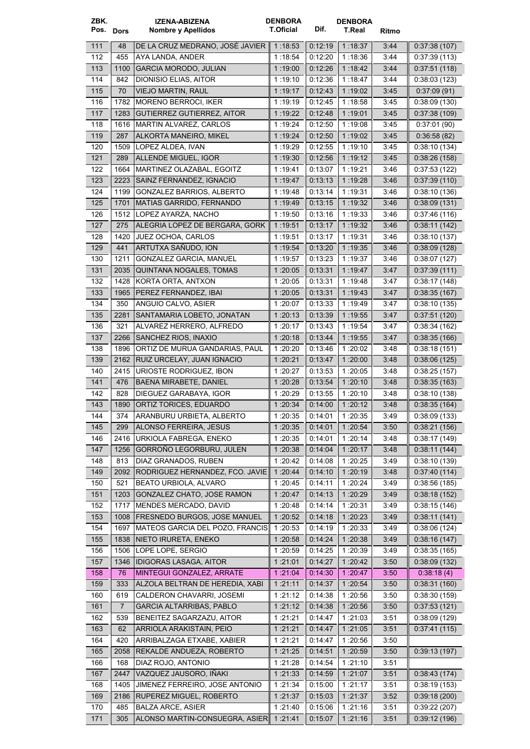| ZBK.<br>Pos. Dors |                | IZENA-ABIZENA<br>Nombre y Apellidos            | <b>DENBORA</b><br>T.Oficial | Dif.               | <b>DENBORA</b><br>T.Real | Ritmo        |               |
|-------------------|----------------|------------------------------------------------|-----------------------------|--------------------|--------------------------|--------------|---------------|
| 111               | 48             | DE LA CRUZ MEDRANO, JOSÉ JAVIER                | 1:18:53                     | 0.12.19            | 1:18:37                  | 3:44         | 0.37:38(107)  |
| 112               | 455            | AYA LANDA, ANDER                               | 1 18:54                     | 0.12:20            | 1:18:36                  | 3:44         | 0.37:39(113)  |
| 113               | 1100           | <b>GARCIA MORODO, JULIAN</b>                   | 1:19:00                     | 0.12:26            | 1:18:42                  | 3:44         | 0.37:51(118)  |
| 114               | 842            | DIONISIO ELIAS, AITOR                          | 1:19:10                     | 0:12:36            | 1:18.47                  | 3:44         | 0:38:03(123)  |
| 115               | 70             | <b>VIEJO MARTIN, RAUL</b>                      | 1:19:17                     | 0.12.43            | 1:19.02                  | 3:45         | 0.37:09(91)   |
| 116               | 1782           | MORENO BERROCI, IKER                           | 1 19:19                     | 0.12:45            | 1:18.58                  | 3:45         | 0:38:09 (130) |
| 117               | 1283           | <b>GUTIERREZ GUTIERREZ, AITOR</b>              | 1:19:22                     | 0.12.48            | 1:19:01                  | 3:45         | 0.37:38(109)  |
| 118               | 1616           | MARTIN ALVAREZ, CARLOS                         | 1:19:24                     | 0.12:50            | 1:19:08                  | 3:45         | 0.37:01(90)   |
| 119               | 287            | ALKORTA MANEIRO, MIKEL                         | 1:19:24                     | 0.12.50            | 1:19:02                  | 3:45         | 0:36:58(82)   |
| 120               | 1509           | LOPEZ ALDEA, IVAN                              | 1:19:29                     | 0:12:55            | 1:19:10                  | 3:45         | 0.38:10(134)  |
| 121               | 289            | ALLENDE MIGUEL, IGOR                           | 1:19:30                     | 0.12:56            | 1:19:12                  | 3:45         | 0:38:26(158)  |
| 122               | 1664           | MARTINEZ OLAZABAL, EGOITZ                      | 1:19:41                     | 0:13:07            | 1:19:21                  | 3:46         | 0.37:53(122)  |
| 123               | 2223           | SAINZ FERNANDEZ, IGNACIO                       | 1:19.47                     | 0.13:13            | 1:19.28                  | 3:46         | 0.37:39(110)  |
| 124               | 1199           | GONZALEZ BARRIOS, ALBERTO                      | 1:19.48                     | 0:13:14            | 1:19:31                  | 3:46         | 0.38:10(136)  |
| 125               | 1701           | <b>MATIAS GARRIDO, FERNANDO</b>                | 1 19:49                     | 0.13.15            | 1:19:32                  | 3:46         | 0.38:09(131)  |
| 126               | 1512           | LOPEZ AYARZA, NACHO                            | 1:19:50                     | 0:13:16            | 1:19:33                  | 3:46         | 0.37:46(116)  |
| 127               | 275            | ALEGRIA LOPEZ DE BERGARA, GORK                 | 1:19:51                     | 0.13:17            | 1:19:32                  | 3:46         | 0.38.11(142)  |
| 128               | 1420           | JUEZ OCHOA, CARLOS                             | 1:19:51                     | 0:13:17            | 1 19:31                  | 3:46         | 0.38:10(137)  |
| 129               | 441            | ARTUTXA SAÑUDO, ION                            | 1:19:54                     | 0.13.20            | 1:19:35                  | 3:46         | 0:38:09(128)  |
| 130               | 1211           | <b>GONZALEZ GARCIA, MANUEL</b>                 | 1:19:57                     | 0:13:23            | 1:19:37                  | 3:46         | 0:38:07(127)  |
| 131               | 2035           | QUINTANA NOGALES, TOMAS                        | 1:20:05                     | 0.13:31            | 1:19.47                  | 3:47         | 0.37:39(111)  |
| 132               | 1428           | KORTA ORTA, ANTXON                             | 1:20:05                     | 0:13:31            | 1:19:48                  | 3:47         | 0.38:17(148)  |
| 133               | 1965           | PEREZ FERNANDEZ, IBAI                          | 1:20:05                     | 0:13:31            | 1:19.43                  | 3:47         | 0.38.35(167)  |
| 134               | 350            | ANGUIO CALVO, ASIER                            | 1:20:07                     | 0:13:33            | 1:19:49                  | 3:47         | 0.38:10(135)  |
| 135               | 2281           | SANTAMARIA LOBETO, JONATAN                     | 1:20:13                     | 0.13.39            | 1:19:55                  | 3:47         | 0.37:51(120)  |
| 136               | 321            | ALVAREZ HERRERO, ALFREDO                       | 1:20:17                     | 0.13:43            | 1:19:54                  | 3:47         | 0.38.34(162)  |
| 137               | 2266           | SANCHEZ RIOS, INAXIO                           | 1:20:18                     | 0.13.44            | 1:19:55                  | 3:47         | 0:38:35(166)  |
| 138               | 1896           | ORTIZ DE MURUA GANDARIAS, PAUL                 | 1:20:20                     | 0:13:46            | 1:20:02                  | 3:48         | 0:38:18(151)  |
| 139               | 2162           | RUIZ URCELAY, JUAN IGNACIO                     | 1:20:21                     | 0.13.47            | 1 20:00                  | 3:48         | 0:38:06(125)  |
| 140               | 2415           | URIOSTE RODRIGUEZ, IBON                        | 1:20:27                     | 0:13:53            | 1:20:05                  | 3:48         | 0:38:25(157)  |
| 141               | 476            | <b>BAENA MIRABETE, DANIEL</b>                  | 1:20:28                     | 0.13.54            | 1:20:10                  | 3:48         | 0.38.35(163)  |
| 142               | 828            | DIEGUEZ GARABAYA, IGOR                         | 1:20:29                     | 0:13:55            | 1:20:10                  | 3:48         | 0.38:10(138)  |
| 143               | 1890           | ORTIZ TORICES, EDUARDO                         | 1:20:34                     | 0.14:00            | 1:20:12                  | 3:48         | 0.38.35(164)  |
| 144               | 374            | ARANBURU URBIETA, ALBERTO                      | 1:20:35                     | 0:14:01            | 1:20:35                  | 3.49         | 0.38.09(133)  |
| 145               | 299            | ALONSO FERREIRA, JESUS                         | 1:20:35                     | 0.14.01            | 1:20:54                  | 3:50         | 0:38:21(156)  |
| 146               | 2416           | URKIOLA FABREGA, ENEKO                         | 1 20:35                     | 0:14:01            | 1:20:14                  | 3:48         | 0.38.17(149)  |
| 147               | 1256           | GORROÑO LEGORBURU, JULEN                       | 1 20:38                     | 0.14.04            | 1:20:17                  | 3:48         | 0.38:11(144)  |
| 148               | 813            | DIAZ GRANADOS, RUBEN                           | 1:20:42                     | 0.14.08            | 1:20:25                  | 3:49         | 0.38:10(139)  |
| 149               | 2092           | RODRIGUEZ HERNANDEZ, FCO. JAVIE                | 1:20:44                     | 0.14.10            | 1 20:19                  | 3:48         | 0:37:40(114)  |
| 150               | 521            | BEATO URBIOLA, ALVARO                          | 1:20:45                     | 0.14.11            | 1:20:24                  | 3:49         | 0:38:56(185)  |
| 151               | 1203           | GONZALEZ CHATO, JOSE RAMON                     | 1:20:47                     | 0:14:13            | 1:20:29                  | 3:49         | 0.38.18(152)  |
| 152               | 1717           | MENDES MERCADO, DAVID                          | 1:20:48                     | 0:14:14            | 1:20:31                  | 3:49         | 0.38:15(146)  |
| 153               | 1008           | FRESNEDO BURGOS, JOSE MANUEL                   | 1:20:52                     | 0:14:18            | 1:20:23                  | 3:49         | 0.38:11(141)  |
| 154               | 1697           | MATEOS GARCIA DEL POZO, FRANCIS                | 1:20:53                     | 0:14:19            | 1 20:33                  | 3:49         | 0.38:06(124)  |
| 155               | 1838           | NIETO IRURETA, ENEKO                           | 1:20:58                     | 0.14.24            | 1:20:38                  | 3:49         | 0:38:16(147)  |
| 156               | 1506           | LOPE LOPE, SERGIO                              | 1:20:59                     | 0:14:25            | 1:20:39                  | 3:49         | 0:38:35(165)  |
| 157               | 1346           | <b>IDIGORAS LASAGA, AITOR</b>                  | 1:21:01                     | 0.1427             | 1 20.42                  | 3:50         | 0.38:09(132)  |
| 158               | 76             | MINTEGUI GONZALEZ, ARRATE                      | 1:21:04                     | 0.14:30            | 1:20:47                  | 3:50         | 0.38.18(4)    |
| 159               | 333            | ALZOLA BELTRAN DE HEREDIA, XABI                | 1.21:11                     | 0:14:37            | 1 20:54                  | 3:50         | 0.38.31(160)  |
| 160               | 619            | CALDERON CHAVARRI, JOSEMI                      | 1:21:12                     | 0:14:38            | 1:20:56                  | 3:50         | 0:38:30(159)  |
| 161               | $\overline{7}$ | <b>GARCIA ALTARRIBAS, PABLO</b>                | 1:21:12                     | 0.14.38            | 1:20:56                  | 3:50         | 0.37:53(121)  |
| 162               | 539            | BENEITEZ SAGARZAZU, AITOR                      | 1:21:21                     | 0:14:47            | 1:21:03                  | 3:51         | 0:38:09(129)  |
| 163               | 62             | ARRIOLA ARAKISTAIN, PEIO                       | 1 21 21                     | 0.14:47            | 1:21:05                  | 3:51         | 0.37:41(115)  |
| 164               | 420            | ARRIBALZAGA ETXABE, XABIER                     | 1:21:21                     | 0:14:47            | 1:20:56                  | 3:50         |               |
| 165<br>166        | 2058<br>168    | REKALDE ANDUEZA, ROBERTO<br>DIAZ ROJO, ANTONIO | 1:21:25                     | 0.14.51            | 1:20:59<br>1:21:10       | 3:50         | 0.39:13(197)  |
| 167               | 2447           | VAZQUEZ JAUSORO, IÑAKI                         | 1:21:28<br>1 21 33          | 0:14:54<br>0:14:59 | 1:21:07                  | 3:51<br>3:51 | 0.38:43(174)  |
| 168               | 1405           | JIMENEZ FERREIRO, JOSE ANTONIO                 | 1:21:34                     | 0.15:00            | 1:21:17                  | 3:51         | 0.38:19(153)  |
| 169               | 2186           | RUPEREZ MIGUEL, ROBERTO                        | 1:21:37                     | 0:15:03            | 1 21:37                  | 3:52         | 0:39:18(200)  |
| 170               | 485            | <b>BALZA ARCE, ASIER</b>                       | 1:21:40                     | 0.15.06            | 1:21:16                  | 3:51         | 0.39.22(207)  |
| 171               | 305            | ALONSO MARTIN-CONSUEGRA, ASIER 1:21:41         |                             | 0:15.07            | 1:21:16                  | 3:51         | 0.39.12(196)  |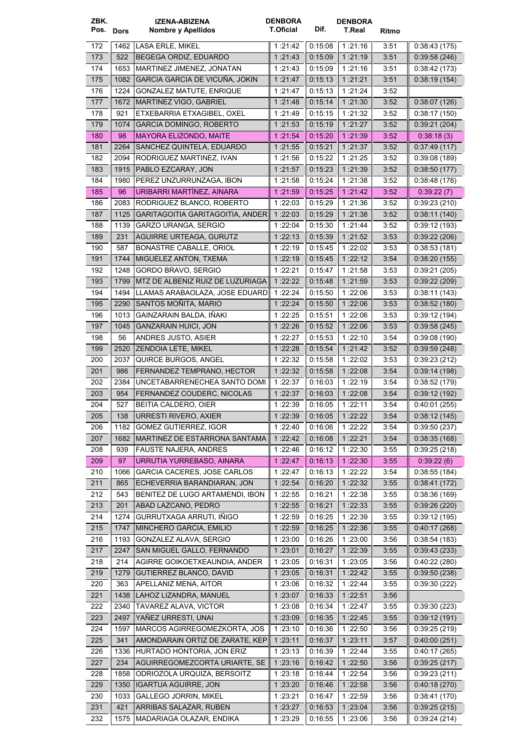| ZBK.<br>Pos. Dors |      | <b>IZENA-ABIZENA</b><br>Nombre y Apellidos | <b>DENBORA</b><br><b>T.Oficial</b> | Dif.               | <b>DENBORA</b><br>T.Real |              |                              |
|-------------------|------|--------------------------------------------|------------------------------------|--------------------|--------------------------|--------------|------------------------------|
|                   |      |                                            |                                    |                    |                          | Ritmo        |                              |
| 172               | 1462 | LASA ERLE, MIKEL                           | 1:21:42                            | 0.15.08            | 1 21:16                  | 3:51         | 0:38:43(175)                 |
| 173               | 522  | BEGEGA ORDIZ, EDUARDO                      | 1:21:43                            | 0:15:09            | 1:21:19                  | 3:51         | 0.39.58(246)                 |
| 174               | 1653 | MARTINEZ JIMENEZ, JONATAN                  | 1:21:43                            | 0:15:09            | 1:21:16                  | 3:51         | 0.38.42(173)                 |
| 175               | 1082 | GARCIA GARCIA DE VICUÑA, JOKIN             | 1:21:47                            | 0.15:13            | 1:21:21                  | 3:51         | 0:38:19(154)                 |
| 176               | 1224 | GONZALEZ MATUTE, ENRIQUE                   | 1:21:47                            | 0:15:13            | 1:21:24                  | 3:52         |                              |
| 177               | 1672 | MARTINEZ VIGO, GABRIEL                     | 1:21:48                            | 0.15.14            | 1 21:30                  | 3:52         | 0:38:07(126)                 |
| 178               | 921  | ETXEBARRIA ETXAGIBEL. OXEL                 | 1 21:49                            | 0:15:15            | 1:21:32                  | 3:52         | 0.38:17(150)                 |
| 179               | 1074 | <b>GARCIA DOMINGO, ROBERTO</b>             | 1:21:53                            | 0.15.19            | 1:21:27                  | 3:52         | 0.39.21(204)                 |
| 180               | 98   | <b>MAYORA ELIZONDO, MAITE</b>              | 1 21:54                            | 0.15.20            | 1 21 39                  | 3:52         | 0.38.18(3)                   |
| 181               | 2264 | SANCHEZ QUINTELA, EDUARDO                  | 1:21:55                            | 0:15.21            | 1:21:37                  | 3:52         | 0:37:49(117)                 |
| 182               | 2094 | RODRIGUEZ MARTINEZ, IVAN                   | 1:21:56                            | 0:15:22            | 1:21:25                  | 3:52         | 0.39.08(189)                 |
| 183               | 1915 | PABLO EZCARAY, JON                         | 1:21:57                            | 0:15:23            | 1 21:39                  | 3:52         | 0:38:50(177)                 |
| 184               | 1980 | PEREZ UNZURRUNZAGA, IBON                   | 1:21:58                            | 0:15:24            | 1:21:38                  | 3:52         | 0:38:48(176)                 |
| 185               | 96   | URIBARRI MARTÍNEZ, AINARA                  | 1:21:59                            | 0.15.25            | 1 21:42                  | 3:52         | 0.39:22(7)                   |
| 186               | 2083 | RODRIGUEZ BLANCO, ROBERTO                  | 1:22:03                            | 0:15:29            | 1:21:36                  | 3:52         | 0.39:23(210)                 |
| 187               | 1125 | GARITAGOITIA GARITAGOITIA, ANDER           | 1:22:03                            | 0.15.29            | 1 21:38                  | 3:52         | 0.38:11(140)                 |
| 188               | 1139 | GARZO URANGA, SERGIO                       | 1:22:04                            | 0:15:30            | 1:21:44                  | 3:52         | 0:39:12(193)                 |
| 189               | 231  | AGUIRRE URTEAGA, GURUTZ                    | 1:22:13                            | 0.15.39            | 1:21:52                  | 3:53         | 0.39:22(206)                 |
| 190               | 587  | <b>BONASTRE CABALLE, ORIOL</b>             | 1.22:19                            | 0:15:45            | 1:22:02                  | 3:53         | 0:38:53 (181)                |
| 191               | 1744 | MIGUELEZ ANTON, TXEMA                      | 1:22:19                            | 0.15.45            | 1:22:12                  | 3:54         | 0.38:20(155)                 |
| 192               | 1248 | GORDO BRAVO, SERGIO                        | 1:22:21                            | 0:15:47            | 1:21:58                  | 3:53         | 0:39:21(205)                 |
| 193               | 1799 | MTZ DE ALBENIZ RUIZ DE LUZURIAGA           | 1.22:22                            | 0:15:48            | 1 21:59                  | 3:53         | 0.39:22(209)                 |
| 194               | 1494 | LLAMAS ARABAOLAZA, JOSE EDUARD             | 1 22:24                            | 0:15:50            | 1:22:06                  | 3:53         | 0.38.11(143)                 |
| 195               | 2290 | SANTOS MOÑITA, MARIO                       | 1:22:24                            | 0.15:50            | 1:22:06                  | 3:53         | 0.38:52(180)                 |
| 196               | 1013 | GAINZARAIN BALDA, IÑAKI                    | 1:22:25                            | 0:15:51            | 1:22:06                  | 3:53         | 0.39.12(194)                 |
| 197               | 1045 | <b>GANZARAIN HUICI, JON</b>                | 1:22:26                            | 0.15.52            | 1 22:06                  | 3:53         | 0.39.58(245)                 |
| 198               | 56   | ANDRES JUSTO, ASIER                        | 1:22:27                            | 0:15:53            | 1:22:10                  | 3:54         | 0.39:08(190)                 |
| 199               | 2520 | ZENDOIA LETE, MIKEL                        | 1:22:28                            | 0.15.54            | 1 21:42                  | 3:52         | 0.39.59(248)                 |
| 200               | 2037 | QUIRCE BURGOS, ANGEL                       | 1 22 32                            | 0:15:58            | 1:22:02                  | 3:53         | 0:39:23(212)                 |
| 201               | 986  | FERNANDEZ TEMPRANO, HECTOR                 | 1:22:32                            | 0.15.58            | 1:22:08                  | 3:54         | 0:39:14(198)                 |
| 202               | 2384 | UNCETABARRENECHEA SANTO DOMI               | 1:22:37                            | 0:16:03            | 1:22:19                  | 3:54         | 0:38:52(179)                 |
| 203               | 954  | FERNANDEZ COUDERC, NICOLAS                 | 1:22:37                            | 0:16:03            | 1:22:08                  | 3:54         | 0.39.12(192)                 |
| 204               | 527  | BEITIA CALDERO, OIER                       | 1 22:39                            | 0:16:05            | 1:22:11                  | 3:54         | 0:40:01(255)                 |
| 205               |      | 138   URRESTI RIVERO, AXIER                | 1:22:39                            | 0:16:05            | 1:22:22                  | 3:54         | 0:38:12(145)                 |
| 206               | 1182 | <b>GOMEZ GUTIERREZ, IGOR</b>               | 1:22:40                            | 0:16:06            | 1:22.22                  | 3:54         | 0.39.50(237)                 |
| 207               | 1682 | MARTINEZ DE ESTARRONA SANTAMA              | 1:22.42                            | 0.16.08            | 1:22:21                  | 3:54         | 0.38.35(168)                 |
| 208               | 939  | FAUSTE NAJERA, ANDRES                      | 1:22:46                            | 0.16:12            | 1:22:30                  | 3:55         | 0.39:25(218)                 |
| 209               | 97   | URRUTIA YURREBASO, AINARA                  | 1.22.47                            | 0.16.13            | 1 22:30                  | 3:55         | 0.39.22(6)                   |
| 210               | 1066 | GARCIA CACERES, JOSE CARLOS                | 1:22:47                            | 0:16:13            | 1:22:22                  | 3:54         | 0.38.55(184)                 |
| 211               | 865  | ECHEVERRIA BARANDIARAN, JON                | 1 :22:54                           | 0.16.20            | 1 22 32                  | 3:55         | 0:38:41(172)                 |
| 212               | 543  | BENITEZ DE LUGO ARTAMENDI, IBON            | 1 22:55                            | 0:16:21            | 1:22:38                  | 3:55         | 0.38.36(169)                 |
| 213               | 201  | ABAD LAZCANO, PEDRO                        | 1:22:55                            | 0:16.21            | 1 22 33                  | 3:55         | 0:39:26(220)                 |
| 214               | 1274 | GURRUTXAGA ARRUTI, IÑIGO                   | 1:22:59                            | 0.16.25            | 1:22:39                  | 3:55         | 0.39.12(195)                 |
| 215               | 1747 | MINCHERO GARCIA, EMILIO                    | 1:22.59                            | 0:16:25            | 1 22 36                  | 3:55         | 0.40:17(268)                 |
|                   | 1193 | GONZALEZ ALAVA, SERGIO                     |                                    |                    |                          |              |                              |
| 216<br>217        | 2247 | SAN MIGUEL GALLO, FERNANDO                 | 1:23:00<br>1:23.01                 | 0:16:26<br>0.16.27 | 1:23:00<br>1:22:39       | 3:56<br>3:55 | 0.38.54(183)<br>0.39.43(233) |
|                   |      |                                            |                                    |                    |                          |              |                              |
| 218               | 214  | AGIRRE GOIKOETXEAUNDIA, ANDER              | 1:23:05                            | 0.16.31            | 1:23:05                  | 3:56         | 0.40:22(280)                 |
| 219               | 1279 | <b>GUTIERREZ BLANCO, DAVID</b>             | 1:23:05                            | 0:16:31            | 1:22:42                  | 3:55         | 0.39.50(238)                 |
| 220               | 363  | APELLANIZ MENA, AITOR                      | 1:23:06                            | 0:16:32            | 1 22 44                  | 3:55         | 0.39:30(222)                 |
| 221               | 1438 | LAHOZ LIZANDRA, MANUEL                     | 1:23.07                            | 0:16:33            | 1:22:51                  | 3:56         |                              |
| 222               | 2340 | TAVAREZ ALAVA, VICTOR                      | 1 23:08                            | 0:16:34            | 1 22 47                  | 3:55         | 0.39.30(223)                 |
| 223               | 2497 | YAÑEZ URRESTI, UNAI                        | 1:23:09                            | 0.16.35            | 1:22:45                  | 3:55         | 0:39:12(191)                 |
| 224               | 1597 | MARCOS AGIRREGOMEZKORTA, JOS               | 1:23:10                            | 0:16:36            | 1:22:50                  | 3:56         | 0.39:25(219)                 |
| 225               | 341  | AMONDARAIN ORTIZ DE ZARATE, KEP            | 1:23:11                            | 0:16:37            | 1.23.11                  | 3:57         | 0.40:00(251)                 |
| 226               | 1336 | HURTADO HONTORIA, JON ERIZ                 | 1:23:13                            | 0:16:39            | 1:22.44                  | 3:55         | 0.40.17(265)                 |
| 227               | 234  | AGUIRREGOMEZCORTA URIARTE, SE              | 1:23:16                            | 0.16.42            | 1:22:50                  | 3:56         | 0.39:25(217)                 |
| 228               | 1858 | ODRIOZOLA URQUIZA, BERSOITZ                | 1:23:18                            | 0:16:44            | 1:22:54                  | 3:56         | 0.39:23(211)                 |
| 229               | 1350 | <b>IGARTUA AGUIRRE, JON</b>                | 1:23:20                            | 0.16:46            | 1:22:58                  | 3:56         | 0.40.18(270)                 |
| 230               | 1033 | <b>GALLEGO JORRIN, MIKEL</b>               | 1:23:21                            | 0:16:47            | 1:22:59                  | 3:56         | 0.38.41(170)                 |
| 231               | 421  | ARRIBAS SALAZAR, RUBEN                     | 1:23:27                            | 0.16.53            | 1:23:04                  | 3:56         | 0.39:25(215)                 |
| 232               | 1575 | MADARIAGA OLAZAR, ENDIKA                   | 1:23:29                            | 0:16:55            | 1:23:06                  | 3:56         | 0.39.24(214)                 |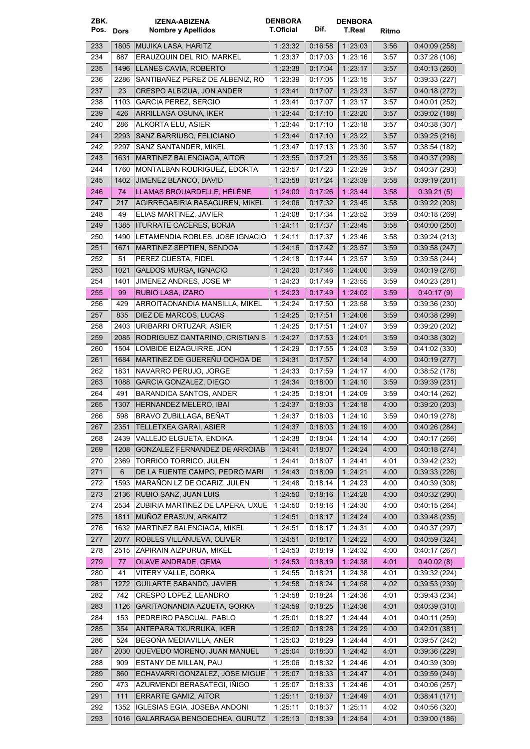| ZBK.      |      | <b>IZENA-ABIZENA</b>                | <b>DENBORA</b>   |         | <b>DENBORA</b> |       |              |
|-----------|------|-------------------------------------|------------------|---------|----------------|-------|--------------|
| Pos. Dors |      | Nombre y Apellidos                  | <b>T.Oficial</b> | Dif.    | <b>T.Real</b>  | Ritmo |              |
| 233       | 1805 | MUJIKA LASA, HARITZ                 | 1:23:32          | 0:16:58 | 1 23:03        | 3:56  | 0.40:09(258) |
| 234       | 887  | ERAUZQUIN DEL RIO, MARKEL           | 1 23:37          | 0:17:03 | 1:23:16        | 3:57  | 0.37:28(106) |
| 235       | 1496 | LLANES CAVIA, ROBERTO               | 1 :23:38         | 0.17.04 | 1:23:17        | 3:57  | 0.40:13(260) |
| 236       | 2286 | SANTIBAÑEZ PEREZ DE ALBENIZ, RO     | 1:23:39          | 0:17:05 | 1:23:15        | 3:57  | 0:39:33(227) |
| 237       | 23   | CRESPO ALBIZUA, JON ANDER           | 1:23:41          | 0.17.07 | 1:23:23        | 3:57  | 0:40:18(272) |
| 238       | 1103 | <b>GARCIA PEREZ, SERGIO</b>         | 1:23:41          | 0:17:07 | 1:23:17        | 3:57  | 0:40:01(252) |
| 239       | 426  | ARRILLAGA OSUNA, IKER               |                  |         |                |       |              |
|           |      | ALKORTA ELU, ASIER                  | 1:23:44          | 0:17:10 | 1:23:20        | 3:57  | 0.39.02(188) |
| 240       | 286  |                                     | 1:23:44          | 0:17:10 | 1:23:18        | 3:57  | 0.40.38(307) |
| 241       | 2293 | SANZ BARRIUSO, FELICIANO            | 1:23:44          | 0.17:10 | 1 23:22        | 3:57  | 0.39.25(216) |
| 242       | 2297 | SANZ SANTANDER, MIKEL               | 1 23:47          | 0:17:13 | 1:23:30        | 3:57  | 0.38:54(182) |
| 243       | 1631 | MARTINEZ BALENCIAGA, AITOR          | 1:23:55          | 0:17:21 | 1 23:35        | 3:58  | 0.40.37(298) |
| 244       | 1760 | <b>MONTALBAN RODRIGUEZ, EDORTA</b>  | 1:23:57          | 0:17:23 | 1:23:29        | 3:57  | 0.40.37(293) |
| 245       | 1402 | JIMENEZ BLANCO, DAVID               | 1:23:58          | 0:17:24 | 1 23:39        | 3:58  | 0.39.19(201) |
| 246       | 74   | LLAMAS BROUARDELLE, HÉLÈNE          | 1:24:00          | 0.17.26 | 1 23:44        | 3:58  | 0.39:21(5)   |
| 247       | 217  | AGIRREGABIRIA BASAGUREN, MIKEL      | 1:24:06          | 0:17:32 | 1 23:45        | 3:58  | 0.39:22(208) |
| 248       | 49   | ELIAS MARTINEZ, JAVIER              | 1:24:08          | 0:17:34 | 1:23:52        | 3:59  | 0.40.18(269) |
| 249       | 1385 | <b>ITURRATE CACERES, BORJA</b>      | 1:24:11          | 0:17:37 | 1 23 45        | 3:58  | 0:40:00(250) |
| 250       | 1490 | LETAMENDIA ROBLES, JOSE IGNACIO     | 1:24:11          | 0:17:37 | 1:23:46        | 3:58  | 0:39:24(213) |
| 251       | 1671 | MARTINEZ SEPTIEN, SENDOA            | 1:24:16          | 0.17:42 | 1:23:57        | 3:59  | 0.39.58(247) |
| 252       | 51   | PEREZ CUESTA, FIDEL                 | 1 24:18          | 0.17.44 | 1:23:57        | 3:59  | 0.39.58(244) |
| 253       | 1021 | <b>GALDOS MURGA, IGNACIO</b>        | 1:24:20          | 0.17:46 | 1:24:00        | 3:59  | 0.40:19(276) |
| 254       | 1401 | JIMENEZ ANDRES, JOSE M <sup>a</sup> | 1 24:23          | 0.17.49 | 1:23:55        | 3:59  | 0.40:23(281) |
| 255       | 99   | RUBIO LASA, IZARO                   | 1:24:23          | 0.17:49 | 1:24:02        | 3:59  | 0.40:17(9)   |
| 256       | 429  | ARROITAONANDIA MANSILLA, MIKEL      | 1:24:24          | 0:17:50 | 1 23:58        | 3:59  | 0.39.36(230) |
|           |      |                                     |                  |         |                |       |              |
| 257       | 835  | DIEZ DE MARCOS, LUCAS               | 1 24:25          | 0:17:51 | 1:24:06        | 3:59  | 0.40.38(299) |
| 258       | 2403 | URIBARRI ORTUZAR, ASIER             | 1 24 25          | 0:17:51 | 1:24.07        | 3:59  | 0.39:20(202) |
| 259       | 2085 | RODRIGUEZ CANTARINO, CRISTIAN S     | 1:24:27          | 0.17:53 | 1:24:01        | 3:59  | 0.40.38(302) |
| 260       | 1504 | LOMBIDE EIZAGUIRRE, JON             | 1:24:29          | 0:17:55 | 1:24:03        | 3:59  | 0.41.02(330) |
| 261       | 1684 | MARTINEZ DE GUEREÑU OCHOA DE        | 1 24:31          | 0.17:57 | 1:24:14        | 4:00  | 0.40:19(277) |
| 262       | 1831 | NAVARRO PERUJO. JORGE               | 1 24:33          | 0:17:59 | 1:24:17        | 4.00  | 0:38:52(178) |
| 263       | 1088 | <b>GARCIA GONZALEZ, DIEGO</b>       | 1 24 34          | 0.18:00 | 1.24.10        | 3:59  | 0.39.39(231) |
| 264       | 491  | BARANDICA SANTOS, ANDER             | 1:24:35          | 0:18.01 | 1:24:09        | 3:59  | 0.40:14(262) |
| 265       | 1307 | HERNANDEZ MELERO, IBAI              | 1:24:37          | 0.18.03 | 1.24.18        | 4:00  | 0.39:20(203) |
| 266       | 598  | BRAVO ZUBILLAGA, BEÑAT              | 1:24:37          | 0:18:03 | 1 .24 10       | 3:59  | 0.40:19(278) |
| 267       | 2351 | TELLETXEA GARAI, ASIER              | 1:24:37          | 0.18.03 | 1 24:19        | 4:00  | 0.40.26(284) |
| 268       | 2439 | VALLEJO ELGUETA, ENDIKA             | 1 24:38          | 0:18:04 | 1:24:14        | 4:00  | 0.40:17(266) |
| 269       | 1208 | GONZALEZ FERNANDEZ DE ARROIAB       | 1:24:41          | 0.18:07 | 1.24.24        | 4:00  | 0.40:18(274) |
| 270       | 2369 | TORRICO TORRICO, JULEN              | 1 24:41          | 0:18:07 | 1:24:41        | 4:01  | 0.39.42(232) |
| 271       | 6    | DE LA FUENTE CAMPO, PEDRO MARI      | 1:24.43          | 0:18:09 | 1:24:21        | 4:00  | 0.39.33(226) |
| 272       | 1593 | MARAÑON LZ DE OCARIZ, JULEN         | 1 24:48          | 0.18.14 | 1:24:23        | 4:00  | 0.40.39(308) |
| 273       | 2136 | RUBIO SANZ, JUAN LUIS               | 1:24:50          | 0.18.16 | 1 24:28        | 4:00  | 0.40.32(290) |
| 274       | 2534 | ZUBIRIA MARTINEZ DE LAPERA, UXUE    | 1:24:50          | 0.18:16 | 1:24:30        | 4:00  | 0.40.15(264) |
| 275       | 1811 | MUÑOZ ERASUN, ARKAITZ               | 1 24:51          | 0.18.17 | 1:24:24        | 4:00  | 0.39.48(235) |
| 276       | 1632 | MARTINEZ BALENCIAGA, MIKEL          | 1:24:51          | 0.18:17 | 1 24:31        | 4:00  | 0:40:37(297) |
| 277       | 2077 | ROBLES VILLANUEVA, OLIVER           | 1:24:51          | 0.18.17 | 1 24:22        | 4:00  | 0.40.59(324) |
| 278       | 2515 | ZAPIRAIN AIZPURUA, MIKEL            | 1:24:53          | 0.18.19 | 1:24:32        | 4:00  | 0.40:17(267) |
| 279       |      | OLAVE ANDRADE, GEMA                 |                  |         |                |       |              |
|           | 77   |                                     | 1:24:53          | 0:18:19 | 1 24:38        | 4:01  | 0.40:02(8)   |
| 280       | 41   | VITERY VALLE, GORKA                 | 1:24:55          | 0.18.21 | 1:24:38        | 4:01  | 0:39:32(224) |
| 281       | 1272 | <b>GUILARTE SABANDO, JAVIER</b>     | 1:24:58          | 0:18:24 | 1 24:58        | 4:02  | 0.39.53(239) |
| 282       | 742  | CRESPO LOPEZ, LEANDRO               | 1:24:58          | 0:18:24 | 1:24:36        | 4:01  | 0.39.43(234) |
| 283       | 1126 | GARITAONANDIA AZUETA, GORKA         | 1:24.59          | 0:18:25 | 1:24:36        | 4:01  | 0.40.39(310) |
| 284       | 153  | PEDREIRO PASCUAL, PABLO             | 1:25:01          | 0:18:27 | 1 24 44        | 4:01  | 0.40:11(259) |
| 285       | 354  | ANTEPARA TXURRUKA, IKER             | 1:25.02          | 0.18.28 | 1 24:29        | 4:00  | 0.42:01(381) |
| 286       | 524  | BEGOÑA MEDIAVILLA, ANER             | 1:25:03          | 0:18:29 | 1 24 44        | 4:01  | 0.39.57(242) |
| 287       | 2030 | QUEVEDO MORENO, JUAN MANUEL         | 1 :25:04         | 0.18.30 | 1 24:42        | 4:01  | 0.39.36(229) |
| 288       | 909  | ESTANY DE MILLAN, PAU               | 1:25:06          | 0:18:32 | 1:24:46        | 4:01  | 0.40.39(309) |
| 289       | 860  | ECHAVARRI GONZALEZ, JOSE MIGUE      | 1:25:07          | 0.18.33 | 1 24 47        | 4:01  | 0.39:59(249) |
| 290       | 473  | AZURMENDI BERASATEGI, IÑIGO         | 1:25:07          | 0:18:33 | 1 24 46        | 4:01  | 0.40:06(257) |
| 291       | 111  | <b>ERRARTE GAMIZ, AITOR</b>         | 1:25:11          | 0:18:37 | 1:24:49        | 4:01  | 0.38.41(171) |
| 292       | 1352 | <b>IGLESIAS EGIA, JOSEBA ANDONI</b> | 1:25:11          | 0:18:37 | 1:25:11        | 4:02  | 0.40.56(320) |
| 293       | 1016 | GALARRAGA BENGOECHEA, GURUTZ        | 1:25:13          | 0.18.39 | 1:24:54        | 4:01  | 0.39:00(186) |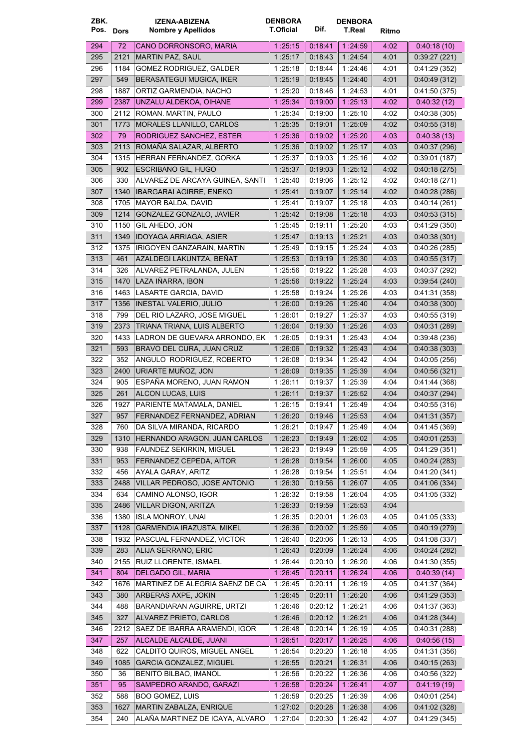| ZBK.      |      | <b>IZENA-ABIZENA</b>              | <b>DENBORA</b>   |         | <b>DENBORA</b> |       |               |
|-----------|------|-----------------------------------|------------------|---------|----------------|-------|---------------|
| Pos. Dors |      | <b>Nombre y Apellidos</b>         | <b>T.Oficial</b> | Dif.    | T.Real         | Ritmo |               |
| 294       | 72   | CANO DORRONSORO, MARIA            | 1:25:15          | 0:18:41 | 1 24:59        | 4:02  | 0.40.18(10)   |
| 295       | 2121 | <b>MARTIN PAZ, SAUL</b>           | 1:25:17          | 0:18:43 | 1 24:54        | 4:01  | 0.39:27(221)  |
| 296       | 1184 | GOMEZ RODRIGUEZ, GALDER           | 1:25:18          | 0.18.44 | 1:24:46        | 4:01  | 0.41:29(352)  |
| 297       | 549  | <b>BERASATEGUI MUGICA, IKER</b>   | 1:25:19          | 0:18:45 | 1:24:40        | 4:01  | 0.40.49(312)  |
| 298       | 1887 | ORTIZ GARMENDIA, NACHO            | 1:25:20          | 0:18:46 | 1:24:53        | 4:01  | 0.41:50(375)  |
| 299       | 2387 | UNZALU ALDEKOA, OIHANE            | 1:25:34          | 0.19:00 | 1.25.13        | 4:02  | 0.40.32(12)   |
| 300       | 2112 | ROMAN. MARTIN, PAULO              | 1:25:34          | 0:19:00 | 1:25:10        | 4:02  | 0.40.38(305)  |
| 301       | 1773 | MORALES LLANILLO, CARLOS          | 1:25:35          | 0:19.01 | 1:25:09        | 4:02  | 0.40:55(318)  |
| 302       | 79   | RODRIGUEZ SANCHEZ, ESTER          | 1.25.36          | 0.19:02 | 1 25:20        | 4:03  | 0.40.38(13)   |
| 303       | 2113 | ROMAÑA SALAZAR, ALBERTO           | 1:25:36          | 0.19.02 | 1:25:17        | 4:03  | 0.40.37(296)  |
| 304       | 1315 | HERRAN FERNANDEZ, GORKA           | 1 25:37          | 0:19:03 | 1:25:16        | 4:02  | 0.39:01(187)  |
| 305       | 902  | ESCRIBANO GIL, HUGO               | 1:25:37          | 0.19.03 | 1:25:12        | 4:02  | 0:40:18(275)  |
| 306       | 330  | ALVAREZ DE ARCAYA GUINEA, SANTI   | 1:25:40          | 0:19:06 | 1:25:12        | 4:02  | 0.40.18(271)  |
| 307       | 1340 | <b>IBARGARAI AGIRRE, ENEKO</b>    | 1:25.41          | 0:19:07 | 1:25:14        | 4:02  | 0.40.28(286)  |
| 308       | 1705 | <b>MAYOR BALDA, DAVID</b>         | 1.25:41          | 0:19:07 | 1:25:18        | 4:03  | 0:40:14(261)  |
| 309       | 1214 | GONZALEZ GONZALO, JAVIER          | 1:25:42          | 0.19.08 | 1:25:18        | 4:03  | 0.40.53(315)  |
| 310       | 1150 | GIL AHEDO, JON                    | 1:25:45          | 0:19:11 | 1:25:20        | 4:03  | 0.41:29(350)  |
| 311       | 1349 | <b>IDOYAGA ARRIAGA, ASIER</b>     | 1:25:47          | 0:19:13 | 1:25:21        | 4:03  | 0.40.38(301)  |
| 312       | 1375 | IRIGOYEN GANZARAIN, MARTIN        | 1:25:49          | 0:19:15 | 1:25:24        | 4:03  | 0.40:26(285)  |
| 313       | 461  | AZALDEGI LAKUNTZA, BEÑAT          | 1:25:53          | 0.19.19 | 1:25:30        | 4:03  | 0.40:55(317)  |
| 314       | 326  | ALVAREZ PETRALANDA, JULEN         | 1 25:56          | 0:19:22 | 1:25:28        | 4:03  | 0.40.37(292)  |
| 315       | 1470 | LAZA IÑARRA, IBON                 | 1:25:56          | 0.19.22 | 1:25.24        | 4:03  | 0.39.54(240)  |
| 316       | 1463 | LASARTE GARCIA, DAVID             | 1:25:58          | 0:19:24 | 1:25:26        | 4:03  | 0.41:31(358)  |
| 317       | 1356 | <b>INESTAL VALERIO, JULIO</b>     | 1:26:00          | 0:19:26 | 1:25.40        | 4:04  | 0.40.38(300)  |
| 318       | 799  | DEL RIO LAZARO, JOSE MIGUEL       | 1:26:01          | 0:19:27 | 1:25:37        | 4:03  | 0.40.55(319)  |
| 319       | 2373 | TRIANA TRIANA, LUIS ALBERTO       | 1:26:04          | 0:19:30 | 1:25:26        | 4:03  | 0.40.31(289)  |
| 320       | 1433 | LADRON DE GUEVARA ARRONDO, EK     | 1:26:05          | 0:19:31 | 1:25.43        | 4:04  | 0.39.48(236)  |
| 321       | 593  | BRAVO DEL CURA, JUAN CRUZ         | 1:26:06          | 0.19.32 | 1 25.43        | 4.04  | 0.40.38(303)  |
| 322       | 352  | ANGULO RODRIGUEZ, ROBERTO         | 1:26:08          | 0:19:34 | 1:25:42        | 4:04  | 0:40:05(256)  |
| 323       | 2400 | URIARTE MUÑOZ, JON                | 1:26:09          | 0:19:35 | 1 25:39        | 4:04  | 0.40.56(321)  |
| 324       | 905  | ESPAÑA MORENO, JUAN RAMON         | 1:26:11          | 0:19:37 | 1:25:39        | 4:04  | 0.41.44(368)  |
| 325       | 261  | ALCON LUCAS, LUIS                 | 1 26:11          | 0:19:37 | 1 25 52        | 4:04  | 0.40.37(294)  |
| 326       | 1927 | PARIENTE MATAMALA, DANIEL         | 1:26:15          | 0:19:41 | 1:25:49        | 4:04  | 0.40.55(316)  |
| 327       |      | 957   FERNANDEZ FERNANDEZ, ADRIAN | 1:26:20          | 0.19.46 | 1 25:53        | 4:04  | 0.41.31(357)  |
| 328       | 760  | DA SILVA MIRANDA, RICARDO         | 1:26.21          | 0:19:47 | 1 25:49        | 4:04  | 0.41.45(369)  |
| 329       | 1310 | HERNANDO ARAGON, JUAN CARLOS      | 1:26:23          | 0.19.49 | 1:26.02        | 4:05  | 0.40.01(253)  |
| 330       | 938  | FAUNDEZ SEKIRKIN, MIGUEL          | 1:26:23          | 0:19:49 | 1:25:59        | 4:05  | 0.41:29(351)  |
| 331       | 953  | FERNANDEZ CEPEDA, AITOR           | 1:26:28          | 0.19.54 | 1:26:00        | 4:05  | 0.40.24(283)  |
| 332       | 456  | AYALA GARAY, ARITZ                | 1:26:28          | 0:19:54 | 1 25:51        | 4:04  | 0.41:20(341)  |
| 333       | 2488 | VILLAR PEDROSO, JOSE ANTONIO      | 1:26:30          | 0.19.56 | 1:26:07        | 4:05  | 0.41.06(334)  |
| 334       | 634  | CAMINO ALONSO, IGOR               | 1:26:32          | 0.19.58 | 1:26:04        | 4:05  | 0.41:05(332)  |
| 335       | 2486 | <b>VILLAR DIGON, ARITZA</b>       | 1:26:33          | 0:19:59 | 1:25:53        | 4:04  |               |
| 336       | 1380 | ISLA MONROY, UNAI                 | 1:26:35          | 0.20:01 | 1:26:03        | 4:05  | 0.41:05(333)  |
| 337       | 1128 | GARMENDIA IRAZUSTA, MIKEL         | 1:26:36          | 0.20.02 | 1 25:59        | 4:05  | 0.40:19(279)  |
| 338       | 1932 | PASCUAL FERNANDEZ, VICTOR         | 1:26:40          | 0.20.06 | 1:26:13        | 4:05  | 0.41.08(337)  |
| 339       | 283  | ALIJA SERRANO, ERIC               | 1:26:43          | 0:20:09 | 1:26.24        | 4:06  | 0.40.24(282)  |
| 340       | 2155 | RUIZ LLORENTE, ISMAEL             | 1:26:44          | 0:20:10 | 1:26:20        | 4:06  | 0.41:30(355)  |
| 341       | 804  | <b>DELGADO GIL, MARIA</b>         | 1:26:45          | 0:20:11 | 1:26.24        | 4.06  | 0.40.39(14)   |
| 342       | 1676 | MARTINEZ DE ALEGRIA SAENZ DE CA   | 1:26:45          | 0:20:11 | 1:26:19        | 4:05  | 0.41.37(364)  |
| 343       | 380  | ARBERAS AXPE, JOKIN               | 1:26.45          | 0:20:11 | 1:26:20        | 4:06  | 0.41:29(353)  |
| 344       | 488  | BARANDIARAN AGUIRRE, URTZI        | 1:26:46          | 0.20.12 | 1 26:21        | 4:06  | 0.41:37(363)  |
| 345       | 327  | ALVAREZ PRIETO, CARLOS            | 1:26:46          | 0:20:12 | 1:26:21        | 4:06  | 0.41:28(344)  |
| 346       | 2212 | SAEZ DE IBARRA ARAMENDI, IGOR     | 1:26:48          | 0:20:14 | 1:26:19        | 4:05  | 0:40:31(288)  |
| 347       | 257  | ALCALDE ALCALDE, JUANI            | 1:26:51          | 0.20.17 | 1 26 25        | 4:06  | 0.40.56(15)   |
| 348       | 622  | CALDITO QUIROS, MIGUEL ANGEL      | 1:26:54          | 0:20:20 | 1:26:18        | 4:05  | 0:41:31 (356) |
| 349       | 1085 | <b>GARCIA GONZALEZ, MIGUEL</b>    | 1:26:55          | 0:20:21 | 1 26:31        | 4:06  | 0.40.15(263)  |
| 350       | 36   | <b>BENITO BILBAO, IMANOL</b>      | 1:26:56          | 0:20:22 | 1 26:36        | 4:06  | 0.40.56(322)  |
| 351       | 95   | SAMPEDRO ARANDO, GARAZI           | 1:26:58          | 0.20.24 | 1:26:41        | 4:07  | 0.41:19(19)   |
| 352       | 588  | <b>BOO GOMEZ, LUIS</b>            | 1 :26:59         | 0.20.25 | 1:26:39        | 4:06  | 0.40:01(254)  |
| 353       | 1627 | MARTIN ZABALZA, ENRIQUE           | 1:27:02          | 0.20.28 | 1:26:38        | 4:06  | 0.41:02(328)  |
| 354       | 240  | ALAÑA MARTINEZ DE ICAYA, ALVARO   | 1 .27:04         | 0.20.30 | 1:26:42        | 4:07  | 0:41:29(345)  |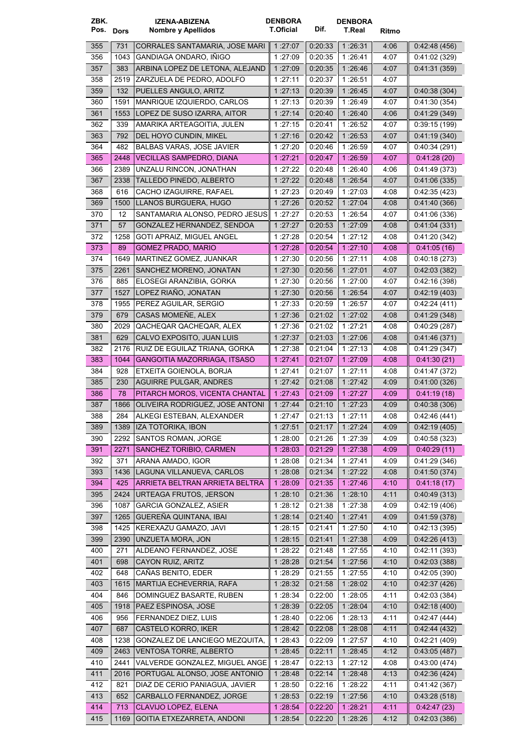| ZBK.<br>Pos. Dors |              | IZENA-ABIZENA<br>Nombre y Apellidos                         | <b>DENBORA</b><br><b>T.Oficial</b> | Dif.               | <b>DENBORA</b><br>T.Real | Ritmo        |                               |
|-------------------|--------------|-------------------------------------------------------------|------------------------------------|--------------------|--------------------------|--------------|-------------------------------|
| 355               | 731          | CORRALES SANTAMARIA, JOSE MARI                              | 1:27:07                            | 0.20.33            | 1 26:31                  | 4:06         | 0.42:48(456)                  |
| 356               | 1043         | GANDIAGA ONDARO, IÑIGO                                      | 1 27:09                            | 0:20:35            | 1 26:41                  | 4:07         | 0.41:02(329)                  |
| 357               | 383          | ARBINA LOPEZ DE LETONA, ALEJAND                             | 1:27:09                            | 0:20:35            | 1 26:46                  | 4:07         | 0.41.31(359)                  |
| 358               | 2519         | ZARZUELA DE PEDRO, ADOLFO                                   | 1:27:11                            | 0:20:37            | 1:26:51                  | 4:07         |                               |
| 359               | 132          | PUELLES ANGULO, ARITZ                                       | 1:27:13                            | 0.20:39            | 1:26:45                  | 4:07         | 0.40.38(304)                  |
| 360               | 1591         | MANRIQUE IZQUIERDO, CARLOS                                  | 1.27:13                            | 0.20:39            | 1:26:49                  | 4:07         | 0.41:30(354)                  |
| 361               | 1553         | LOPEZ DE SUSO IZARRA, AITOR                                 | 1:27:14                            | 0.20:40            | 1:26:40                  | 4:06         | 0.41:29(349)                  |
| 362               | 339          | AMARIKA ARTEAGOITIA, JULEN                                  | 1.27:15                            | 0:20:41            | 1:26:52                  | 4:07         | 0.39.15(199)                  |
| 363               | 792          | DEL HOYO CUNDIN, MIKEL                                      | 1:27:16                            | 0.20:42            | 1 26 53                  | 4:07         | 0.41:19(340)                  |
| 364               | 482          | <b>BALBAS VARAS, JOSE JAVIER</b>                            | 1:27:20                            | 0.20:46            | 1:26:59                  | 4:07         | 0.40.34(291)                  |
| 365               | 2448         | <b>VECILLAS SAMPEDRO, DIANA</b>                             | 1:27:21                            | 0:20:47            | 1 26 59                  | 4:07         | 0.41:28(20)                   |
| 366               | 2389         | UNZALU RINCON, JONATHAN                                     | 1:27:22                            | 0.20:48            | 1.26.40                  | 4:06         | 0.41.49(373)                  |
| 367               | 2338         | TALLEDO PINEDO, ALBERTO                                     | 1:27:22                            | 0.20:48            | 1:26:54                  | 4:07         | 0.41.06(335)                  |
| 368               | 616          | CACHO IZAGUIRRE, RAFAEL                                     | 1:27:23                            | 0.20:49            | 1:27:03                  | 4:08         | 0.42:35(423)                  |
| 369               | 1500         | LLANOS BURGUERA, HUGO                                       | 1:27:26                            | 0.20.52            | 1:27:04                  | 4:08         | 0.41.40(366)                  |
| 370               | 12           | SANTAMARIA ALONSO, PEDRO JESUS                              | 1:27:27                            | 0:20:53            | 1:26:54                  | 4:07         | 0.41:06(336)                  |
| 371               | 57           | GONZALEZ HERNANDEZ, SENDOA                                  | 1:27:27                            | 0:20:53            | 1:27:09                  | 4:08         | 0.41.04(331)                  |
| 372               | 1258         | GOTI APRAIZ, MIGUEL ANGEL                                   | 1:27:28                            | 0:20:54            | 1:27:12                  | 4:08         | 0.41:20(342)                  |
| 373               | 89           | <b>GOMEZ PRADO, MARIO</b>                                   | 1:27:28                            | 0.20.54            | 1:27:10                  | 4.08         | 0.41.05(16)                   |
| 374               | 1649         | MARTINEZ GOMEZ, JUANKAR                                     | 1:27:30                            | 0:20:56            | 1:27:11                  | 4:08         | 0:40:18(273)                  |
| 375               | 2261         | SANCHEZ MORENO, JONATAN                                     | 1:27:30                            | 0:20:56            | 1:27:01                  | 4:07         | 0.42:03(382)                  |
| 376               | 885          | ELOSEGI ARANZIBIA, GORKA                                    | 1:27:30                            | 0.20:56            | 1:27:00                  | 4:07         | 0.42:16(398)                  |
| 377               | 1527         | LOPEZ RIAÑO, JONATAN                                        | 1:27:30                            | 0.20:56            | 1:26:54                  | 4:07         | 0.42:19(403)                  |
| 378               | 1955         | PEREZ AGUILAR, SERGIO                                       | 1:27:33                            | 0:20:59            | 1:26:57                  | 4:07         | 0.42:24(411)                  |
| 379               | 679          | CASAS MOMENE, ALEX                                          | 1:27:36                            | 0.21:02            | 1:27:02                  | 4:08         | 0.41:29(348)                  |
| 380               | 2029         | QACHEQAR QACHEQAR, ALEX                                     | 1:27:36                            | 0:21:02            | 1:27:21                  | 4:08         | 0.40.29(287)                  |
| 381               | 629          | CALVO EXPOSITO, JUAN LUIS                                   | 1:27:37                            | 0.21.03            | 1:27:06                  | 4:08         | 0.41.46(371)                  |
| 382<br>383        | 2176<br>1044 | RUIZ DE EGUILAZ TRIANA, GORKA                               | 1:27:38                            | 0:21:04            | 1:27:13                  | 4:08         | 0.41:29(347)                  |
| 384               | 928          | GANGOITIA MAZORRIAGA, ITSASO<br>ETXEITA GOIENOLA, BORJA     | 1:27:41<br>1:27:41                 | 0.21.07<br>0:21:07 | 1 27 09<br>1:27:11       | 4:08<br>4:08 | 0.41:30(21)<br>0:41:47(372)   |
| 385               | 230          | <b>AGUIRRE PULGAR, ANDRES</b>                               | 1 27 42                            | 0:21:08            | 1:27:42                  | 4:09         | 0.41:00(326)                  |
| 386               | 78           | PITARCH MOROS, VICENTA CHANTAL                              | 1:27:43                            | 0.21:09            | 1:27:27                  | 4:09         | 0.41.19(18)                   |
| 387               | 1866         | OLIVEIRA RODRIGUEZ, JOSE ANTONI                             | 1 27 44                            | 0:21:10            | 1.27:23                  | 4:09         | 0.40.38(306)                  |
| 388               | 284          | ALKEGI ESTEBAN, ALEXANDER                                   | 1.27.47                            | 0:21:13            | 1:27:11                  | 4:08         | 0:42:46 (441)                 |
| 389               | 1389         | IZA TOTORIKA, IBON                                          | 1:27:51                            | 0.21.17            | 1:27:24                  | 4:09         | 0.42:19(405)                  |
| 390               | 2292         | SANTOS ROMAN, JORGE                                         | 1:28:00                            | 0.21.26            | 1:27:39                  | 4:09         | 0.40.58(323)                  |
| 391               | 2271         | SANCHEZ TORIBIO, CARMEN                                     | 1:28:03                            | 0.21:29            | 1:27:38                  | 4:09         | 0.40:29(11)                   |
| 392               | 371          | ARANA AMADO, IGOR                                           | 1:28:08                            | 0.21.34            | 1:27:41                  | 4:09         | 0.41:29(346)                  |
| 393               | 1436         | LAGUNA VILLANUEVA, CARLOS                                   | 1:28:08                            | 0:21:34            | 1:27:22                  | 4:08         | 0.41:50(374)                  |
| 394               | 425          | ARRIETA BELTRAN ARRIETA BELTRA                              | 1:28:09                            | 0.21.35            | 1 27:46                  | 4:10         | 0.41:18(17)                   |
| 395               | 2424         | URTEAGA FRUTOS, JERSON                                      | 1:28:10                            | 0:21:36            | 1 28:10                  | 4:11         | 0.40.49(313)                  |
| 396               | 1087         | <b>GARCIA GONZALEZ, ASIER</b>                               | 1:28:12                            | 0:21:38            | 1:27:38                  | 4:09         | 0.42:19(406)                  |
| 397               | 1265         | GUEREÑA QUINTANA, IBAI                                      | 1:28:14                            | 0.21.40            | 1:27:41                  | 4:09         | 0.41:59(378)                  |
| 398               | 1425         | KEREXAZU GAMAZO, JAVI                                       | 1:28:15                            | 0:21:41            | 1:27:50                  | 4:10         | 0.42:13(395)                  |
| 399               | 2390         | UNZUETA MORA, JON                                           | 1:28:15                            | 0.21.41            | 1:27:38                  | 4:09         | 0.42:26(413)                  |
| 400               | 271          | ALDEANO FERNANDEZ, JOSE                                     | 1 28:22                            | 0.21.48            | 1:27:55                  | 4:10         | 0.42:11(393)                  |
| 401               | 698          | CAYON RUIZ, ARITZ                                           | 1:28.28                            | 0.21.54            | 1:27:56                  | 4:10         | 0.42:03(388)                  |
| 402               | 648          | CAÑAS BENITO, EDER                                          | 1:28:29                            | 0.21.55            | 1:27:55                  | 4:10         | 0.42:05(390)                  |
| 403               | 1615         | MARTIJA ECHEVERRIA, RAFA                                    | 1:28:32                            | 0:21:58            | 1:28:02                  | 4:10         | 0.42:37(426)                  |
| 404               | 846          | DOMINGUEZ BASARTE, RUBEN                                    | 1:28:34                            | 0.22:00            | 1:28:05                  | 4:11         | 0.42:03(384)                  |
| 405               | 1918         | PAEZ ESPINOSA, JOSE                                         | 1:28:39                            | 0.22.05            | 1 28:04                  | 4:10         | 0.42:18(400)                  |
| 406               | 956          | FERNANDEZ DIEZ, LUIS                                        | 1:28:40                            | 0:22:06            | 1:28:13                  | 4:11         | 0.42:47(444)                  |
| 407               | 687          | CASTELO KORRO, IKER                                         | 1:28.42                            | 0.22:08            | 1:28.08                  | 4:11         | 0.42.44(432)                  |
| 408               | 1238         | GONZALEZ DE LANCIEGO MEZQUITA,                              | 1:28:43                            | 0.22:09            | 1:27:57                  | 4:10         | 0.42:21(409)                  |
| 409               | 2463         | <b>VENTOSA TORRE, ALBERTO</b>                               | 1:28:45                            | 0:22:11            | 1:28:45                  | 4:12         | 0.43:05(487)                  |
| 410               | 2441         | VALVERDE GONZALEZ, MIGUEL ANGE                              | 1:28:47                            | 0.22:13            | 1:27:12                  | 4:08         | 0:43:00 (474)                 |
| 411               | 2016         | PORTUGAL ALONSO, JOSE ANTONIO                               | 1 28:48                            | 0.22.14            | 1:28:48                  | 4:13         | 0.42.36(424)                  |
| 412<br>413        | 821<br>652   | DIAZ DE CERIO PANIAGUA, JAVIER<br>CARBALLO FERNANDEZ, JORGE | 1:28:50                            | 0.22:16<br>0.22.19 | 1:28:22                  | 4:11<br>4:10 | 0.41:42 (367)<br>0.43:28(518) |
| 414               | 713          | CLAVIJO LOPEZ, ELENA                                        | 1:28:53<br>1:28:54                 | 0.22.20            | 1:27:56<br>1:28:21       | 4:11         | 0.42.47(23)                   |
| 415               | 1169         | GOITIA ETXEZARRETA, ANDONI                                  | 1:28.54                            | 0:22:20            | 1:28.26                  | 4:12         | 0.42:03(386)                  |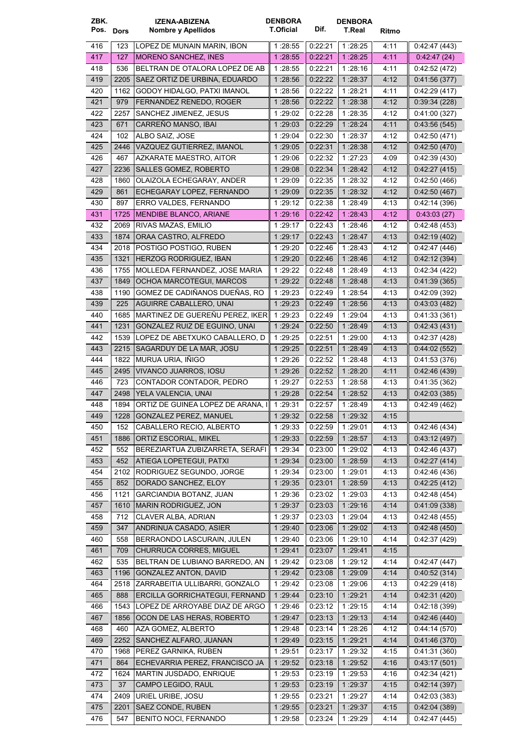| ZBK.<br>Pos. Dors |             | IZENA-ABIZENA<br>Nombre y Apellidos                            | <b>DENBORA</b><br><b>T.Oficial</b> | Dif.               | <b>DENBORA</b><br>T.Real | Ritmo        |                               |
|-------------------|-------------|----------------------------------------------------------------|------------------------------------|--------------------|--------------------------|--------------|-------------------------------|
| 416               | 123         | LOPEZ DE MUNAIN MARIN, IBON                                    | 1:28:55                            | 0.22:21            | 1:28:25                  | 4 11         | 0.42:47(443)                  |
| 417               | 127         | <b>MORENO SANCHEZ, INES</b>                                    | 1:28:55                            | 0.22.21            | 1 28:25                  | 4.11         | 0.42.47(24)                   |
| 418               | 536         | BELTRAN DE OTALORA LOPEZ DE AB                                 | 1:28:55                            | 0:22:21            | 1:28:16                  | 4:11         | 0.42:52(472)                  |
| 419               | 2205        | SAEZ ORTIZ DE URBINA, EDUARDO                                  | 1:28:56                            | 0.22.22            | 1:28:37                  | 4:12         | 0.41.56(377)                  |
| 420               | 1162        | GODOY HIDALGO, PATXI IMANOL                                    | 1:28:56                            | 0:22:22            | 1:28:21                  | 4:11         | 0.42:29(417)                  |
| 421               | 979         | FERNANDEZ RENEDO, ROGER                                        | 1:28:56                            | 0.22:22            | 1 28:38                  | 4:12         | 0.39.34(228)                  |
| 422               | 2257        | SANCHEZ JIMENEZ, JESUS                                         | 1:29:02                            | 0:22:28            | 1:28:35                  | 4:12         | 0:41:00 (327)                 |
| 423               | 671         | CARREÑO MANSO, IBAI                                            | 1:29:03                            | 0:22:29            | 1:28:24                  | 4:11         | 0.43:56(545)                  |
| 424               | 102         | ALBO SAIZ, JOSE                                                | 1:29:04                            | 0.22.30            | 1:28:37                  | 4:12         | 0.42:50(471)                  |
| 425               | 2446        | VAZQUEZ GUTIERREZ, IMANOL                                      | 1:29:05                            | 0.22.31            | 1:28:38                  | 4:12         | 0.42:50(470)                  |
| 426               | 467         | AZKARATE MAESTRO, AITOR                                        | 1 29:06                            | 0:22:32            | 1:27:23                  | 4:09         | 0.42:39(430)                  |
| 427               | 2236        | SALLES GOMEZ, ROBERTO                                          | 1:29:08                            | 0:22:34            | 1:28.42                  | 4:12         | 0.42:27(415)                  |
| 428               | 1860        | OLAIZOLA ECHEGARAY, ANDER                                      | 1:29:09                            | 0.22:35            | 1:28:32                  | 4:12         | 0.42:50(466)                  |
| 429               | 861         | ECHEGARAY LOPEZ, FERNANDO                                      | 1:29:09                            | 0.22.35            | 1:28:32                  | 4:12         | 0.42:50(467)                  |
| 430               | 897<br>1725 | ERRO VALDES, FERNANDO<br>MENDIBE BLANCO, ARIANE                | 1:29:12<br>1.29.16                 | 0.22:38<br>0.22:42 | 1:28:49<br>1 28:43       | 4:13<br>4:12 | 0.42:14(396)<br>0.43.03(27)   |
| 431<br>432        | 2069        | RIVAS MAZAS, EMILIO                                            | 1:29:17                            | 0:22:43            | 1:28:46                  | 4:12         |                               |
| 433               | 1874        | ORAA CASTRO, ALFREDO                                           | 1:29:17                            | 0.22.43            | 1:28:47                  | 4:13         | 0:42:48 (453)<br>0.42:19(402) |
| 434               | 2018        | POSTIGO POSTIGO, RUBEN                                         | 1:29:20                            | 0.22:46            | 1:28:43                  | 4:12         | 0.42:47(446)                  |
| 435               | 1321        | HERZOG RODRIGUEZ, IBAN                                         | 1 29:20                            | 0.22:46            | 1:28:46                  | 4:12         | 0.42:12(394)                  |
| 436               | 1755        | MOLLEDA FERNANDEZ, JOSE MARIA                                  | 1:29:22                            | 0:22:48            | 1:28:49                  | 4:13         | 0.42.34(422)                  |
| 437               | 1849        | OCHOA MARCOTEGUI, MARCOS                                       | 1:29:22                            | 0:22:48            | 1:28.48                  | 4:13         | 0.41.39(365)                  |
| 438               | 1190        | GOMEZ DE CADIÑANOS DUEÑAS, RO                                  | 1 29:23                            | 0.22:49            | 1:28:54                  | 4:13         | 0.42:09(392)                  |
| 439               | 225         | AGUIRRE CABALLERO, UNAI                                        | 1:29:23                            | 0.22:49            | 1:28:56                  | 4:13         | 0.43.03(482)                  |
| 440               | 1685        | MARTINEZ DE GUERENU PEREZ, IKER                                | 1 29:23                            | 0.22:49            | 1 29:04                  | 4:13         | 0.41:33(361)                  |
| 441               | 1231        | GONZALEZ RUIZ DE EGUINO, UNAI                                  | 1 29:24                            | 0.22:50            | 1:28:49                  | 4:13         | 0.42.43(431)                  |
| 442               | 1539        | LOPEZ DE ABETXUKO CABALLERO, D                                 | 1 29:25                            | 0:22:51            | 1:29:00                  | 4:13         | 0.42:37(428)                  |
| 443               | 2215        | SAGARDUY DE LA MAR, JOSU                                       | 1:29:25                            | 0.22:51            | 1:28:49                  | 4:13         | 0.44:02(552)                  |
| 444               | 1822        | MURUA URIA, IÑIGO                                              | 1:29:26                            | 0.22.52            | 1:28:48                  | 4:13         | 0.41:53(376)                  |
| 445               | 2495        | VIVANCO JUARROS, IOSU                                          | 1:29:26                            | 0.22:52            | 1:28:20                  | 4 11         | 0.42:46(439)                  |
| 446               | 723         | CONTADOR CONTADOR, PEDRO                                       | 1 29:27                            | 0:22:53            | 1:28:58                  | 4:13         | 0.41.35(362)                  |
| 447               | 2498        | YELA VALENCIA, UNAI                                            | 1 29:28                            | 0.22.54            | 1 28:52                  | 4:13         | 0.42:03(385)                  |
| 448               | 1894        | ORTIZ DE GUINEA LOPEZ DE ARANA. I                              | 1:29:31                            | 0:22:57            | 1:28:49                  | 4:13         | 0.42:49(462)                  |
| 449               | 1228        | GONZALEZ PEREZ, MANUEL                                         | 1:29:32                            | 0:22:58            | 1:29:32                  | 4:15         |                               |
| 450               | 152         | CABALLERO RECIO, ALBERTO                                       | 1:29:33                            | 0.22:59            | 1:29:01                  | 4:13         | 0.42:46(434)                  |
| 451               | 1886        | ORTIZ ESCORIAL, MIKEL                                          | 1:29:33                            | 0.22.59            | 1 28.57                  | 4:13         | 0.43:12(497)                  |
| 452               | 552         | BEREZIARTUA ZUBIZARRETA, SERAFI                                | 1:29:34                            | 0:23:00            | 1:29:02                  | 4:13         | 0.42:46(437)                  |
| 453               | 452         | ATIEGA LOPETEGUI, PATXI                                        | 1:29:34                            | 0.23.00            | 1:28:59                  | 4:13         | 0.42:27(414)                  |
| 454               | 2102        | RODRIGUEZ SEGUNDO, JORGE                                       | 1:29:34                            | 0:23:00            | 1:29:01                  | 4:13         | 0.42.46(436)                  |
| 455               | 852         | DORADO SANCHEZ, ELOY                                           | 1:29:35                            | 0.23.01            | 1:28:59                  | 4:13         | 0.42:25(412)                  |
| 456               | 1121        | GARCIANDIA BOTANZ, JUAN                                        | 1:29:36                            | 0:23:02            | 1:29:03                  | 4:13         | 0.42:48(454)                  |
| 457               | 1610        | MARIN RODRIGUEZ, JON                                           | 1:29:37                            | 0.23.03            | 1 29:16                  | 4:14         | 0.41.09(338)                  |
| 458               | 712         | CLAVER ALBA, ADRIAN                                            | 1:29:37                            | 0.23.03            | 1:29:04                  | 4:13         | 0.42:48(455)                  |
| 459               | 347         | ANDRINUA CASADO, ASIER                                         | 1:29:40                            | 0:23:06            | 1:29:02                  | 4:13         | 0.42.48(450)                  |
| 460               | 558         | BERRAONDO LASCURAIN, JULEN                                     | 1:29:40                            | 0.23:06            | 1:29:10                  | 4:14         | 0.42.37(429)                  |
| 461               | 709         | <b>CHURRUCA CORRES, MIGUEL</b>                                 | 1:29:41                            | 0.23:07            | 1:29:41                  | 4:15         |                               |
| 462               | 535         | BELTRAN DE LUBIANO BARREDO, AN                                 | 1:29:42                            | 0.23:08            | 1:29:12                  | 4:14         | 0.42:47(447)                  |
| 463<br>464        | 1196        | <b>GONZALEZ ANTON, DAVID</b><br>ZARRABEITIA ULLIBARRI, GONZALO | 1 29:42                            | 0.23.08            | 1:29:09                  | 4:14         | 0.40.52(314)                  |
| 465               | 2518<br>888 | ERCILLA GORRICHATEGUI, FERNAND                                 | 1:29:42<br>1:29:44                 | 0:23:08<br>0.23:10 | 1:29:06<br>1:29:21       | 4:13<br>4.14 | 0.42:29(418)<br>0.42:31(420)  |
| 466               | 1543        | LOPEZ DE ARROYABE DIAZ DE ARGO                                 | 1:29:46                            | 0:23:12            | 1:29:15                  | 4:14         | 0.42:18(399)                  |
| 467               | 1856        | OCON DE LAS HERAS, ROBERTO                                     | 1:29.47                            | 0.23.13            | 1 29 13                  | 4:14         | 0.42:46(440)                  |
| 468               | 460         | AZA GOMEZ, ALBERTO                                             | 1:29:48                            | 0:23:14            | 1:28:26                  | 4:12         | 0.44:14(570)                  |
| 469               | 2252        | SANCHEZ ALFARO, JUANAN                                         | 1:29:49                            | 0:23:15            | 1:29:21                  | 4.14         | 0.41.46(370)                  |
| 470               | 1968        | PEREZ GARNIKA, RUBEN                                           | 1:29:51                            | 0:23:17            | 1:29:32                  | 4:15         | 0.41.31(360)                  |
| 471               | 864         | ECHEVARRIA PEREZ, FRANCISCO JA                                 | 1:29:52                            | 0.23:18            | 1:29:52                  | 4:16         | 0.43:17(501)                  |
| 472               | 1624        | MARTIN JUSDADO, ENRIQUE                                        | 1:29:53                            | 0:23:19            | 1:29:53                  | 4:16         | 0.42:34(421)                  |
| 473               | 37          | CAMPO LEGIDO, RAUL                                             | 1:29:53                            | 0.23.19            | 1:29:37                  | 4:15         | 0.42:14(397)                  |
| 474               | 2409        | URIEL URIBE, JOSU                                              | 1:29:55                            | 0.23.21            | 1:29:27                  | 4:14         | 0.42:03(383)                  |
| 475               | 2201        | SAEZ CONDE, RUBEN                                              | 1:29:55                            | 0.23.21            | 1:29:37                  | 4:15         | 0.42:04(389)                  |
| 476               | 547         | BENITO NOCI, FERNANDO                                          | 1:29:58                            | 0:23:24            | 1:29:29                  | 4:14         | 0.42:47(445)                  |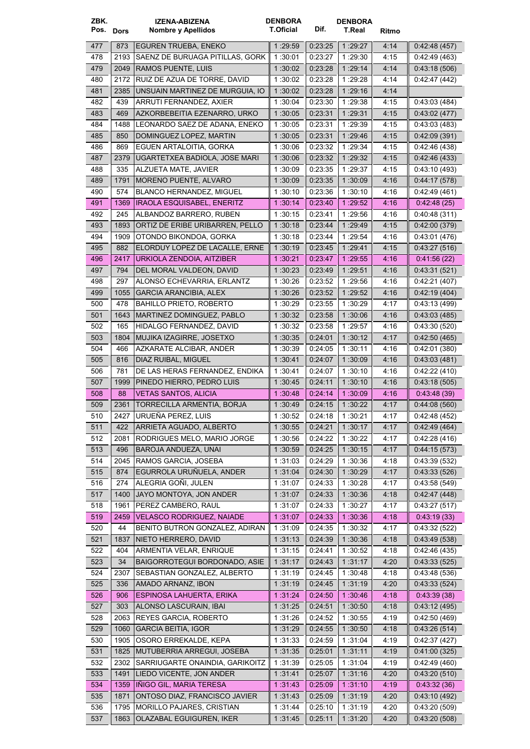| ZBK.<br>Pos. Dors |             | <b>IZENA-ABIZENA</b><br><b>Nombre y Apellidos</b>                  | <b>DENBORA</b><br><b>T.Oficial</b> | Dif.               | <b>DENBORA</b><br>T.Real | Ritmo        |                              |
|-------------------|-------------|--------------------------------------------------------------------|------------------------------------|--------------------|--------------------------|--------------|------------------------------|
| 477               | 873         | <b>EGUREN TRUEBA, ENEKO</b>                                        | 1 29:59                            | 0.23.25            | 1:29:27                  | 4:14         | 0.42:48(457)                 |
| 478               | 2193        | SAENZ DE BURUAGA PITILLAS, GORK                                    | 1:30:01                            | 0:23:27            | 1:29:30                  | 4:15         | 0.42.49(463)                 |
| 479               | 2049        | <b>RAMOS PUENTE, LUIS</b>                                          | 1 30 02                            | 0:23:28            | 1:29:14                  | 4:14         | 0.43:18(506)                 |
| 480               | 2172        | RUIZ DE AZUA DE TORRE, DAVID                                       | 1:30:02                            | 0:23:28            | 1:29:28                  | 4:14         | 0.42:47(442)                 |
| 481               | 2385        | UNSUAIN MARTINEZ DE MURGUIA, IO                                    | 1:30:02                            | 0.23.28            | 1:29:16                  | 4:14         |                              |
| 482               | 439         | ARRUTI FERNANDEZ, AXIER                                            | 1:30:04                            | 0.23:30            | 1:29:38                  | 4:15         | 0.43.03(484)                 |
| 483               | 469         | AZKORBEBEITIA EZENARRO, URKO                                       | 1 30:05                            | 0:23:31            | 1 29:31                  | 4.15         | 0.43.02(477)                 |
| 484               | 1488        | LEONARDO SAEZ DE ADANA, ENEKO                                      | 1:30:05                            | 0.23:31            | 1:29:39                  | 4:15         | 0.43.03(483)                 |
| 485               | 850         | DOMINGUEZ LOPEZ, MARTIN                                            | 1:30:05                            | 0:23:31            | 1:29:46                  | 4:15         | 0.42:09(391)                 |
| 486               | 869         | EGUEN ARTALOITIA, GORKA                                            | 1 30:06                            | 0:23:32            | 1:29:34                  | 4:15         | 0.42:46(438)                 |
| 487               | 2379        | UGARTETXEA BADIOLA, JOSE MARI                                      | 1:30:06                            | 0.23.32            | 1 .29:32                 | 4:15         | 0.42.46(433)                 |
| 488               | 335         | ALZUETA MATE, JAVIER                                               | 1 30:09                            | 0:23:35            | 1:29:37                  | 4:15         | 0.43.10(493)                 |
| 489               | 1791        | MORENO PUENTE, ALVARO                                              | 1:30:09                            | 0:23:35            | 1:30:09                  | 4:16         | 0.44:17(578)                 |
| 490               | 574         | BLANCO HERNANDEZ, MIGUEL                                           | 1:30:10                            | 0:23:36            | 1:30:10                  | 4:16         | 0.42:49(461)                 |
| 491               | 1369        | <b>IRAOLA ESQUISABEL, ENERITZ</b>                                  | 1:30.14                            | 0.23.40            | 1 29:52                  | 4:16         | 0.42:48(25)                  |
| 492               | 245         | ALBANDOZ BARRERO, RUBEN                                            | 1:30:15                            | 0:23:41            | 1:29:56                  | 4:16         | 0.40.48(311)                 |
| 493               | 1893        | ORTIZ DE ERIBE URIBARREN, PELLO                                    | 1:30:18                            | 0:23:44            | 1 29:49                  | 4.15         | 0.42:00(379)                 |
| 494               | 1909        | OTONDO BIKONDOA, GORKA                                             | 1:30:18                            | 0:23:44            | 1:29:54                  | 4:16         | 0:43:01 (476)                |
| 495               | 882         | ELORDUY LOPEZ DE LACALLE, ERNE<br>URKIOLA ZENDOIA. AITZIBER        | 1:30:19                            | 0.23:45<br>0:23:47 | 1 29:41                  | 4:15         | 0.43:27(516)                 |
| 496<br>497        | 2417<br>794 | DEL MORAL VALDEON, DAVID                                           | 1:30:21                            | 0.23.49            | 1 29:55                  | 4:16         | 0.41.56(22)<br>0.43.31(521)  |
| 498               | 297         | ALONSO ECHEVARRIA, ERLANTZ                                         | 1:30:23<br>1:30:26                 | 0:23:52            | 1:29:51<br>1:29:56       | 4:16<br>4:16 | 0.42:21(407)                 |
| 499               | 1055        | GARCIA ARANCIBIA, ALEX                                             | 1:30:26                            | 0:23:52            | 1:29:52                  | 4:16         | 0.42.19(404)                 |
| 500               | 478         | <b>BAHILLO PRIETO, ROBERTO</b>                                     | 1:30:29                            | 0:23:55            | 1:30:29                  | 4:17         | 0.43.13(499)                 |
| 501               | 1643        | MARTINEZ DOMINGUEZ, PABLO                                          | 1:30:32                            | 0.23.58            | 1:30:06                  | 4:16         | 0:43:03(485)                 |
| 502               | 165         | HIDALGO FERNANDEZ, DAVID                                           | 1:30:32                            | 0.23:58            | 1:29:57                  | 4:16         | 0.43.30(520)                 |
| 503               | 1804        | MUJIKA IZAGIRRE, JOSETXO                                           | 1:30:35                            | 0:24:01            | 1:30:12                  | 4.17         | 0.42:50(465)                 |
| 504               | 466         | AZKARATE ALCIBAR, ANDER                                            | 1 30:39                            | 0.24:05            | 1:30:11                  | 4:16         | 0.42:01(380)                 |
| 505               | 816         | DIAZ RUIBAL, MIGUEL                                                | 1 30:41                            | 0.24.07            | 1 30:09                  | 4:16         | 0.43.03(481)                 |
| 506               | 781         | DE LAS HERAS FERNANDEZ. ENDIKA                                     | 1:30:41                            | 0:24:07            | 1:30:10                  | 4:16         | 0.42:22(410)                 |
| 507               | 1999        | PINEDO HIERRO, PEDRO LUIS                                          | 1:30:45                            | 0:24:11            | 1:30:10                  | 4:16         | 0.43:18(505)                 |
| 508               | 88          | <b>VETAS SANTOS, ALICIA</b>                                        | 1:30:48                            | 0.24.14            | 1 30:09                  | 4:16         | 0.43.48(39)                  |
| 509               | 2361        | TORRECILLA ARMENTIA, BORJA                                         | 1:30.49                            | 0:24:15            | 1:30.22                  | 4:17         | 0.44:08(560)                 |
| 510               |             | 2427   URUEÑA PEREZ, LUIS                                          | 1:30:52                            | 0:24:18            | 1:30:21                  | 4:17         | 0.42:48(452)                 |
| 511               | 422         | ARRIETA AGUADO, ALBERTO                                            | 1:30:55                            | 0.24.21            | 1:30:17                  | 4:17         | 0.42:49(464)                 |
| 512               | 2081        | RODRIGUES MELO, MARIO JORGE                                        | 1:30:56                            | 0:24:22            | 1:30:22                  | 4:17         | 0.42:28(416)                 |
| 513               | 496         | BAROJA ANDUEZA, UNAI                                               | 1:30:59                            | 0.24.25            | 1:30:15                  | 4:17         | 0.44:15(573)                 |
| 514               | 2045        | RAMOS GARCIA, JOSEBA                                               | 1:31:03                            | 0:24:29            | 1:30:36                  | 4:18         | 0.43:39(532)                 |
| 515               | 874         | EGURROLA URUÑUELA, ANDER                                           | 1:31:04                            | 0.24.30            | 1:30:29                  | 4:17         | 0.43:33(526)                 |
| 516               | 274         | ALEGRIA GOÑI, JULEN                                                | 1:31:07                            | 0.24.33            | 1:30:28                  | 4:17         | 0.43.58(549)                 |
| 517               | 1400        | JAYO MONTOYA, JON ANDER                                            | 1:31:07                            | 0:24:33            | 1:30:36                  | 4:18         | 0.42:47(448)                 |
| 518               | 1961        | PEREZ CAMBERO, RAUL                                                | 1:31:07                            | 0:24:33            | 1:30:27                  | 4:17         | 0.43.27(517)                 |
| 519               | 2459<br>44  | <b>VELASCO RODRIGUEZ, NAIADE</b><br>BENITO BUTRON GONZALEZ, ADIRAN | 1:31:07                            | 0.24.33<br>0.24.35 | 1:30:36<br>1:30:32       | 4:18         | 0.43.19(33)                  |
| 520<br>521        | 1837        | NIETO HERRERO, DAVID                                               | 1:31:09<br>1:31:13                 | 0:24:39            | 1:30:36                  | 4:17<br>4:18 | 0.43.32(522)<br>0.43.49(538) |
| 522               | 404         | ARMENTIA VELAR, ENRIQUE                                            | 1:31:15                            | 0:24:41            | 1:30:52                  | 4:18         | 0.42:46(435)                 |
| 523               | 34          | BAIGORROTEGUI BORDONADO, ASIE                                      | 1:31:17                            | 0.24.43            | 1:31:17                  | 4:20         | 0.43:33(525)                 |
| 524               | 2307        | SEBASTIAN GONZALEZ, ALBERTO                                        | 1:31:19                            | 0.24.45            | 1:30:48                  | 4:18         | 0.43.48(536)                 |
| 525               | 336         | AMADO ARNANZ, IBON                                                 | 1:31:19                            | 0.24.45            | 1:31:19                  | 4:20         | 0.43.33(524)                 |
| 526               | 906         | ESPINOSA LAHUERTA, ERIKA                                           | 1:31:24                            | 0.24:50            | 1:30.46                  | 4:18         | 0.43.39(38)                  |
| 527               | 303         | ALONSO LASCURAIN, IBAI                                             | 1:31:25                            | 0.24.51            | 1:30:50                  | 4:18         | 0.43:12(495)                 |
| 528               | 2063        | REYES GARCIA, ROBERTO                                              | 1:31:26                            | 0:24:52            | 1:30:55                  | 4:19         | 0.42:50(469)                 |
| 529               | 1060        | <b>GARCIA BEITIA, IGOR</b>                                         | 1:31:29                            | 0:24:55            | 1:30:50                  | 4:18         | 0.43:26(514)                 |
| 530               | 1905        | OSORO ERREKALDE, KEPA                                              | 1:31:33                            | 0.24.59            | 1:31:04                  | 4:19         | 0.42:37(427)                 |
| 531               | 1825        | MUTUBERRIA ARREGUI, JOSEBA                                         | 1:31:35                            | 0.25.01            | 1:31:11                  | 4:19         | 0.41:00(325)                 |
| 532               | 2302        | SARRIUGARTE ONAINDIA, GARIKOITZ                                    | 1:31:39                            | 0.25:05            | 1:31:04                  | 4:19         | 0.42:49(460)                 |
| 533               | 1491        | LIEDO VICENTE, JON ANDER                                           | 1 31 41                            | 0.25:07            | 1:31:16                  | 4:20         | 0.43:20(510)                 |
| 534               | 1359        | IÑIGO GIL, MARIA TERESA                                            | 1:31:43                            | 0.25:09            | 1:31:10                  | 4:19         | 0.43.32(36)                  |
| 535               | 1871        | ONTOSO DIAZ, FRANCISCO JAVIER                                      | 1:31:43                            | 0.25.09            | 1:31:19                  | 4:20         | 0.43:10(492)                 |
| 536               | 1795        | <b>MORILLO PAJARES, CRISTIAN</b>                                   | 1 31 44                            | 0.25.10            | 1:31:19                  | 4:20         | 0:43:20(509)                 |
| 537               | 1863        | OLAZABAL EGUIGUREN, IKER                                           | 1:31:45                            | 0:25:11            | 1:31:20                  | 4:20         | 0.43:20(508)                 |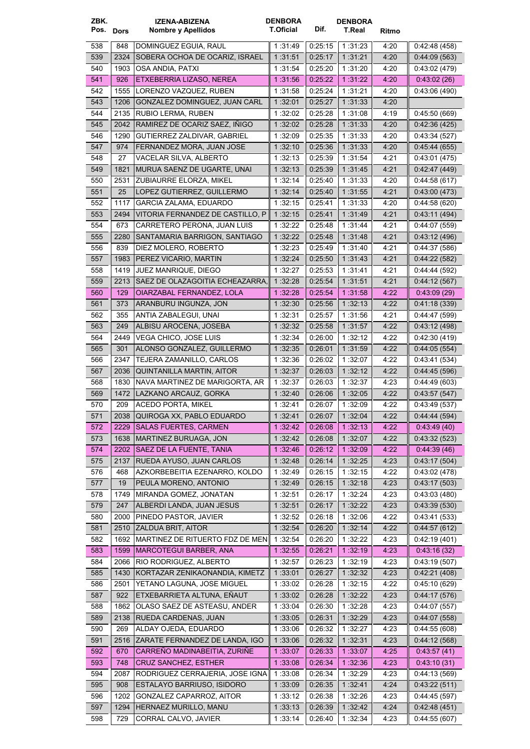| ZBK.<br>Pos. Dors |              | IZENA-ABIZENA<br>Nombre y Apellidos                         | <b>DENBORA</b><br>T.Oficial | Dif.               | <b>DENBORA</b><br>T.Real | Ritmo        |                              |
|-------------------|--------------|-------------------------------------------------------------|-----------------------------|--------------------|--------------------------|--------------|------------------------------|
| 538               | 848          | DOMINGUEZ EGUIA, RAUL                                       | 1:31:49                     | 0:25:15            | 1:31:23                  | 4:20         | 0.42:48(458)                 |
| 539               | 2324         | SOBERA OCHOA DE OCARIZ, ISRAEL                              | 1:31:51                     | 0:25:17            | 1 31:21                  | 4:20         | 0.44.09(563)                 |
| 540               | 1903         | OSA ANDIA, PATXI                                            | 1:31:54                     | 0.25:20            | 1 31:20                  | 4:20         | 0.43.02(479)                 |
| 541               | 926          | ETXEBERRIA LIZASO, NEREA                                    | 1 31:56                     | 0.25.22            | 1:31:22                  | 4:20         | 0.43.02(26)                  |
| 542               | 1555         | LORENZO VAZQUEZ, RUBEN                                      | 1:31:58                     | 0.25:24            | 1:31:21                  | 4:20         | 0:43:06 (490)                |
| 543               | 1206         | GONZALEZ DOMINGUEZ, JUAN CARL                               | 1:32:01                     | 0.25.27            | 1 31 33                  | 4:20         |                              |
| 544               | 2135         | RUBIO LERMA, RUBEN                                          | 1:32:02                     | 0:25:28            | 1:31:08                  | 4:19         | 0.45:50(669)                 |
| 545               | 2042         | RAMIREZ DE OCARIZ SAEZ, IÑIGO                               | 1:32:02                     | 0.25.28            | 1:31:33                  | 4:20         | 0.42.36(425)                 |
| 546               | 1290         | GUTIERREZ ZALDIVAR, GABRIEL                                 | 1:32:09                     | 0.25.35            | 1:31:33                  | 4:20         | 0.43.34(527)                 |
| 547               | 974          | FERNANDEZ MORA, JUAN JOSE                                   | 1:32:10                     | 0.25.36            | 1:31:33                  | 4:20         | 0.45.44(655)                 |
| 548               | 27           | VACELAR SILVA, ALBERTO                                      | 1:32:13                     | 0:25:39            | 1:31:54                  | 4.21         | 0.43.01(475)                 |
| 549               | 1821         | MURUA SAENZ DE UGARTE, UNAI                                 | 1:32:13                     | 0:25:39            | 1 31 45                  | 4:21         | 0.42:47(449)                 |
| 550               | 2531         | ZUBIAURRE ELORZA, MIKEL                                     | 1:32:14                     | 0.25:40            | 1:31:33                  | 4:20         | 0.44.58(617)                 |
| 551               | 25           | LOPEZ GUTIERREZ, GUILLERMO                                  | 1:32:14                     | 0.25.40            | 1:31:55                  | 4:21         | 0.43.00(473)                 |
| 552               | 1117         | <b>GARCIA ZALAMA, EDUARDO</b>                               | 1:32:15                     | 0:25:41            | 1:31:33                  | 4:20         | 0.44.58(620)                 |
| 553               | 2494         | VITORIA FERNANDEZ DE CASTILLO, P                            | 1:32:15                     | 0:25.41            | 1 31 49                  | 4:21         | 0.43:11 (494)                |
| 554               | 673          | CARRETERO PERONA, JUAN LUIS                                 | 1 32:22                     | 0.25.48            | 1:31:44                  | 4:21         | 0:44:07 (559)                |
| 555               | 2280         | SANTAMARIA BARRIGON, SANTIAGO                               | 1:32:22                     | 0.25.48            | 1:31:48                  | 4:21         | 0.43:12(496)                 |
| 556               | 839          | DIEZ MOLERO, ROBERTO                                        | 1:32:23                     | 0.25.49            | 1:31:40                  | 4:21         | 0.44.37(586)                 |
| 557               | 1983         | PEREZ VICARIO, MARTIN                                       | 1:32:24                     | 0.25:50            | 1:31:43                  | 4:21         | 0.44:22(582)                 |
| 558               | 1419         | JUEZ MANRIQUE, DIEGO                                        | 1:32:27                     | 0:25:53            | 1:31:41                  | 4:21         | 0.44.44(592)                 |
| 559               | 2213         | SAEZ DE OLAZAGOITIA ECHEAZARRA.                             | 1:32:28                     | 0:25:54            | 1:31:51                  | 4:21         | 0.44:12(567)                 |
| 560               | 129          | OIARZABAL FERNANDEZ, LOLA                                   | 1:32:28                     | 0.25:54            | 1:31:58                  | 4:22         | 0.43.09(29)                  |
| 561               | 373          | ARANBURU INGUNZA, JON                                       | 1:32:30                     | 0:25:56            | 1:32:13                  | 4:22         | 0.41:18(339)                 |
| 562               | 355          | ANTIA ZABALEGUI, UNAI                                       | 1:32:31                     | 0.25:57            | 1:31:56                  | 4:21         | 0.44:47(599)                 |
| 563               | 249          | ALBISU AROCENA, JOSEBA                                      | 1:32:32                     | 0.25:58            | 1:31:57                  | 4:22         | 0.43.12(498)                 |
| 564               | 2449         | VEGA CHICO, JOSE LUIS                                       | 1:32:34                     | 0.26:00            | 1:32:12                  | 4:22         | 0:42:30 (419)                |
| 565               | 301          | ALONSO GONZALEZ, GUILLERMO                                  | 1:32:35                     | 0.26.01            | 1:31:59                  | 4:22         | 0.44:05(554)                 |
| 566               | 2347         | TEJERA ZAMANILLO, CARLOS                                    | 1:32:36                     | 0.26.02            | 1:32:07                  | 4:22         | 0:43:41 (534)                |
| 567<br>568        | 2036<br>1830 | QUINTANILLA MARTIN, AITOR<br>NAVA MARTINEZ DE MARIGORTA, AR | 1:32:37<br>1 32 37          | 0:26:03<br>0:26:03 | 1:32:12<br>1 32 37       | 4:22<br>4:23 | 0.44.45(596)                 |
| 569               | 1472         | LAZKANO ARCAUZ, GORKA                                       | 1:32:40                     | 0.26.06            | 1:32:05                  | 4:22         | 0.44.49(603)<br>0.43:57(547) |
| 570               | 209          | <b>ACEDO PORTA, MIKEL</b>                                   | 1 32:41                     | 0.26.07            | 1:32:09                  | 4:22         | 0:43:49(537)                 |
| 5/1               | 2038         | QUIROGA XX, PABLO EDUARDO                                   | 1:32:41                     | 0:26:07            | 1:32:04                  | 4:22         | 0.44.44(594)                 |
| 572               | 2229         | <b>SALAS FUERTES, CARMEN</b>                                | 1:32:42                     | 0:26:08            | 1:32:13                  | 4:22         | 0.43.49(40)                  |
| 573               | 1638         | MARTINEZ BURUAGA, JON                                       | 1.32:42                     | 0.26:08            | 1:32.07                  | 4:22         | 0.43.32(523)                 |
| 574               | 2202         | SAEZ DE LA FUENTE, TANIA                                    | 1:32:46                     | 0.26.12            | 1 32 09                  | 4:22         | 0.44.39(46)                  |
| 575               | 2137         | RUEDA AYUSO, JUAN CARLOS                                    | 1:32:48                     | 0.26.14            | 1:32:25                  | 4:23         | 0:43:17(504)                 |
| 576               | 468          | AZKORBEBEITIA EZENARRO, KOLDO                               | 1 32:49                     | 0:26:15            | 1:32:15                  | 4:22         | 0.43:02(478)                 |
| 577               | 19           | PEULA MORENO, ANTONIO                                       | 1:32:49                     | 0.26:15            | 1:32:18                  | 4:23         | 0.43:17(503)                 |
| 578               | 1749         | MIRANDA GOMEZ, JONATAN                                      | 1:32:51                     | 0:26:17            | 1:32:24                  | 4:23         | 0.43.03(480)                 |
| 579               | 247          | ALBERDI LANDA, JUAN JESUS                                   | 1:32:51                     | 0.26:17            | 1:32:22                  | 4:23         | 0.43.39(530)                 |
| 580               | 2000         | PINEDO PASTOR, JAVIER                                       | 1:32:52                     | 0.26.18            | 1:32:06                  | 4:22         | 0:43:41(533)                 |
| 581               | 2510         | ZALDUA BRIT, AITOR                                          | 1:32:54                     | 0.26:20            | 1:32:14                  | 4:22         | 0.44:57(612)                 |
| 582               | 1692         | MARTINEZ DE RITUERTO FDZ DE MEN                             | 1:32:54                     | 0:26:20            | 1:32:22                  | 4:23         | 0.42:19(401)                 |
| 583               | 1599         | <b>MARCOTEGUI BARBER, ANA</b>                               | 1:32:55                     | 0.26:21            | 1:32:19                  | 4:23         | 0:43:16 (32)                 |
| 584               | 2066         | RIO RODRIGUEZ, ALBERTO                                      | 1:32:57                     | 0.26:23            | 1:32:19                  | 4:23         | 0:43:19 (507)                |
| 585               | 1430         | KORTAZAR ZENIKAONANDIA, KIMETZ                              | 1:33:01                     | 0.26:27            | 1:32:32                  | 4:23         | 0.42:21(408)                 |
| 586               | 2501         | YETANO LAGUNA, JOSE MIGUEL                                  | 1:33:02                     | 0:26:28            | 1:32:15                  | 4:22         | 0.45:10(629)                 |
| 587               | 922          | ETXEBARRIETA ALTUNA, EÑAUT                                  | 1:33:02                     | 0.26:28            | 1:32:22                  | 4:23         | 0.44:17(576)                 |
| 588               | 1862         | OLASO SAEZ DE ASTEASU, ANDER                                | 1:33:04                     | 0:26:30            | 1:32:28                  | 4:23         | 0.44:07(557)                 |
| 589               | 2138         | RUEDA CARDENAS, JUAN                                        | 1:33:05                     | 0:26:31            | 1 32 29                  | 4:23         | 0.44:07(558)                 |
| 590               | 269          | ALDAY OJEDA, EDUARDO                                        | 1:33:06                     | 0.26:32            | 1:32:27                  | 4:23         | 0.44.55(608)                 |
| 591               | 2516         | ZARATE FERNANDEZ DE LANDA, IGO                              | 1:33:06                     | 0:26:32            | 1:32:31                  | 4:23         | 0.44:12(568)                 |
| 592               | 670          | CARREÑO MADINABEITIA, ZURIÑE                                | 1:33:07                     | 0:26:33            | 1:33:07                  | 4:25         | 0.43.57(41)                  |
| 593               | 748          | <b>CRUZ SANCHEZ, ESTHER</b>                                 | 1:33:08                     | 0.26:34            | 1:32:36                  | 4:23         | 0.43.10(31)                  |
| 594               | 2087         | RODRIGUEZ CERRAJERIA, JOSE IGNA                             | 1:33:08                     | 0.26.34            | 1:32:29                  | 4:23         | 0:44:13 (569)                |
| 595               | 908          | ESTALAYO BARRIUSO, ISIDORO                                  | 1:33:09                     | 0.26.35            | 1:32:41                  | 4:24         | 0.43:22(511)                 |
| 596               | 1202         | GONZALEZ CAPARROZ, AITOR                                    | 1:33:12                     | 0.26.38            | 1:32:26                  | 4:23         | 0:44:45(597)                 |
| 597               | 1294         | HERNAEZ MURILLO, MANU                                       | 1:33:13                     | 0.26.39            | 1:32:42                  | 4:24         | 0.42:48(451)                 |
| 598               | 729          | CORRAL CALVO, JAVIER                                        | 1:33:14                     | 0:26:40            | 1:32:34                  | 4:23         | 0:44:55(607)                 |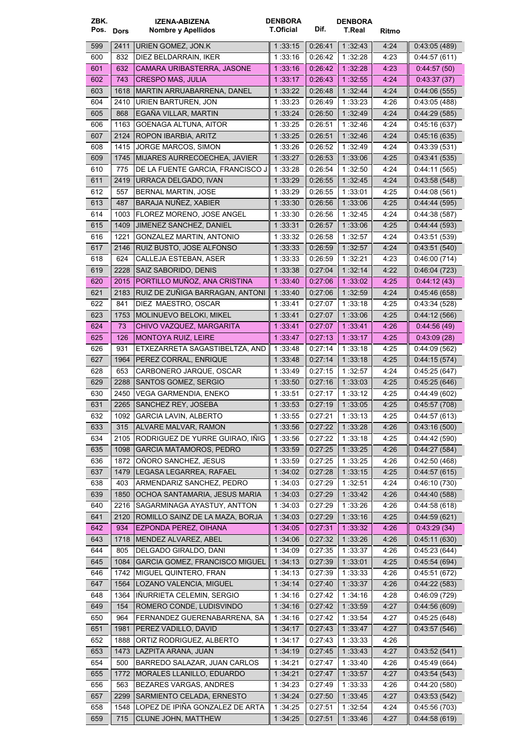| ZBK.      |      | <b>IZENA-ABIZENA</b>                  | <b>DENBORA</b> |         | <b>DENBORA</b> |       |               |
|-----------|------|---------------------------------------|----------------|---------|----------------|-------|---------------|
| Pos. Dors |      | Nombre y Apellidos                    | T.Oficial      | Dif.    | T.Real         | Ritmo |               |
| 599       | 2411 | URIEN GOMEZ, JON.K                    | 1:33:15        | 0:26:41 | 1:32:43        | 4:24  | 0.43:05(489)  |
| 600       | 832  | DIEZ BELDARRAIN, IKER                 | 1:33:16        | 0:26:42 | 1:32:28        | 4:23  | 0.44:57(611)  |
| 601       | 632  | CAMARA URIBASTERRA, JASONE            | 1:33:16        | 0.26.42 | 1:32:28        | 4:23  | 0.44.57(50)   |
| 602       | 743  | <b>CRESPO MAS, JULIA</b>              | 1.33.17        | 0.26:43 | 1:32:55        | 4:24  | 0.43:37(37)   |
| 603       |      | 1618   MARTIN ARRUABARRENA, DANEL     | 1:33:22        | 0.26.48 | 1 32 44        | 4:24  | 0.44:06(555)  |
| 604       | 2410 | URIEN BARTUREN, JON                   | 1:33:23        | 0.26:49 | 1:33:23        | 4:26  | 0.43.05(488)  |
| 605       | 868  | EGAÑA VILLAR, MARTIN                  | 1:33:24        | 0.26.50 | 1:32:49        | 4:24  | 0.44:29(585)  |
| 606       | 1163 | GOENAGA ALTUNA, AITOR                 | 1:33:25        | 0:26:51 | 1:32:46        | 4:24  | 0.45:16(637)  |
| 607       | 2124 | ROPON IBARBIA, ARITZ                  | 1 33:25        | 0:26:51 | 1 32 46        | 4:24  | 0.45:16(635)  |
| 608       | 1415 | JORGE MARCOS, SIMON                   | 1 33:26        | 0:26:52 | 1 32:49        | 4:24  | 0.43.39(531)  |
| 609       | 1745 | MIJARES AURRECOECHEA, JAVIER          | 1:33:27        | 0.26.53 | 1:33:06        | 4:25  | 0.43.41(535)  |
| 610       | 775  | DE LA FUENTE GARCIA, FRANCISCO J      | 1:33:28        | 0.26:54 | 1:32:50        | 4:24  | 0.44:11(565)  |
| 611       | 2419 | URRACA DELGADO, IVAN                  | 1:33:29        | 0.26.55 | 1:32:45        | 4:24  | 0.43.58(548)  |
| 612       | 557  | <b>BERNAL MARTIN, JOSE</b>            | 1:33:29        | 0.26:55 | 1 33:01        | 4:25  | 0.44.08(561)  |
| 613       | 487  | BARAJA NUÑEZ, XABIER                  | 1:33:30        | 0.26:56 | 1 33:06        | 4:25  | 0.44.44(595)  |
| 614       | 1003 | FLOREZ MORENO, JOSE ANGEL             | 1:33:30        | 0:26:56 | 1:32:45        | 4:24  | 0.44.38(587)  |
| 615       | 1409 | JIMENEZ SANCHEZ, DANIEL               | 1:33:31        | 0.26.57 | 1:33:06        | 4:25  | 0.44.44(593)  |
| 616       | 1221 | GONZALEZ MARTIN, ANTONIO              | 1:33:32        | 0:26:58 | 1:32:57        | 4:24  | 0.43:51(539)  |
| 617       | 2146 | RUIZ BUSTO, JOSE ALFONSO              | 1:33:33        | 0:26:59 | 1 32:57        | 4:24  | 0.43:51 (540) |
| 618       | 624  | CALLEJA ESTEBAN, ASER                 | 1 33:33        | 0:26:59 | 1:32:21        | 4:23  | 0.46.00(714)  |
| 619       | 2228 | SAIZ SABORIDO, DENIS                  | 1:33:38        | 0.27.04 | 1:32:14        | 4:22  | 0.46.04(723)  |
| 620       | 2015 | PORTILLO MUÑOZ, ANA CRISTINA          | 1:33:40        | 0.27.06 | 1:33:02        | 4:25  | 0.44:12(43)   |
| 621       | 2183 | RUIZ DE ZUÑIGA BARRAGAN, ANTONI       | 1:33:40        | 0.27.06 | 1:32:59        | 4:24  | 0.45:46(658)  |
| 622       | 841  | DIEZ MAESTRO, OSCAR                   | 1:33:41        | 0.27:07 | 1:33:18        | 4:25  | 0.43.34(528)  |
| 623       | 1753 | MOLINUEVO BELOKI, MIKEL               | 1:33:41        | 0.27:07 | 1:33:06        | 4:25  | 0.44:12(566)  |
| 624       | 73   | CHIVO VAZQUEZ, MARGARITA              | 1:33:41        | 0.27:07 | 1:33.41        | 4:26  | 0.44.56(49)   |
| 625       | 126  | <b>MONTOYA RUIZ, LEIRE</b>            | 1:33.47        | 0.27:13 | 1:33:17        | 4:25  | 0.43.09(28)   |
| 626       | 931  | ETXEZARRETA SAGASTIBELTZA, AND        | 1:33:48        | 0.27:14 | 1:33:18        | 4:25  | 0.44.09(562)  |
| 627       | 1964 | PEREZ CORRAL, ENRIQUE                 | 1 33:48        | 0.27:14 | 1:33:18        | 4:25  | 0.44:15(574)  |
| 628       | 653  | CARBONERO JARQUE, OSCAR               | 1:33:49        | 0.27:15 | 1:32:57        | 4:24  | 0.45:25(647)  |
| 629       | 2288 | SANTOS GOMEZ, SERGIO                  | 1:33:50        | 0.27:16 | 1:33:03        | 4:25  | 0.45:25(646)  |
| 630       | 2450 | VEGA GARMENDIA, ENEKO                 | 1:33:51        | 0.27:17 | 1:33:12        | 4:25  | 0.44.49(602)  |
| 631       | 2265 | SANCHEZ REY, JOSEBA                   | 1:33:53        | 0.27.19 | 1:33:05        | 4:25  | 0.45:57(708)  |
| 632       |      | 1092   GARCIA LAVIN, ALBERTO          | 1:33:55        | 0:27:21 | 1:33:13        | 4:25  | 0.44.57(613)  |
| 633       | 315  | <b>ALVARE MALVAR, RAMON</b>           | 1:33:56        | 0.27.22 | 1 33 28        | 4:26  | 0.43:16(500)  |
| 634       | 2105 | RODRIGUEZ DE YURRE GUIRAO, IÑIG       | 1:33:56        | 0.27:22 | 1:33:18        | 4:25  | 0.44.42(590)  |
| 635       | 1098 | <b>GARCIA MATAMOROS, PEDRO</b>        | 1:33:59        | 0.27.25 | 1:33:25        | 4.26  | 0.44:27(584)  |
| 636       | 1872 | ONORO SANCHEZ, JESUS                  | 1:33:59        | 0.27:25 | 1:33:25        | 4:26  | 0.42:50(468)  |
| 637       |      | 1479   LEGASA LEGARREA, RAFAEL        | 1:34:02        | 0.27.28 | 1:33:15        | 4:25  | 0.44:57(615)  |
| 638       | 403  | ARMENDARIZ SANCHEZ, PEDRO             | 1:34:03        | 0.27.29 | 1:32:51        | 4:24  | 0.46:10(730)  |
| 639       | 1850 | OCHOA SANTAMARIA, JESUS MARIA         | 1:34:03        | 0.27:29 | 1:33:42        | 4:26  | 0.44:40(588)  |
| 640       | 2216 | SAGARMINAGA AYASTUY, ANTTON           | 1:34:03        | 0.27:29 | 1:33.26        | 4:26  | 0.44.58(618)  |
| 641       | 2120 | ROMILLO SAINZ DE LA MAZA, BORJA       | 1:34:03        | 0.27.29 | 1:33:16        | 4:25  | 0.44.59(621)  |
| 642       | 934  | EZPONDA PEREZ, OIHANA                 | 1:34:05        | 0.27:31 | 1:33:32        | 4:26  | 0.43.29(34)   |
| 643       |      | 1718   MENDEZ ALVAREZ, ABEL           | 1:34:06        | 0.27:32 | 1:33:26        | 4:26  | 0.45:11(630)  |
| 644       | 805  | DELGADO GIRALDO, DANI                 | 1:34:09        | 0.27:35 | 1:33:37        | 4:26  | 0.45:23(644)  |
| 645       | 1084 | <b>GARCIA GOMEZ, FRANCISCO MIGUEL</b> | 1:34:13        | 0.27:39 | 1:33:01        | 4.25  | 0.45.54(694)  |
| 646       | 1742 | MIGUEL QUINTERO, FRAN                 | 1:34:13        | 0.27:39 | 1:33:33        | 4:26  | 0.45:51(672)  |
| 647       | 1564 | LOZANO VALENCIA, MIGUEL               | 1:34:14        | 0.27.40 | 1:33:37        | 4:26  | 0.44:22(583)  |
| 648       | 1364 | IÑURRIETA CELEMIN, SERGIO             | 1:34:16        | 0.27:42 | 1:34:16        | 4:28  | 0.46.09(729)  |
| 649       | 154  | ROMERO CONDE, LUDISVINDO              | 1:34:16        | 0.27:42 | 1:33:59        | 4:27  | 0.44.56(609)  |
| 650       | 964  | FERNANDEZ GUERENABARRENA, SA          | 1:34:16        | 0.27:42 | 1:33:54        | 4:27  | 0.45:25(648)  |
| 651       | 1981 | PEREZ VADILLO, DAVID                  | 1:34:17        | 0.27.43 | 1:33:47        | 4:27  | 0.43:57(546)  |
| 652       | 1888 | ORTIZ RODRIGUEZ, ALBERTO              | 1:34:17        | 0.27:43 | 1 33 33        | 4:26  |               |
| 653       |      | 1473   LAZPITA ARANA, JUAN            | 1:34:19        | 0.27.45 | 1 33 43        | 4:27  | 0.43:52(541)  |
| 654       | 500  | BARREDO SALAZAR, JUAN CARLOS          | 1:34:21        | 0.27:47 | 1:33:40        | 4:26  | 0.45:49(664)  |
| 655       | 1772 | MORALES LLANILLO, EDUARDO             | 1 34 21        | 0.27:47 | 1:33:57        | 4.27  | 0.43.54(543)  |
| 656       | 563  | BEZARES VARGAS, ANDRES                | 1:34:23        | 0.27:49 | 1:33:33        | 4:26  | 0.44:20(580)  |
| 657       | 2299 | SARMIENTO CELADA, ERNESTO             | 1:34:24        | 0.27:50 | 1:33.45        | 4:27  | 0:43:53 (542) |
| 658       | 1548 | LOPEZ DE IPIÑA GONZALEZ DE ARTA       | 1:34:25        | 0.27:51 | 1:32:54        | 4:24  | 0.45:56(703)  |
| 659       | 715  | CLUNE JOHN, MATTHEW                   | 1:34:25        | 0:27:51 | 1:33:46        | 4:27  | 0.44:58(619)  |
|           |      |                                       |                |         |                |       |               |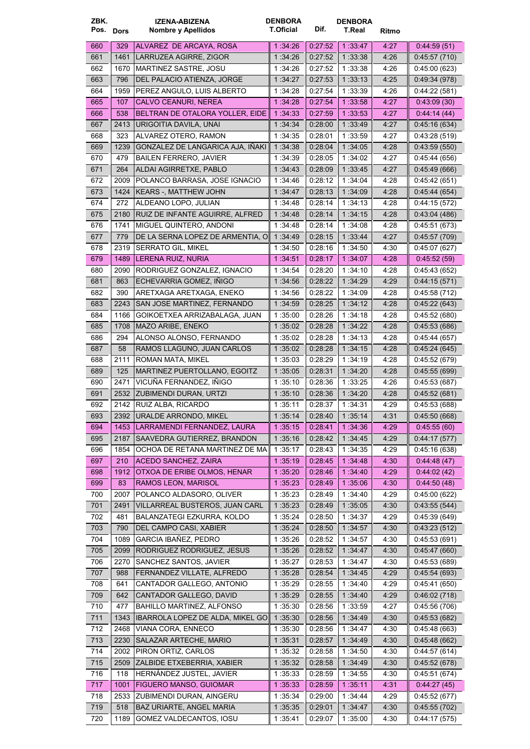| ZBK.<br>Pos. Dors |             | <b>IZENA-ABIZENA</b><br>Nombre y Apellidos             | <b>DENBORA</b><br><b>T.Oficial</b> | Dif.               | <b>DENBORA</b><br>T.Real | Ritmo        |                             |
|-------------------|-------------|--------------------------------------------------------|------------------------------------|--------------------|--------------------------|--------------|-----------------------------|
| 660               | 329         | ALVAREZ DE ARCAYA, ROSA                                | 1:34:26                            | 0.27:52            | 1:33.47                  | 4:27         | 0.44.59(51)                 |
| 661               | 1461        | LARRUZEA AGIRRE, ZIGOR                                 | 1:34:26                            | 0:27:52            | 1:33:38                  | 4:26         | 0.45:57(710)                |
| 662               | 1670        | MARTINEZ SASTRE, JOSU                                  | 1 34:26                            | 0:27:52            | 1:33:38                  | 4:26         | 0.45:00(623)                |
| 663               | 796         | DEL PALACIO ATIENZA, JORGE                             | 1:34:27                            | 0.27.53            | 1:33:13                  | 4:25         | 0.49.34(978)                |
| 664               | 1959        | PEREZ ANGULO, LUIS ALBERTO                             | 1 34:28                            | 0.27:54            | 1:33:39                  | 4:26         | 0.44.22(581)                |
| 665               | 107         | <b>CALVO CEANURI, NEREA</b>                            | 1:34.28                            | 0.27:54            | 1:33:58                  | 4:27         | 0.43.09(30)                 |
| 666               | 538         | BELTRAN DE OTALORA YOLLER, EIDE                        | 1:34:33                            | 0.27:59            | 1:33:53                  | 4:27         | 0.44.14(44)                 |
| 667               | 2413        | URIGOITIA DAVILA, UNAI                                 | 1 34 34                            | 0.28:00            | 1:33.49                  | 4:27         | 0.45.16(634)                |
| 668               | 323         | ALVAREZ OTERO, RAMON                                   | 1 34:35                            | 0.28.01            | 1:33:59                  | 4:27         | 0.43:28(519)                |
| 669               | 1239        | GONZALEZ DE LANGARICA AJA, IÑAKI                       | 1:34:38                            | 0.28:04            | 1:34:05                  | 4:28         | 0.43:59(550)                |
| 670               | 479         | <b>BAILEN FERRERO, JAVIER</b>                          | 1:34:39                            | 0:28:05            | 1:34:02                  | 4:27         | 0.45:44(656)                |
| 671               | 264         | ALDAI AGIRRETXE, PABLO                                 | 1:34.43                            | 0:28:09            | 1:33:45                  | 4:27         | 0.45.49(666)                |
| 672               | 2009        | POLANCO BARRASA, JOSE IGNACIO                          | 1:34:46                            | 0:28:12            | 1:34:04                  | 4:28         | 0:45:42(651)                |
| 673               | 1424        | KEARS -, MATTHEW JOHN                                  | 1:34:47                            | 0:28:13            | 1:34:09                  | 4:28         | 0.45.44(654)                |
| 674               | 272         | ALDEANO LOPO, JULIAN                                   | 1 34 48                            | 0:28:14            | 1:34:13                  | 4:28         | 0:44:15(572)                |
| 675               | 2180        | RUIZ DE INFANTE AGUIRRE, ALFRED                        | 1 34 48                            | 0:28:14            | 1 34 15                  | 4:28         | 0.43.04(486)                |
| 676               | 1741        | MIGUEL QUINTERO, ANDONI                                | 1 34:48                            | 0.28.14            | 1:34:08                  | 4:28         | 0.45.51(673)                |
| 677               | 779         | DE LA SERNA LOPEZ DE ARMENTIA, O                       | 1 34 49                            | 0.28.15            | 1:33:44                  | 4:27         | 0.45.57(709)                |
| 678               | 2319        | <b>SERRATO GIL, MIKEL</b>                              | 1:34:50                            | 0.28:16            | 1:34:50                  | 4:30         | 0.45:07(627)                |
| 679               | 1489        | LERENA RUIZ, NURIA                                     | 1 .34:51                           | 0.28:17            | 1:34.07                  | 4:28         | 0.45.52(59)                 |
| 680               | 2090        | RODRIGUEZ GONZALEZ, IGNACIO                            | 1:34:54                            | 0:28:20            | 1:34:10                  | 4:28         | 0:45:43 (652)               |
| 681               | 863         | ECHEVARRIA GOMEZ, IÑIGO                                | 1 34 56                            | 0.28:22            | 1 34 29                  | 4:29         | 0.44:15(571)                |
| 682               | 390         | ARETXAGA ARETXAGA, ENEKO                               | 1:34:56                            | 0:28:22            | 1:34:09                  | 4:28         | 0.45:58(712)                |
| 683               | 2243        | SAN JOSE MARTINEZ, FERNANDO                            | 1:34:59                            | 0:28:25            | 1:34:12                  | 4:28         | 0.45:22(643)                |
| 684               | 1166        | GOIKOETXEA ARRIZABALAGA, JUAN                          | 1 35:00                            | 0:28:26            | 1:34:18                  | 4:28         | 0.45.52(680)                |
| 685               | 1708        | MAZO ARIBE, ENEKO                                      | 1:35:02                            | 0:28:28            | 1 34:22                  | 4:28         | 0.45:53(686)                |
| 686               | 294         | ALONSO ALONSO, FERNANDO                                | 1 35:02                            | 0.28:28            | 1:34:13                  | 4:28         | 0.45.44(657)                |
| 687               | 58          | RAMOS LLAGUNO, JUAN CARLOS                             | 1:35:02                            | 0.28.28            | 1:34:15                  | 4:28         | 0.45:24(645)                |
| 688               | 2111        | ROMAN MATA, MIKEL                                      | 1:35:03                            | 0.28:29            | 1:34:19                  | 4:28         | 0.45:52(679)                |
| 689               | 125         | MARTINEZ PUERTOLLANO, EGOITZ                           | 1:35:05                            | 0:28:31            | 1:34.20                  | 4:28         | 0.45.55(699)                |
| 690               | 2471        | VICUÑA FERNANDEZ, IÑIGO                                | 1:35:10                            | 0:28:36            | 1:33:25                  | 4:26         | 0.45:53(687)                |
| 691               | 2532        | ZUBIMENDI DURAN, URTZI                                 | 1:35:10                            | 0:28:36            | 1:34:20                  | 4:28         | 0.45:52(681)                |
| 692               | 2142        | RUIZ ALBA, RICARDO                                     | 1:35:11                            | 0:28:37            | 1:34:31                  | 4:29         | 0:45:53(688)                |
| 693               |             | 2392 URALDE ARRONDO, MIKEL                             | 1:35:14                            | 0:28:40            | 1:35:14                  | 4:31         | 0:45:50(668)                |
| 694               |             | 1453   LARRAMENDI FERNANDEZ, LAURA                     | 1:35:15                            | 0.28:41            | 1 34 36                  | 4:29         | 0.45.55(60)                 |
| 695               | 2187        | SAAVEDRA GUTIERREZ, BRANDON                            | 1:35:16                            | 0.28.42            | 1 34 45                  | 4:29         | 0.44:17(577)                |
| 696               | 1854        | OCHOA DE RETANA MARTINEZ DE MA                         | 1:35:17                            | 0:28:43            | 1:34:35                  | 4:29         | 0.45.16(638)                |
| 697               | 210         | ACEDO SANCHEZ, ZAIRA                                   | 1:35:19                            | 0.28.45            | 1:34.48                  | 4:30         | 0.44:48(47)                 |
| 698               | 1912        | OTXOA DE ERIBE OLMOS, HENAR                            | 1:35:20                            | 0.28.46            | 1:34.40                  | 4:29         | 0.44.02(42)                 |
| 699               | 83          | RAMOS LEON, MARISOL                                    | 1:35:23                            | 0.28:49            | 1:35.06                  | 4:30         | 0.44.50(48)                 |
| 700               | 2007        | POLANCO ALDASORO, OLIVER                               | 1:35:23                            | 0.28.49            | 1:34:40                  | 4:29         | 0.45:00(622)                |
| 701               | 2491        | VILLARREAL BUSTEROS, JUAN CARL                         | 1:35:23                            | 0.28.49            | 1:35:05                  | 4:30         | 0.43:55(544)                |
| 702               | 481         | BALANZATEGI EZKURRA, KOLDO                             | 1:35:24                            | 0:28:50            | 1:34:37                  | 4:29         | 0.45:39(649)                |
| 703               | 790         | DEL CAMPO CASI, XABIER                                 | 1:35:24                            | 0.28:50            | 1:34:57                  | 4:30         | 0.43:23(512)                |
| 704               | 1089        | GARCIA IBAÑEZ, PEDRO                                   | 1:35:26                            | 0.28:52            | 1:34:57                  | 4:30         | 0:45:53(691)                |
| 705               | 2099        | RODRIGUEZ RODRIGUEZ, JESUS                             | 1:35.26                            | 0.28.52            | 1 34 47                  | 4:30         | 0.45.47(660)                |
| 706               | 2270        | SANCHEZ SANTOS, JAVIER                                 | 1:35:27                            | 0:28:53            | 1:34:47                  | 4:30         | 0.45.53(689)                |
| 707               | 988         | FERNANDEZ VILLATE, ALFREDO                             | 1:35:28                            | 0:28:54            | 1 34 45                  | 4.29         | 0.45:54(693)                |
| 708               | 641         | CANTADOR GALLEGO, ANTONIO                              | 1:35:29                            | 0.28:55            | 1:34:40                  | 4:29         | 0.45.41(650)                |
| 709               | 642         | CANTADOR GALLEGO, DAVID                                | 1:35:29                            | 0.28:55            | 1:34:40                  | 4:29         | 0.46.02(718)                |
| 710               | 477         | <b>BAHILLO MARTINEZ, ALFONSO</b>                       | 1:35:30                            | 0:28:56            | 1:33:59                  | 4:27         | 0.45.56(706)                |
| 711               | 1343        | IBARROLA LOPEZ DE ALDA, MIKEL GO                       | 1 :35:30                           | 0.28.56            | 1:34:49                  | 4:30         | 0.45:53(682)                |
| 712               | 2468        | VIANA CORA, ENNECO                                     | 1:35:30                            | 0:28:56            | 1:34:47                  | 4:30         | 0:45:48(663)                |
| 713               | 2230        | SALAZAR ARTECHE, MARIO                                 | 1:35:31                            | 0.28:57            | 1 :34:49                 | 4:30         | 0.45:48(662)                |
| 714               | 2002        | PIRON ORTIZ, CARLOS                                    | 1:35:32                            | 0:28:58            | 1:34:50                  | 4:30         | 0.44.57(614)                |
| 715               | 2509<br>118 | ZALBIDE ETXEBERRIA, XABIER<br>HERNÁNDEZ JUSTEL, JAVIER | 1:35:32                            | 0.28:58            | 1 34 49                  | 4:30         | 0.45:52(678)                |
| 716               | 1001        | <b>FIGUERO MANSO, GUIOMAR</b>                          | 1:35:33                            | 0:28:59            | 1:34:55                  | 4:30         | 0.45.51(674)                |
| 717<br>718        | 2533        | ZUBIMENDI DURAN, AINGERU                               | 1:35:33<br>1:35:34                 | 0.28:59<br>0.29:00 | 1:35:11<br>1:34:44       | 4:31<br>4:29 | 0.44.27(45)<br>0.45:52(677) |
| 719               | 518         | BAZ URIARTE, ANGEL MARIA                               | 1:35:35                            | 0.29.01            | 1 34 47                  | 4:30         | 0.45:55(702)                |
| 720               | 1189        | GOMEZ VALDECANTOS, IOSU                                | 1:35:41                            | 0:29:07            | 1:35:00                  | 4:30         | 0.44:17(575)                |
|                   |             |                                                        |                                    |                    |                          |              |                             |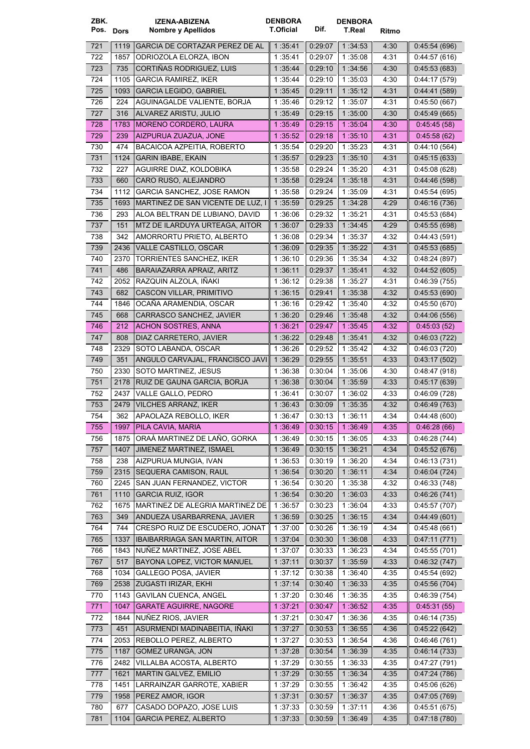| ZBK.<br>Pos. Dors |              | IZENA-ABIZENA<br>Nombre y Apellidos               | <b>DENBORA</b><br><b>T.Oficial</b> | Dif.               | <b>DENBORA</b><br>T.Real | Ritmo        |                              |
|-------------------|--------------|---------------------------------------------------|------------------------------------|--------------------|--------------------------|--------------|------------------------------|
| 721               | 1119         | <b>GARCIA DE CORTAZAR PEREZ DE AL</b>             | 1 35 41                            | 0.29.07            | 1:34:53                  | 4:30         | 0.45.54(696)                 |
| 722               | 1857         | ODRIOZOLA ELORZA, IBON                            | 1 35:41                            | 0.29.07            | 1:35:08                  | 4:31         | 0.44.57(616)                 |
| 723               | 735          | CORTIÑAS RODRIGUEZ, LUIS                          | 1:35:44                            | 0:29:10            | 1:34:56                  | 4:30         | 0.45.53(683)                 |
| 724               | 1105         | <b>GARCIA RAMIREZ, IKER</b>                       | 1:35:44                            | 0.29:10            | 1:35:03                  | 4:30         | 0.44.17(579)                 |
| 725               | 1093         | <b>GARCIA LEGIDO, GABRIEL</b>                     | 1:35:45                            | 0:29:11            | 1:35:12                  | 4:31         | 0.44.41(589)                 |
| 726               | 224          | AGUINAGALDE VALIENTE, BORJA                       | 1:35:46                            | 0.29:12            | 1:35:07                  | 4:31         | 0.45.50(667)                 |
| 727               | 316          | ALVAREZ ARISTU, JULIO                             | 1:35:49                            | 0.29:15            | 1:35:00                  | 4:30         | 0.45:49 (665)                |
| 728               | 1783         | <b>MORENO CORDERO, LAURA</b>                      | 1:35:49                            | 0.29.15            | 1 35:04                  | 4:30         | 0.45.45(58)                  |
| 729               | 239          | AIZPURUA ZUAZUA, JONE                             | 1:35:52                            | 0.29.18            | 1:35:10                  | 4:31         | 0.45.58(62)                  |
| 730               | 474          | BACAICOA AZPEITIA, ROBERTO                        | 1:35:54                            | 0.29:20            | 1 35 23                  | 4:31         | 0.44:10(564)                 |
| 731               | 1124         | <b>GARIN IBABE, EKAIN</b>                         | 1:35:57                            | 0:29:23            | 1:35:10                  | 4:31         | 0.45:15(633)                 |
| 732               | 227          | AGUIRRE DIAZ, KOLDOBIKA                           | 1:35:58                            | 0.29:24            | 1:35:20                  | 4:31         | 0.45.08(628)                 |
| 733               | 660          | CARO RUSO, ALEJANDRO                              | 1:35:58                            | 0.29:24            | 1:35:18                  | 4:31         | 0.44.46(598)                 |
| 734               | 1112         | <b>GARCIA SANCHEZ, JOSE RAMON</b>                 | 1:35:58                            | 0.29:24            | 1:35:09                  | 4:31         | 0.45.54(695)                 |
| 735               | 1693         | MARTINEZ DE SAN VICENTE DE LUZ, I                 | 1:35:59                            | 0.29.25            | 1 34 28                  | 4:29         | 0:46:16 (736)                |
| 736               | 293          | ALOA BELTRAN DE LUBIANO, DAVID                    | 1 36 06                            | 0.29:32            | 1 35:21                  | 4 31         | 0.45:53(684)                 |
| 737               | 151          | MTZ DE ILARDUYA URTEAGA, AITOR                    | 1:36:07                            | 0.29:33            | 1:34:45                  | 4:29         | 0.45:55(698)                 |
| 738               | 342          | AMORRORTU PRIETO, ALBERTO                         | 1 36:08                            | 0:29:34            | 1:35:37                  | 4:32         | 0.44.43(591)                 |
| 739               | 2436         | VALLE CASTILLO, OSCAR                             | 1:36:09                            | 0.29.35            | 1:35:22                  | 4:31         | 0.45:53(685)                 |
| 740               | 2370         | TORRIENTES SANCHEZ, IKER                          | 1 36 10                            | 0:29:36            | 1 35 34                  | 4:32         | 0.48.24(897)                 |
| 741               | 486          | BARAIAZARRA APRAIZ, ARITZ                         | 1:36:11                            | 0:29:37            | 1:35:41                  | 4:32         | 0.44:52(605)                 |
| 742               | 2052         | RAZQUIN ALZOLA, IÑAKI                             | 1:36:12                            | 0:29:38            | 1:35:27                  | 4:31         | 0.46.39(755)                 |
| 743               | 682          | CASCON VILLAR, PRIMITIVO                          | 1:36:15                            | 0.29:41            | 1:35:38                  | 4:32         | 0.45.53(690)                 |
| 744               | 1846         | OCANA ARAMENDIA, OSCAR                            | 1:36:16                            | 0:29:42            | 1:35.40                  | 4:32         | 0.45:50(670)                 |
| 745               | 668          | CARRASCO SANCHEZ, JAVIER                          | 1:36:20                            | 0.29.46            | 1 35:48                  | 4:32         | 0.44:06(556)                 |
| 746               | 212          | <b>ACHON SOSTRES, ANNA</b>                        | 1:36:21                            | 0.29:47            | 1:35.45                  | 4:32         | 0.45:03(52)                  |
| 747               | 808          | DIAZ CARRETERO, JAVIER                            | 1:36:22                            | 0:29:48            | 1 35 41                  | 4:32         | 0.46.03(722)                 |
| 748               | 2329         | SOTO LABANDA, OSCAR                               | 1 36:26                            | 0:29:52            | 1:35.42                  | 4:32         | 0.46.03(720)                 |
| 749               | 351          | ANGULO CARVAJAL, FRANCISCO JAVI                   | 1:36:29                            | 0:29:55            | 1 35:51                  | 4:33         | 0.43:17(502)                 |
| 750               | 2330         | SOTO MARTINEZ, JESUS                              | 1 36:38                            | 0:30:04            | 1:35:06                  | 4:30         | 0.48:47(918)                 |
| 751               | 2178         | RUIZ DE GAUNA GARCIA, BORJA                       | 1:36:38                            | 0.30.04            | 1:35:59                  | 4:33         | 0.45:17(639)                 |
| 752<br>753        | 2437<br>2479 | VALLE GALLO, PEDRO<br><b>VILCHES ARRANZ, IKER</b> | 1:36:41<br>1:36:43                 | 0:30:07<br>0:30:09 | 1:36:02<br>1:35:35       | 4:33<br>4:32 | 0.46.09(728)<br>0.46.49(763) |
| 754               | 362          | APAOLAZA REBOLLO, IKER                            | 1:36:47                            | 0:30:13            | 1:36:11                  | 4:34         | 0.44.48(600)                 |
| 755               | 1997         | PILA CAVIA, MARIA                                 | 1:36:49                            | 0:30:15            | 1:36:49                  | 4:35         | 0.46.28(66)                  |
| 756               | 1875         | ORAÀ MARTINEZ DE LAÑO, GORKA                      | 1:36:49                            | 0.30:15            | 1:36:05                  | 4:33         | 0.46.28(744)                 |
| 757               | 1407         | JIMENEZ MARTINEZ, ISMAEL                          | 1:36:49                            | 0.30.15            | 1 36:21                  | 4:34         | 0.45.52(676)                 |
| 758               | 238          | AIZPURUA MUNGIA, IVAN                             | 1:36:53                            | 0:30:19            | 1:36:20                  | 4 3 4        | 0.46:13(731)                 |
| 759               | 2315         | SEQUERA CAMISON, RAUL                             | 1:36:54                            | 0.30.20            | 1 36:11                  | 4:34         | 0.46.04(724)                 |
| 760               | 2245         | SAN JUAN FERNANDEZ, VICTOR                        | 1:36:54                            | 0:30:20            | 1:35:38                  | 4:32         | 0:46:33(748)                 |
| 761               | 1110         | <b>GARCIA RUIZ, IGOR</b>                          | 1:36:54                            | 0.30.20            | 1 36 03                  | 4:33         | 0.46:26(741)                 |
| 762               | 1675         | MARTINEZ DE ALEGRIA MARTINEZ DE                   | 1:36:57                            | 0:30:23            | 1:36:04                  | 4:33         | 0.45:57(707)                 |
| 763               | 349          | ANDUEZA USARBARRENA, JAVIER                       | 1:36:59                            | 0.30.25            | 1:36:15                  | 4:34         | 0.44.49(601)                 |
| 764               | 744          | CRESPO RUIZ DE ESCUDERO, JONAT                    | 1:37:00                            | 0:30:26            | 1:36:19                  | 4:34         | 0.45.48(661)                 |
| 765               | 1337         | <b>IBAIBARRIAGA SAN MARTIN, AITOR</b>             | 1:37:04                            | 0.30:30            | 1:36:08                  | 4:33         | 0.47:11(771)                 |
| 766               | 1843         | NUNEZ MARTINEZ, JOSE ABEL                         | 1:37:07                            | 0.30.33            | 1:36:23                  | 4:34         | 0:45:55 (701)                |
| 767               | 517          | BAYONA LOPEZ, VICTOR MANUEL                       | 1:37:11                            | 0:30:37            | 1:35:59                  | 4:33         | 0.46:32 (747)                |
| 768               | 1034         | <b>GALLEGO POSA, JAVIER</b>                       | 1:37:12                            | 0:30:38            | 1:36:40                  | 4:35         | 0.45:54(692)                 |
| 769               | 2538         | ZUGASTI IRIZAR, EKHI                              | 1 37 14                            | 0.30.40            | 1:36:33                  | 4:35         | 0.45.56(704)                 |
| 770               | 1143         | <b>GAVILAN CUENCA, ANGEL</b>                      | 1:37:20                            | 0:30:46            | 1:36:35                  | 4:35         | 0.46.39(754)                 |
| 771               | 1047         | <b>GARATE AGUIRRE, NAGORE</b>                     | 1:37.21                            | 0.30:47            | 1 36:52                  | 4:35         | 0.45:31(55)                  |
| 772               | 1844         | NUNEZ RIOS, JAVIER                                | 1:37:21                            | 0:30:47            | 1:36:36                  | 4:35         | 0.46:14(735)                 |
| 773               | 451          | ASURMENDI MADINABEITIA, IÑAKI                     | 1:37:27                            | 0.30.53            | 1:36:55                  | 4:36         | 0.45:22(642)                 |
| 774               | 2053         | REBOLLO PEREZ, ALBERTO                            | 1:37:27                            | 0:30:53            | 1:36:54                  | 4:36         | 0.46.46(761)                 |
| 775               | 1187         | <b>GOMEZ URANGA, JON</b>                          | 1:37:28                            | 0.30.54            | 1:36:39                  | 4:35         | 0.46.14(733)                 |
| 776               | 2482         | VILLALBA ACOSTA, ALBERTO                          | 1:37:29                            | 0:30:55            | 1:36:33                  | 4:35         | 0.47:27(791)                 |
| 777               | 1621         | MARTIN GALVEZ, EMILIO                             | 1:37:29                            | 0.30.55            | 1:36:34                  | 4:35         | 0.47:24(786)                 |
| 778               | 1451         | LARRAINZAR GARROTE, XABIER                        | 1:37:29                            | 0:30:55            | 1:36:42                  | 4:35         | 0.45:06(626)                 |
| 779               | 1958<br>677  | PEREZ AMOR, IGOR<br>CASADO DOPAZO, JOSE LUIS      | 1:37:31                            | 0.30.57<br>0:30:59 | 1:36:37<br>1:37:11       | 4:35         | 0.47:05(769)<br>0:45:51(675) |
| 780<br>781        | 1104         | <b>GARCIA PEREZ, ALBERTO</b>                      | 1:37:33<br>1:37:33                 | 0:30:59            | 1:36.49                  | 4:36<br>4:35 | 0.47:18(780)                 |
|                   |              |                                                   |                                    |                    |                          |              |                              |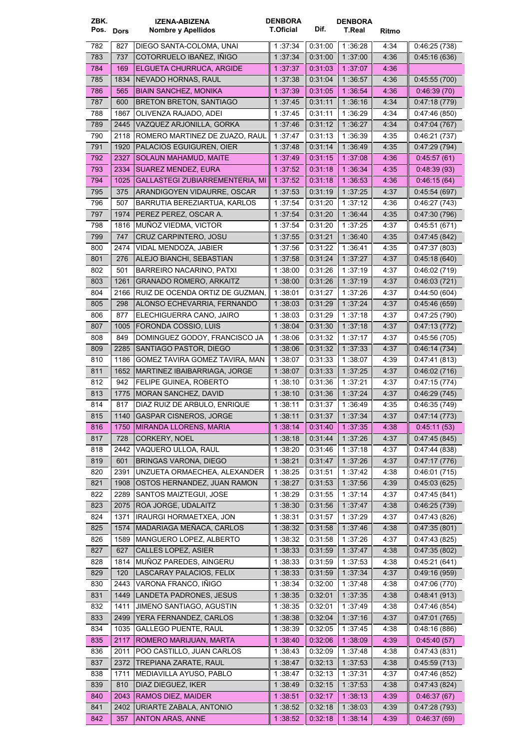| ZBK.<br>Pos. Dors |      | <b>IZENA-ABIZENA</b><br>Nombre y Apellidos | <b>DENBORA</b><br>T.Oficial | Dif.    | <b>DENBORA</b><br>T.Real | Ritmo |               |
|-------------------|------|--------------------------------------------|-----------------------------|---------|--------------------------|-------|---------------|
| 782               | 827  | DIEGO SANTA-COLOMA, UNAI                   | 1:37:34                     | 0.31:00 | 1:36:28                  | 4:34  | 0.46:25(738)  |
| 783               | 737  | COTORRUELO IBAÑEZ, IÑIGO                   | 1:37:34                     | 0.31.00 | 1 37:00                  | 4:36  | 0.45:16(636)  |
| 784               | 169  | ELGUETA CHURRUCA, ARGIDE                   | 1:37:37                     | 0.31.03 | 1 37 07                  | 4:36  |               |
| 785               | 1834 | NEVADO HORNAS, RAUL                        | 1:37:38                     | 0.31.04 | 1 36:57                  | 4:36  | 0.45:55(700)  |
| 786               | 565  | <b>BIAIN SANCHEZ, MONIKA</b>               | 1 37 39                     | 0.31:05 | 1:36:54                  | 4:36  | 0.46.39(70)   |
| 787               | 600  | <b>BRETON BRETON, SANTIAGO</b>             | 1:37.45                     | 0:31:11 | 1:36:16                  | 4:34  | 0.47:18(779)  |
| 788               | 1867 | OLIVENZA RAJADO, ADEI                      | 1 37:45                     | 0:31:11 | 1:36:29                  | 4:34  | 0.47:46(850)  |
| 789               | 2445 | VAZQUEZ ARJONILLA, GORKA                   | 1 37 46                     | 0:31:12 | 1:36:27                  | 4:34  | 0.47:04(767)  |
| 790               | 2118 | ROMERO MARTINEZ DE ZUAZO. RAUL             | 1:37:47                     | 0:31:13 | 1 36:39                  | 4:35  | 0.46.21(737)  |
| 791               | 1920 | PALACIOS EGUIGUREN, OIER                   | 1 37:48                     | 0.31.14 | 1:36:49                  | 4:35  | 0.47:29(794)  |
| 792               | 2327 | SOLAUN MAHAMUD, MAITE                      | 1:37.49                     | 0.31.15 | 1:37:08                  | 4:36  | 0.45.57(61)   |
| 793               | 2334 | SUAREZ MENDEZ, EURA                        | 1 37 52                     | 0.31.18 | 1 36 34                  | 4:35  | 0.48.39(93)   |
| 794               | 1025 | GALLASTEGI ZUBIARREMENTERIA, MI            | 1:37:52                     | 0 31 18 | 1 36 53                  | 4:36  | 0.46:15(64)   |
| 795               | 375  | ARANDIGOYEN VIDAURRE, OSCAR                | 1:37:53                     | 0:31:19 | 1 37 25                  | 4:37  | 0.45.54(697)  |
| 796               | 507  | BARRUTIA BEREZIARTUA, KARLOS               | 1:37:54                     | 0:31:20 | 1:37:12                  | 4:36  | 0.46.27(743)  |
| 797               | 1974 | PEREZ PEREZ, OSCAR A.                      | 1 37:54                     | 0.31.20 | 1 :36:44                 | 4:35  | 0.47:30(796)  |
| 798               | 1816 | MUNOZ VIEDMA, VICTOR                       | 1 37:54                     | 0:31:20 | 1:37:25                  | 4:37  | 0.45:51(671)  |
| 799               | 747  | CRUZ CARPINTERO, JOSU                      | 1:37:55                     | 0.31.21 | 1:36:40                  | 4:35  | 0.47:45(842)  |
| 800               | 2474 | VIDAL MENDOZA, JABIER                      | 1 37 56                     | 0:31:22 | 1:36:41                  | 4:35  | 0.47:37(803)  |
| 801               | 276  | ALEJO BIANCHI, SEBASTIAN                   | 1:37:58                     | 0.31.24 | 1:37:27                  | 4:37  | 0.45:18(640)  |
| 802               | 501  | BARREIRO NACARINO, PATXI                   | 1:38:00                     | 0:31:26 | 1:37:19                  | 4:37  | 0.46.02(719)  |
| 803               | 1261 | <b>GRANADO ROMERO, ARKAITZ</b>             | 1:38:00                     | 0.31.26 | 1:37:19                  | 4:37  | 0.46:03(721)  |
| 804               | 2166 | RUIZ DE OCENDA ORTIZ DE GUZMAN,            | 1:38:01                     | 0:31:27 | 1:37:26                  | 4:37  | 0.44.50(604)  |
| 805               | 298  | ALONSO ECHEVARRIA, FERNANDO                | 1:38:03                     | 0.31.29 | 1:37:24                  | 4:37  | 0.45.46(659)  |
| 806               | 877  | ELECHIGUERRA CANO, JAIRO                   | 1 38 03                     | 0:31:29 | 1:37:18                  | 4:37  | 0.47:25(790)  |
| 807               | 1005 | FORONDA COSSIO, LUIS                       | 1:38.04                     | 0.31.30 | 1:37:18                  | 4:37  | 0.47:13(772)  |
| 808               | 849  | DOMINGUEZ GODOY, FRANCISCO JA              | 1:38:06                     | 0:31:32 | 1:37:17                  | 4:37  | 0.45:56(705)  |
| 809               | 2285 | SANTIAGO PASTOR, DIEGO                     | 1 38 06                     | 0.31.32 | 1 37 33                  | 4:37  | 0.46:14(734)  |
| 810               | 1186 | GOMEZ TAVIRA GOMEZ TAVIRA, MAN             | 1:38:07                     | 0:31:33 | 1:38:07                  | 4 3 9 | 0.47.41(813)  |
| 811               | 1652 | MARTINEZ IBAIBARRIAGA, JORGE               | 1:38:07                     | 0.31.33 | 1:37:25                  | 4:37  | 0.46:02(716)  |
| 812               | 942  | FELIPE GUINEA, ROBERTO                     | 1:38:10                     | 0.31.36 | 1:37:21                  | 4:37  | 0.47:15(774)  |
| 813               | 1775 | MORAN SANCHEZ, DAVID                       | 1:38:10                     | 0.31.36 | 1:37:24                  | 4:37  | 0.46:29(745)  |
| 814               | 817  | DIAZ RUIZ DE ARBULO, ENRIQUE               | 1 38 11                     | 0:31:37 | 1 36:49                  | 4:35  | 0.46.35(749)  |
| 815               |      | 1140 GASPAR CISNEROS, JORGE                | 1:38:11                     | 0:31:37 | 1:37:34                  | 4:37  | 0.47:14(773)  |
| 816               | 1750 | MIRANDA LLORENS, MARIA                     | 1:38:14                     | 0.31.40 | 1:37:35                  | 4:38  | 0.45:11(53)   |
| 817               | 728  | <b>CORKERY, NOEL</b>                       | 1:38:18                     | 0.31.44 | 1:37:26                  | 4:37  | 0.47:45(845)  |
| 818               | 2442 | VAQUERO ULLOA, RAUL                        | 1:38:20                     | 0.31.46 | 1:37:18                  | 4:37  | 0:47:44 (838) |
| 819               | 601  | BRINGAS VARONA, DIEGO                      | 1:38:21                     | 0.31.47 | 1 37 26                  | 4:37  | 0.47:17(776)  |
| 820               | 2391 | UNZUETA ORMAECHEA, ALEXANDER               | 1:38:25                     | 0:31:51 | 1:37:42                  | 4:38  | 0.46:01(715)  |
| 821               | 1908 | OSTOS HERNANDEZ. JUAN RAMON                | 1:38:27                     | 0.31.53 | 1:37:56                  | 4:39  | 0.45:03(625)  |
| 822               | 2289 | SANTOS MAIZTEGUI, JOSE                     | 1:38:29                     | 0.31.55 | 1:37:14                  | 4:37  | 0.47:45(841)  |
| 823               | 2075 | ROA JORGE, UDALAITZ                        | 1:38:30                     | 0:31:56 | 1:37:47                  | 4:38  | 0.46:25(739)  |
| 824               | 1371 | IRAURGI HORMAETXEA, JON                    | 1:38:31                     | 0.31.57 | 1 37 29                  | 4:37  | 0.47:43(826)  |
| 825               | 1574 | MADARIAGA MEÑACA, CARLOS                   | 1:38:32                     | 0:31:58 | 1:37:46                  | 4:38  | 0.47:35(801)  |
| 826               | 1589 | MANGUERO LOPEZ, ALBERTO                    | 1:38:32                     | 0.31.58 | 1:37:26                  | 4:37  | 0.47:43(825)  |
| 827               | 627  | CALLES LOPEZ, ASIER                        | 1:38:33                     | 0.31.59 | 1 37 47                  | 4:38  | 0.47:35(802)  |
| 828               | 1814 | MUNOZ PAREDES, AINGERU                     | 1:38:33                     | 0:31:59 | 1:37:53                  | 4:38  | 0.45.21(641)  |
| 829               | 120  | LASCARAY PALACIOS, FELIX                   | 1:38:33                     | 0.31.59 | 1:37.34                  | 4:37  | 0.49.16(959)  |
| 830               | 2443 | VARONA FRANCO, IÑIGO                       | 1:38:34                     | 0.32:00 | 1:37:48                  | 4:38  | 0.47:06(770)  |
| 831               | 1449 | LANDETA PADRONES, JESUS                    | 1:38:35                     | 0.32.01 | 1:37:35                  | 4:38  | 0.48.41(913)  |
| 832               | 1411 | JIMENO SANTIAGO, AGUSTIN                   | 1:38:35                     | 0:32:01 | 1:37:49                  | 4:38  | 0.47:46(854)  |
| 833               | 2499 | YERA FERNANDEZ, CARLOS                     | 1:38:38                     | 0.32.04 | 1:37:16                  | 4:37  | 0.47:01(765)  |
| 834               | 1035 | <b>GALLEGO PUENTE, RAUL</b>                | 1:38:39                     | 0.32.05 | 1:37:45                  | 4:38  | 0.48:16(886)  |
| 835               | 2117 | ROMERO MARIJUAN, MARTA                     | 1:38.40                     | 0.32.06 | 1 38 09                  | 4.39  | 0.45:40(57)   |
| 836               | 2011 | POO CASTILLO, JUAN CARLOS                  | 1:38:43                     | 0.32.09 | 1:37:48                  | 4:38  | 0.47:43(831)  |
| 837               | 2372 | TREPIANA ZARATE, RAUL                      | 1:38:47                     | 0.32:13 | 1:37:53                  | 4:38  | 0.45:59(713)  |
| 838               | 1711 | MEDIAVILLA AYUSO, PABLO                    | 1:38:47                     | 0.32:13 | 1:37:31                  | 4:37  | 0.47.46(852)  |
| 839               | 810  | DIAZ DIEGUEZ, IKER                         | 1:38.49                     | 0.32:15 | 1:37:53                  | 4:38  | 0.47.43(824)  |
| 840               | 2043 | RAMOS DIEZ, MAIDER                         | 1:38:51                     | 0.32:17 | 1:38:13                  | 4.39  | 0.46.37(67)   |
| 841               | 2402 | URIARTE ZABALA, ANTONIO                    | 1:38:52                     | 0.32.18 | 1:38:03                  | 4:39  | 0.47:28(793)  |
| 842               | 357  | <b>ANTON ARAS, ANNE</b>                    | 1:38:52                     | 0.32:18 | 1:38:14                  | 4.39  | 0.46.37(69)   |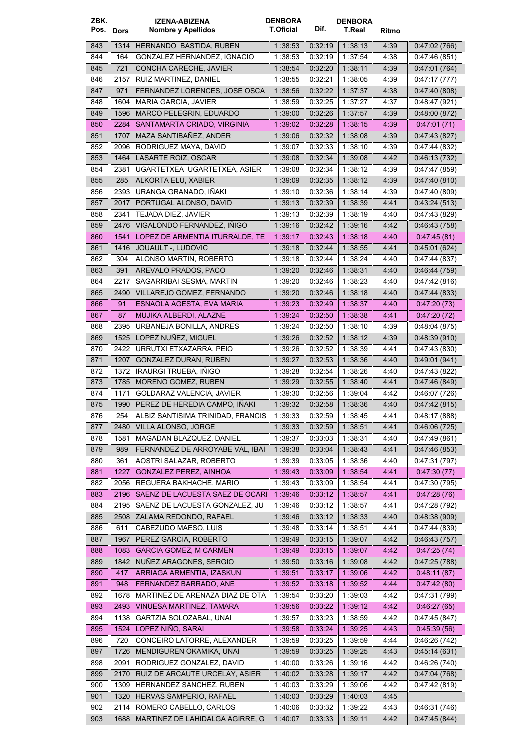| ZBK.      |      | <b>IZENA-ABIZENA</b>                    | <b>DENBORA</b>   |         | <b>DENBORA</b> |       |               |
|-----------|------|-----------------------------------------|------------------|---------|----------------|-------|---------------|
| Pos. Dors |      | Nombre y Apellidos                      | <b>T.Oficial</b> | Dif.    | T.Real         | Ritmo |               |
|           |      |                                         |                  | 0.32:19 |                |       |               |
| 843       | 1314 | HERNANDO BASTIDA, RUBEN                 | 1:38:53          |         | 1:38:13        | 4:39  | 0:47:02 (766) |
| 844       | 164  | GONZALEZ HERNANDEZ, IGNACIO             | 1 38:53          | 0:32:19 | 1:37:54        | 4:38  | 0:47:46(851)  |
| 845       | 721  | CONCHA CARECHE, JAVIER                  | 1:38:54          | 0.32.20 | 1:38:11        | 4:39  | 0.47:01(764)  |
| 846       | 2157 | RUIZ MARTINEZ, DANIEL                   | 1:38:55          | 0:32:21 | 1:38:05        | 4:39  | 0:47:17(777)  |
| 847       | 971  | FERNANDEZ LORENCES, JOSE OSCA           | 1:38:56          | 0.32.22 | 1:37:37        | 4:38  | 0.47:40(808)  |
| 848       | 1604 | MARIA GARCIA, JAVIER                    | 1:38:59          | 0:32:25 | 1 37:27        | 4:37  | 0.48:47(921)  |
| 849       | 1596 | MARCO PELEGRIN, EDUARDO                 | 1:39:00          | 0.32.26 | 1:37:57        | 4:39  | 0:48:00(872)  |
| 850       | 2284 | SANTAMARTA CRIADO, VIRGINIA             | 1:39:02          | 0.32:28 | 1:38:15        | 4:39  | 0.47:01(71)   |
| 851       | 1707 | MAZA SANTIBAÑEZ, ANDER                  | 1:39:06          | 0.32.32 | 1:38:08        | 4:39  | 0.47:43 (827) |
| 852       | 2096 | RODRIGUEZ MAYA, DAVID                   | 1:39:07          | 0:32:33 | 1:38:10        | 4.39  | 0.47:44 (832) |
| 853       | 1464 | LASARTE ROIZ, OSCAR                     | 1:39:08          | 0:32:34 | 1 39:08        | 4:42  | 0.46.13(732)  |
| 854       | 2381 | UGARTETXEA UGARTETXEA, ASIER            | 1:39:08          | 0.32.34 | 1:38:12        | 4:39  | 0.47.47(859)  |
| 855       | 285  | ALKORTA ELU, XABIER                     | 1:39:09          | 0.32.35 | 1:38:12        | 4:39  | 0.47:40(810)  |
| 856       | 2393 | URANGA GRANADO, IÑAKI                   | 1:39:10          | 0:32:36 | 1 38 14        | 4:39  | 0.47:40(809)  |
| 857       | 2017 | PORTUGAL ALONSO, DAVID                  | 1:39:13          | 0.32.39 | 1 38 39        | 4.41  | 0.43.24(513)  |
| 858       | 2341 | TEJADA DIEZ, JAVIER                     | 1:39:13          | 0:32:39 | 1:38:19        | 4:40  | 0.47.43(829)  |
|           |      |                                         |                  |         |                |       |               |
| 859       | 2476 | VIGALONDO FERNANDEZ, IÑIGO              | 1:39:16          | 0.32.42 | 1:39:16        | 4:42  | 0.46.43(758)  |
| 860       | 1541 | LOPEZ DE ARMENTIA ITURRALDE, TE         | 1:39:17          | 0.32:43 | 1:38:18        | 4:40  | 0.47.45(81)   |
| 861       | 1416 | <b>JOUAULT -, LUDOVIC</b>               | 1:39:18          | 0:32:44 | 1:38:55        | 441   | 0:45:01 (624) |
| 862       | 304  | ALONSO MARTIN, ROBERTO                  | 1 39:18          | 0.32:44 | 1:38:24        | 4:40  | 0:47:44 (837) |
| 863       | 391  | AREVALO PRADOS, PACO                    | 1:39:20          | 0:32:46 | 1:38:31        | 4:40  | 0.46.44(759)  |
| 864       | 2217 | SAGARRIBAI SESMA, MARTIN                | 1:39:20          | 0:32:46 | 1:38:23        | 4:40  | 0.47:42(816)  |
| 865       | 2490 | VILLAREJO GOMEZ, FERNANDO               | 1:39:20          | 0.32.46 | 1:38:18        | 4:40  | 0.47:44(833)  |
| 866       | 91   | ESNAOLA AGESTA, EVA MARIA               | 1:39:23          | 0.32.49 | 1 38 37        | 4:40  | 0.47:20(73)   |
| 867       | 87   | MUJIKA ALBERDI, ALAZNE                  | 1:39:24          | 0:32:50 | 1:38:38        | 4.41  | 0.47:20(72)   |
| 868       | 2395 | URBANEJA BONILLA, ANDRES                | 1 39:24          | 0:32:50 | 1:38:10        | 4:39  | 0.48:04(875)  |
| 869       | 1525 | LOPEZ NUÑEZ, MIGUEL                     | 1:39:26          | 0.32.52 | 1:38:12        | 4:39  | 0.48.39(910)  |
| 870       | 2422 | URRUTXI ETXAZARRA, PEIO                 | 1:39:26          | 0:32:52 | 1:38:39        | 4:41  | 0.47.43(830)  |
|           |      |                                         |                  |         |                |       |               |
| 871       | 1207 | GONZALEZ DURAN, RUBEN                   | 1:39:27          | 0:32:53 | 1:38:36        | 4.40  | 0:49:01 (941) |
| 872       | 1372 | IRAURGI TRUEBA, IÑIGO                   | 1:39:28          | 0:32:54 | 1:38:26        | 4:40  | 0.47:43 (822) |
| 873       | 1785 | MORENO GOMEZ, RUBEN                     | 1:39:29          | 0.32.55 | 1:38:40        | 441   | 0.47:46(849)  |
| 874       | 1171 | GOLDARAZ VALENCIA, JAVIER               | 1:39:30          | 0:32:56 | 1:39:04        | 4:42  | 0.46.07(726)  |
| 875       | 1990 | PEREZ DE HEREDIA CAMPO, IÑAKI           | 1:39:32          | 0:32:58 | 1:38:36        | 4:40  | 0.47:42(815)  |
| 876       |      | 254   ALBIZ SANTISIMA TRINIDAD, FRANCIS | 1:39:33          | 0:32:59 | 1:38:45        | 4:41  | 0:48:17(888)  |
| 877       |      | 2480   VILLA ALONSO, JORGE              | 1:39:33          | 0.32.59 | 1:38:51        | 4.41  | 0.46:06(725)  |
| 878       | 1581 | MAGADAN BLAZQUEZ, DANIEL                | 1:39:37          | 0:33:03 | 1:38:31        | 4:40  | 0.47.49(861)  |
| 879       | 989  | FERNANDEZ DE ARROYABE VAL, IBAI         | 1:39:38          | 0:33:04 | 1:38:43        | 4:41  | 0.47:46(853)  |
| 880       | 361  | AOSTRI SALAZAR, ROBERTO                 | 1 39 39          | 0.33:05 | 1:38:36        | 4:40  | 0.47:31(797)  |
| 881       | 1227 | <b>GONZALEZ PEREZ, AINHOA</b>           | 1:39:43          | 0.33:09 | 1:38.54        | 4.41  | 0.47:30(77)   |
| 882       | 2056 | REGUERA BAKHACHE, MARIO                 | 1:39:43          | 0.33.09 | 1:38:54        | 4:41  | 0.47:30(795)  |
| 883       | 2196 | SAENZ DE LACUESTA SAEZ DE OCARI         | 1:39:46          | 0.33.12 | 1 38.57        | 4.41  | 0.47:28(76)   |
| 884       | 2195 | SAENZ DE LACUESTA GONZALEZ, JU          | 1:39:46          | 0:33:12 | 1:38:57        | 4:41  | 0.47:28(792)  |
| 885       | 2508 | ZALAMA REDONDO, RAFAEL                  | 1:39:46          | 0.33.12 | 1:38:33        | 4:40  | 0.48.38(909)  |
| 886       | 611  | CABEZUDO MAESO, LUIS                    | 1 39:48          | 0.33.14 | 1:38:51        | 4.41  | 0.47.44(839)  |
| 887       | 1967 | PEREZ GARCIA, ROBERTO                   | 1:39.49          | 0:33:15 | 1:39:07        | 4:42  | 0.46.43(757)  |
|           |      |                                         |                  |         |                |       |               |
| 888       | 1083 | <b>GARCIA GOMEZ, M CARMEN</b>           | 1:39.49          | 0.33.15 | 1 39 07        | 4:42  | 0.47:25(74)   |
| 889       | 1842 | NUÑEZ ARAGONES, SERGIO                  | 1:39:50          | 0.33.16 | 1:39:08        | 4:42  | 0.47:25(788)  |
| 890       | 417  | ARRIAGA ARMENTIA, IZASKUN               | 1:39:51          | 0.33.17 | 1:39.06        | 4:42  | 0.48:11(87)   |
| 891       | 948  | FERNANDEZ BARRADO, ANE                  | 1:39:52          | 0.33.18 | 1 39:52        | 4:44  | 0.47.42(80)   |
| 892       | 1678 | MARTINEZ DE ARENAZA DIAZ DE OTA         | 1:39:54          | 0.33.20 | 1:39:03        | 4:42  | 0.47:31 (799) |
| 893       | 2493 | VINUESA MARTINEZ, TAMARA                | 1:39:56          | 0.33.22 | 1:39:12        | 4:42  | 0.46:27(65)   |
| 894       | 1138 | GARTZIA SOLOZABAL, UNAI                 | 1:39:57          | 0:33:23 | 1 38:59        | 4:42  | 0.47:45(847)  |
| 895       | 1524 | LOPEZ NIÑO, SARAI                       | 1:39:58          | 0.33.24 | 1:39.25        | 4.43  | 0.45.39(56)   |
| 896       | 720  | CONCEIRO LATORRE, ALEXANDER             | 1:39:59          | 0:33:25 | 1:39:59        | 4:44  | 0.46.26(742)  |
| 897       | 1726 | MENDIGUREN OKAMIKA, UNAI                | 1:39:59          | 0:33:25 | 1 39 25        | 4:43  | 0.45:14(631)  |
| 898       | 2091 | RODRIGUEZ GONZALEZ, DAVID               | 1:40:00          | 0.33.26 | 1:39:16        | 4:42  | 0.46.26(740)  |
| 899       | 2170 | RUIZ DE ARCAUTE URCELAY, ASIER          | 1:40.02          | 0:33:28 | 1:39:17        | 4:42  | 0.47:04(768)  |
| 900       | 1309 | HERNANDEZ SANCHEZ, RUBEN                | 1:40:03          | 0.33.29 | 1:39:06        | 4:42  | 0:47:42 (819) |
| 901       | 1320 | HERVAS SAMPERIO, RAFAEL                 | 1:40:03          | 0.33.29 | 1:40:03        | 4:45  |               |
| 902       | 2114 | ROMERO CABELLO, CARLOS                  | 1:40:06          | 0.33.32 | 1:39:22        | 4:43  | 0:46:31 (746) |
| 903       | 1688 | MARTINEZ DE LAHIDALGA AGIRRE, G         | 1:40:07          | 0.33.33 | 1:39:11        | 4:42  | 0.47:45(844)  |
|           |      |                                         |                  |         |                |       |               |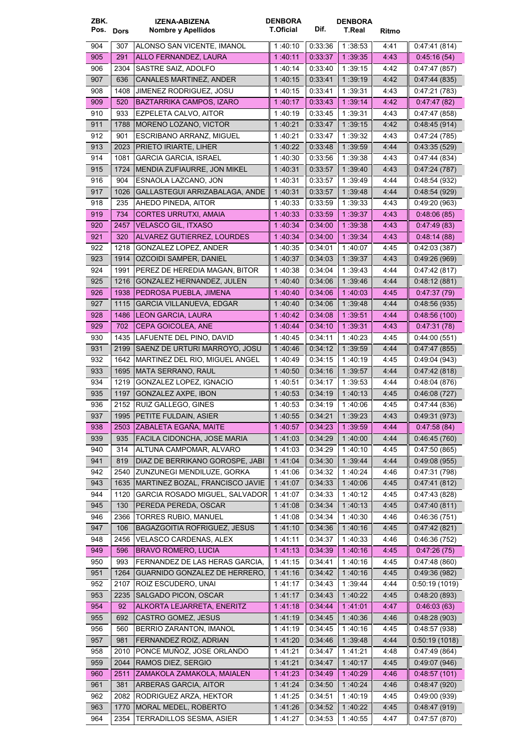| ZBK.       | Pos. Dors   | <b>IZENA-ABIZENA</b><br>Nombre y Apellidos                         | <b>DENBORA</b><br><b>T.Oficial</b> | Dif.               | <b>DENBORA</b><br>T.Real | Ritmo        |                              |
|------------|-------------|--------------------------------------------------------------------|------------------------------------|--------------------|--------------------------|--------------|------------------------------|
| 904        | 307         | ALONSO SAN VICENTE, IMANOL                                         | 1:40:10                            | 0.33.36            | 1:38:53                  | 4:41         | 0.47.41(814)                 |
| 905        | 291         | ALLO FERNANDEZ, LAURA                                              | 1 40 11                            | 0.33.37            | 1 39 35                  | 4:43         | 0.45:16(54)                  |
| 906        | 2304        | SASTRE SAIZ, ADOLFO                                                | 1:40:14                            | 0.33.40            | 1:39:15                  | 4:42         | 0.47:47(857)                 |
| 907        | 636         | CANALES MARTINEZ, ANDER                                            | 1:40:15                            | 0.33:41            | 1 39:19                  | 4:42         | 0.47:44(835)                 |
| 908        | 1408        | JIMENEZ RODRIGUEZ, JOSU                                            | 1:40:15                            | 0:33:41            | 1 39:31                  | 4:43         | 0.47:21(783)                 |
| 909        | 520         | BAZTARRIKA CAMPOS, IZARO                                           | 1:40:17                            | 0.33.43            | 1:39:14                  | 4:42         | 0.47:47(82)                  |
| 910        | 933         | EZPELETA CALVO, AITOR                                              | 1:40:19                            | 0:33:45            | 1:39:31                  | 4:43         | 0.47:47(858)                 |
| 911        | 1788        | MORENO LOZANO, VICTOR                                              | 1 40:21                            | 0.33.47            | 1:39:15                  | 4:42         | 0.48.45(914)                 |
| 912        | 901         | <b>ESCRIBANO ARRANZ, MIGUEL</b>                                    | 1:40:21                            | 0:33:47            | 1:39:32                  | 4:43         | 0.47:24(785)                 |
| 913        | 2023        | PRIETO IRIARTE, LIHER                                              | 1:40.22                            | 0.33.48            | 1:39:59                  | 4.44         | 0.43:35(529)                 |
| 914        | 1081        | <b>GARCIA GARCIA, ISRAEL</b>                                       | 1 40:30                            | 0.33.56            | 1 39:38                  | 4:43         | 0.47:44 (834)                |
| 915        | 1724        | MENDIA ZUFIAURRE, JON MIKEL                                        | 1:40:31                            | 0.33.57            | 1 39:40                  | 4:43         | 0.47:24(787)                 |
| 916        | 904         | ESNAOLA LAZCANO, JON                                               | 1:40:31                            | 0:33:57            | 1:39:49                  | 4:44         | 0.48.54(932)                 |
| 917        | 1026        | GALLASTEGUI ARRIZABALAGA, ANDE                                     | 1:40:31                            | 0.33.57            | 1.39.48                  | 4:44         | 0.48.54(929)                 |
| 918        | 235         | AHEDO PINEDA, AITOR                                                | 1 40 33                            | 0:33:59            | 1:39:33                  | 4:43         | 0:49:20(963)                 |
| 919        | 734         | <b>CORTES URRUTXI, AMAIA</b>                                       | 1:40:33                            | 0.33.59            | 1:39:37                  | 4:43         | 0.48.06(85)                  |
| 920        | 2457        | VELASCO GIL, ITXASO                                                | 1 40 34                            | 0.34.00            | 1:39:38                  | 4:43         | 0.47:49(83)                  |
| 921        | 320         | ALVAREZ GUTIERREZ, LOURDES                                         | 1 40 34                            | 0.34:00            | 1 39 34                  | 4:43         | 0.48:14(88)                  |
| 922        | 1218        | <b>GONZALEZ LOPEZ. ANDER</b>                                       | 1:40:35                            | 0:34:01            | 1:40:07                  | 4:45         | 0:42:03 (387)                |
| 923        | 1914        | OZCOIDI SAMPER, DANIEL                                             | 1.40.37                            | 0.34.03            | 1:39:37                  | 4:43         | 0.49.26(969)                 |
| 924        | 1991        | PEREZ DE HEREDIA MAGAN, BITOR                                      | 1:40:38                            | 0:34:04            | 1:39:43                  | 4:44         | 0.47:42(817)                 |
| 925        | 1216        | GONZALEZ HERNANDEZ, JULEN                                          | 1 40:40                            | 0.34.06            | 1:39:46                  | 4:44         | 0.48:12(881)                 |
| 926        | 1938        | PEDROSA PUEBLA, JIMENA                                             | 1 40:40                            | 0.34.06            | 1.40.03                  | 4:45         | 0.47:37(79)                  |
| 927        | 1115        | <b>GARCIA VILLANUEVA, EDGAR</b>                                    | 1 40:40                            | 0.34.06            | 1 39:48                  | 4:44         | 0.48:56(935)                 |
| 928        | 1486        | <b>LEON GARCIA, LAURA</b>                                          | 1 40:42                            | 0.34.08            | 1:39:51                  | 4:44         | 0.48.56(100)                 |
| 929        | 702         | CEPA GOICOLEA, ANE                                                 | 1 40 44                            | 0.34:10            | 1 39 31                  | 4:43         | 0.47:31(78)                  |
| 930        | 1435        | LAFUENTE DEL PINO, DAVID                                           | 1:40:45                            | 0:34:11            | 1:40:23                  | 4:45         | 0.44:00(551)                 |
| 931        | 2199        | SAENZ DE URTURI MARROYO, JOSU                                      | 1 40 46                            | 0 34 12            | 1:39:59                  | 4:44         | 0.47:47(855)                 |
| 932        | 1642        | MARTINEZ DEL RIO, MIGUEL ANGEL                                     | 1 40 49                            | 0:34:15            | 1:40:19                  | 4:45         | 0.49:04(943)                 |
| 933        | 1695        | <b>MATA SERRANO, RAUL</b>                                          | 1:40:50                            | 0.34.16            | 1 39:57                  | 4.44         | 0.47:42(818)                 |
| 934        | 1219        | GONZALEZ LOPEZ, IGNACIO                                            | 1 40:51                            | 0:34:17            | 1:39:53                  | 4:44         | 0.48:04(876)                 |
| 935        | 1197        | GONZALEZ AXPE, IBON                                                | 1:40:53                            | 0.34.19            | 1 40 13                  | 4:45         | 0.46:08(727)                 |
| 936        | 2152        | RUIZ GALLEGO, GINES                                                | 1 40 53                            | 0.34.19            | 1:40:06                  | 4:45         | 0.47.44(836)                 |
| 937        |             | 1995 PETITE FULDAIN, ASIER                                         | 1:40:55                            | 0:34:21            | 1:39:23                  | 4:43         | 0:49:31 (973)                |
| 938        |             | 2503 ZABALETA EGAÑA, MAITE                                         | 1:40:57                            | 0.34.23            | 1:39:59                  | 4:44         | 0.47.58(84)                  |
| 939        | 935         | FACILA CIDONCHA, JOSE MARIA                                        | 1:41.03                            | 0.34.29            | 1:40:00                  | 4:44         | 0.46.45(760)                 |
| 940        | 314         | ALTUNA CAMPOMAR, ALVARO                                            | 1:41:03                            | 0:34:29            | 1:40:10                  | 4:45         | 0:47:50 (865)                |
| 941        | 819         | DIAZ DE BERRIKANO GOROSPE, JABI                                    | 1.41.04                            | 0.34:30            | 1 39 44                  | 4:44         | 0:49:08 (955)                |
| 942        | 2540        | ZUNZUNEGI MENDILUZE, GORKA                                         | 1:41:06                            | 0:34:32            | 1:40:24                  | 4:46         | 0.47:31 (798)                |
| 943        | 1635        | MARTINEZ BOZAL, FRANCISCO JAVIE                                    | 1:41:07                            | 0.34.33            | 1:40:06                  | 4:45         | 0.47:41(812)                 |
| 944        | 1120        | GARCIA ROSADO MIGUEL, SALVADOR                                     | 1:41:07                            | 0:34:33            | 1:40:12                  | 4:45         | 0.47:43(828)                 |
| 945        | 130         | PEREDA PEREDA, OSCAR                                               | 1:41:08                            | 0.34.34            | 1:40:13                  | 4:45         | 0.47:40(811)                 |
| 946<br>947 | 2366<br>106 | <b>TORRES RUBIO, MANUEL</b><br><b>BAGAZGOITIA ROFRIGUEZ, JESUS</b> | 1:41:08                            | 0:34:34<br>0.34.36 | 1:40:30<br>1 40 16       | 4:46         | 0.46.36(751)                 |
| 948        | 2456        | VELASCO CARDENAS, ALEX                                             | 1:41:10<br>1:41:11                 | 0.34.37            | 1:40:33                  | 4:45<br>4:46 | 0.47:42(821)<br>0.46.36(752) |
| 949        | 596         | <b>BRAVO ROMERO, LUCIA</b>                                         | 1:41:13                            | 0.34:39            | 1 40 16                  | 4:45         | 0.47:26(75)                  |
| 950        | 993         | FERNANDEZ DE LAS HERAS GARCIA,                                     | 1:41:15                            | 0.34:41            | 1:40:16                  | 4:45         | 0:47:48 (860)                |
| 951        | 1264        | GUARNIDO GONZALEZ DE HERRERO,                                      | 1:41:16                            | 0.34.42            | 1:40:16                  | 4.45         | 0:49:36 (982)                |
| 952        | 2107        | ROIZ ESCUDERO, UNAI                                                | 1:41:17                            | 0:34:43            | 1:39:44                  | 4:44         | 0.50:19(1019)                |
| 953        | 2235        | SALGADO PICON, OSCAR                                               | 1:41:17                            | 0.34.43            | 1:40.22                  | 4:45         | 0.48:20(893)                 |
| 954        | 92          | ALKORTA LEJARRETA, ENERITZ                                         | 1:41:18                            | 0.34.44            | 1 41 01                  | 4:47         | 0.46:03(63)                  |
| 955        | 692         | CASTRO GOMEZ, JESUS                                                | 1:41:19                            | 0.34:45            | 1:40:36                  | 4:46         | 0.48.28(903)                 |
| 956        | 560         | BERRIO ZARANTON, IMANOL                                            | 1:41:19                            | 0:34:45            | 1:40:16                  | 4:45         | 0.48.57(938)                 |
| 957        | 981         | FERNANDEZ ROIZ, ADRIAN                                             | 1:41.20                            | 0:34:46            | 1:39:48                  | 4:44         | 0.50:19(1018)                |
| 958        | 2010        | PONCE MUÑOZ, JOSE ORLANDO                                          | 1:41:21                            | 0.34:47            | 1:41:21                  | 4:48         | 0.47.49(864)                 |
| 959        | 2044        | RAMOS DIEZ, SERGIO                                                 | 1:41:21                            | 0.34.47            | 1:40:17                  | 4:45         | 0.49.07(946)                 |
| 960        | 2511        | ZAMAKOLA ZAMAKOLA, MAIALEN                                         | 1:41:23                            | 0.34.49            | 1:40.29                  | 4:46         | 0.48.57(101)                 |
| 961        | 381         | ARBERAS GARCIA, AITOR                                              | 1:41:24                            | 0.34:50            | 1:40:24                  | 4:46         | 0.48.47(920)                 |
| 962        | 2082        | RODRIGUEZ ARZA, HEKTOR                                             | 1:41:25                            | 0:34:51            | 1:40:19                  | 4:45         | 0:49:00 (939)                |
| 963        | 1770        | MORAL MEDEL, ROBERTO                                               | 1:41:26                            | 0.34.52            | 1:40:22                  | 4:45         | 0.48:47(919)                 |
| 964        | 2354        | <b>TERRADILLOS SESMA, ASIER</b>                                    | 1:41:27                            | 0.34.53            | 1:40:55                  | 4:47         | 0.47:57(870)                 |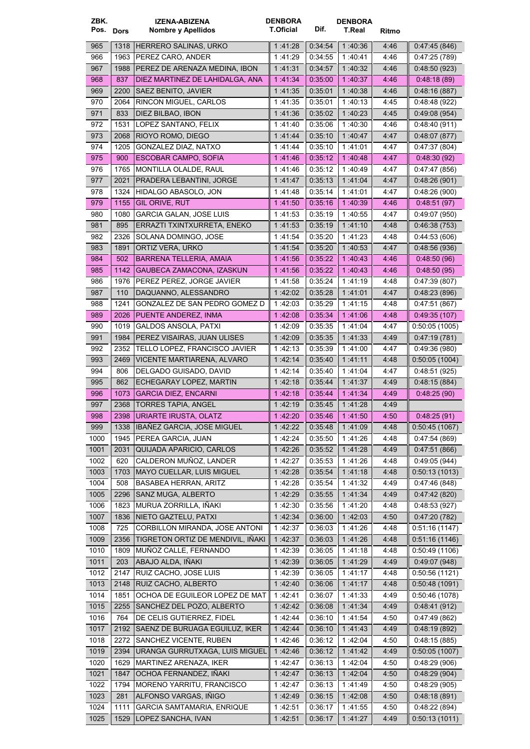| ZBK.        | Pos. Dors | <b>IZENA-ABIZENA</b><br>Nombre y Apellidos                | <b>DENBORA</b><br>T.Oficial | Dif.               | <b>DENBORA</b><br>T.Real | Ritmo        |               |
|-------------|-----------|-----------------------------------------------------------|-----------------------------|--------------------|--------------------------|--------------|---------------|
| 965         | 1318      | HERRERO SALINAS, URKO                                     | 1:41:28                     | 0.34.54            | 1:40:36                  | 4:46         | 0.47:45(846)  |
| 966         | 1963      | PEREZ CARO, ANDER                                         | 1:41:29                     | 0:34:55            | 1:40:41                  | 4:46         | 0.47:25(789)  |
| 967         | 1988      | PEREZ DE ARENAZA MEDINA, IBON                             | 1:41:31                     | 0:34:57            | 1:40:32                  | 4:46         | 0.48:50(923)  |
| 968         | 837       | DIEZ MARTINEZ DE LAHIDALGA, ANA                           | 1 41 34                     | 0.35.00            | 1 40 37                  | 4:46         | 0.48:18(89)   |
| 969         | 2200      | SAEZ BENITO, JAVIER                                       | 1:41:35                     | 0:35:01            | 1:40:38                  | 4:46         | 0.48:16(887)  |
| 970         | 2064      | RINCON MIGUEL, CARLOS                                     | 1:41:35                     | 0:35:01            | 1:40:13                  | 4:45         | 0.48.48(922)  |
| 971         | 833       | DIEZ BILBAO, IBON                                         | 1 41:36                     | 0:35:02            | 1:40:23                  | 4:45         | 0.49.08(954)  |
| 972         | 1531      | LOPEZ SANTANO, FELIX                                      | 1 41:40                     | 0:35:06            | 1:40:30                  | 4.46         | 0.48.40(911)  |
| 973         | 2068      | RIOYO ROMO, DIEGO                                         | 1 41 44                     | 0.35:10            | 1:40:47                  | 4:47         | 0.48.07(877)  |
| 974         | 1205      | GONZALEZ DIAZ, NATXO                                      | 1 41 44                     | 0:35:10            | 1:41:01                  | 4:47         | 0.47:37(804)  |
| 975         | 900       | <b>ESCOBAR CAMPO, SOFIA</b>                               | 1:41:46                     | 0.35.12            | 1 40 48                  | 4:47         | 0.48.30(92)   |
| 976         | 1765      | MONTILLA OLALDE, RAUL                                     | 1 41 46                     | 0:35:12            | 1:40:49                  | 4:47         | 0.47:47(856)  |
| 977         | 2021      | PRADERA LEBANTINI, JORGE                                  | 1:41:47                     | 0:35:13            | 1 41 04                  | 4:47         | 0.48.26(901)  |
| 978         | 1324      | HIDALGO ABASOLO, JON                                      | 1 41 48                     | 0.35:14            | 1:41:01                  | 4:47         | 0.48.26(900)  |
| 979         | 1155      | GIL ORIVE, RUT                                            | 1:41:50                     | 0.35.16            | 1:40:39                  | 4:46         | 0.48:51(97)   |
| 980         | 1080      | <b>GARCIA GALAN, JOSE LUIS</b>                            | 1:41:53                     | 0:35:19            | 1:40:55                  | 4:47         | 0.49.07(950)  |
| 981         | 895       | ERRAZTI TXINTXURRETA, ENEKO                               | 1:41:53                     | 0.35.19            | 1:41:10                  | 4:48         | 0.46.38(753)  |
| 982         | 2326      | SOLANA DOMINGO, JOSE                                      | 1 41 54                     | 0:35:20            | 1:41:23                  | 4:48         | 0.44.53(606)  |
| 983         | 1891      | ORTIZ VERA, URKO                                          | 1 41 54                     | 0:35:20            | 1:40:53                  | 4:47         | 0.48:56(936)  |
| 984         | 502       | <b>BARRENA TELLERIA, AMAIA</b>                            | 1 41 56                     | 0.35.22            | 1 40 43                  | 4:46         | 0.48.50(96)   |
| 985         | 1142      | GAUBECA ZAMACONA, IZASKUN                                 | 1:41:56                     | 0.35:22            | 1:40.43                  | 4:46         | 0.48.50(95)   |
| 986         | 1976      | PEREZ PEREZ, JORGE JAVIER                                 | 1 41:58                     | 0:35:24            | 1:41:19                  | 4:48         | 0.47:39(807)  |
| 987         | 110       | DAQUANNO, ALESSANDRO                                      | 1 42 02                     | 0.35.28            | 1 41 01                  | 4:47         | 0.48.23(896)  |
| 988         | 1241      | GONZALEZ DE SAN PEDRO GOMEZ D                             | 1 42 03                     | 0:35:29            | 1:41:15                  | 4:48         | 0.47:51(867)  |
| 989         | 2026      | PUENTE ANDEREZ, INMA                                      | 1:42.08                     | 0.35:34            | 1:41.06                  | 4:48         | 0.49.35(107)  |
| 990         | 1019      | <b>GALDOS ANSOLA, PATXI</b>                               | 1:42:09                     | 0:35:35            | 1:41:04                  | 4:47         | 0.50.05(1005) |
| 991         | 1984      | PEREZ VISAIRAS, JUAN ULISES                               | 1.42.09                     | 0:35:35            | 1:41:33                  | 4:49         | 0.47:19(781)  |
| 992         | 2352      | TELLO LOPEZ, FRANCISCO JAVIER                             | 1.42:13                     | 0:35:39            | 1:41:00                  | 4:47         | 0.49.36(980)  |
| 993         | 2469      | VICENTE MARTIARENA, ALVARO                                | 1.42:14                     | 0.35.40            | 1:41:11                  | 4:48         | 0:50:05(1004) |
| 994         | 806       | DELGADO GUISADO. DAVID                                    | 1:42:14                     | 0:35:40            | 1:41:04                  | 4:47         | 0:48:51(925)  |
| 995         | 862       | ECHEGARAY LOPEZ, MARTIN                                   | 1:42:18                     | 0.35.44            | 1:41:37                  | 4:49         | 0.48:15(884)  |
| 996         | 1073      | <b>GARCIA DIEZ, ENCARNI</b><br><b>TORRES TAPIA, ANGEL</b> | 1:42:18<br>1:42:19          | 0.35.44            | 1 41 34                  | 4:49         | 0.48:25(90)   |
| 997<br>998  | 2368      | 2398   URIARTE IRUSTA, OLATZ                              | 1:42:20                     | 0:35:45<br>0:35:46 | 1 41 28<br>1 41 50       | 4:49<br>4:50 | 0.48:25(91)   |
|             |           | 1338   IBAÑEZ GARCIA, JOSE MIGUEL                         | 1:42:22                     |                    | 1:41:09                  | 4:48         | 0:50:45(1067) |
| 999<br>1000 | 1945      | PEREA GARCIA, JUAN                                        | 1:42:24                     | 0.35.48<br>0.35.50 | 1:41:26                  | 4:48         | 0.47:54(869)  |
| 1001        | 2031      | QUIJADA APARICIO, CARLOS                                  | 1:42:26                     | 0.35.52            | 1:41.28                  | 4:49         | 0.47:51(866)  |
| 1002        | 620       | CALDERON MUÑOZ, LANDER                                    | 1:42:27                     | 0.35.53            | 1:41:26                  | 4.48         | 0.49.05(944)  |
| 1003        | 1703      | MAYO CUELLAR, LUIS MIGUEL                                 | 1:42:28                     | 0.35.54            | 1 41 18                  | 4:48         | 0.50:13(1013) |
| 1004        | 508       | <b>BASABEA HERRAN, ARITZ</b>                              | 1:42:28                     | 0.35.54            | 1:41:32                  | 4:49         | 0.47:46(848)  |
| 1005        | 2296      | SANZ MUGA, ALBERTO                                        | 1:42:29                     | 0.35.55            | 1:41:34                  | 4:49         | 0.47:42(820)  |
| 1006        | 1823      | MURUA ZORRILLA, IÑAKI                                     | 1:42:30                     | 0:35:56            | 1:41:20                  | 4:48         | 0.48.53(927)  |
| 1007        | 1836      | NIETO GAZTELU, PATXI                                      | 1 42 34                     | 0.36.00            | 1:42.03                  | 4:50         | 0.47:20(782)  |
| 1008        | 725       | CORBILLON MIRANDA, JOSE ANTONI                            | 1:42:37                     | 0.36.03            | 1:41:26                  | 4:48         | 0.51.16(1147) |
| 1009        | 2356      | TIGRETON ORTIZ DE MENDIVIL, IÑAKI                         | 1 42:37                     | 0:36:03            | 1:41:26                  | 4:48         | 0.51:16(1146) |
| 1010        | 1809      | MUÑOZ CALLE, FERNANDO                                     | 1:42:39                     | 0:36:05            | 1:41:18                  | 4:48         | 0.50.49(1106) |
| 1011        | 203       | ABAJO ALDA, IÑAKI                                         | 1:42:39                     | 0.36.05            | 1:41.29                  | 4:49         | 0.49.07(948)  |
| 1012        | 2147      | RUIZ CACHO, JOSE LUIS                                     | 1:42:39                     | 0.36.05            | 1:41:17                  | 4:48         | 0:50:56(1121) |
| 1013        | 2148      | RUIZ CACHO, ALBERTO                                       | 1:42:40                     | 0.36.06            | 1:41:17                  | 4:48         | 0.50.48(1091) |
| 1014        | 1851      | OCHOA DE EGUILEOR LOPEZ DE MAT                            | 1:42:41                     | 0.36:07            | 1:41:33                  | 4:49         | 0.50:46(1078) |
| 1015        | 2255      | SANCHEZ DEL POZO, ALBERTO                                 | 1:42:42                     | 0.36.08            | 1 41 34                  | 4:49         | 0.48:41(912)  |
| 1016        | 764       | DE CELIS GUTIERREZ, FIDEL                                 | 1:42:44                     | 0.36:10            | 1:41:54                  | 4:50         | 0.47:49(862)  |
| 1017        |           | 2192   SAENZ DE BURUAGA EGUILUZ, IKER                     | 1:42:44                     | 0.36:10            | 1:41:43                  | 4:49         | 0.48:19(892)  |
| 1018        | 2272      | SANCHEZ VICENTE, RUBEN                                    | 1:42:46                     | 0:36:12            | 1:42:04                  | 4:50         | 0.48:15(885)  |
| 1019        | 2394      | URANGA GURRUTXAGA, LUIS MIGUEL                            | 1:42.46                     | 0.36.12            | 1 41 42                  | 4:49         | 0:50:05(1007) |
| 1020        | 1629      | MARTINEZ ARENAZA, IKER                                    | 1:42:47                     | 0:36:13            | 1:42:04                  | 4:50         | 0.48:29(906)  |
| 1021        | 1847      | OCHOA FERNANDEZ, IÑAKI                                    | 1:42:47                     | 0.36.13            | 1:42.04                  | 4:50         | 0.48.29(904)  |
| 1022        | 1794      | MORENO YARRITU, FRANCISCO                                 | 1:42:47                     | 0.36.13            | 1:41:49                  | 4:50         | 0.48.29(905)  |
| 1023        | 281       | ALFONSO VARGAS, IÑIGO                                     | 1:42.49                     | 0:36:15            | 1 42 08                  | 4:50         | 0.48.18(891)  |
| 1024        | 1111      | <b>GARCIA SAMTAMARIA, ENRIQUE</b>                         | 1:42:51                     | 0.36.17            | 1:41:55                  | 4:50         | 0:48:22(894)  |
| 1025        |           | 1529 LOPEZ SANCHA, IVAN                                   | 1:42:51                     | 0.36.17            | 1:41:27                  | 4.49         | 0:50:13(1011) |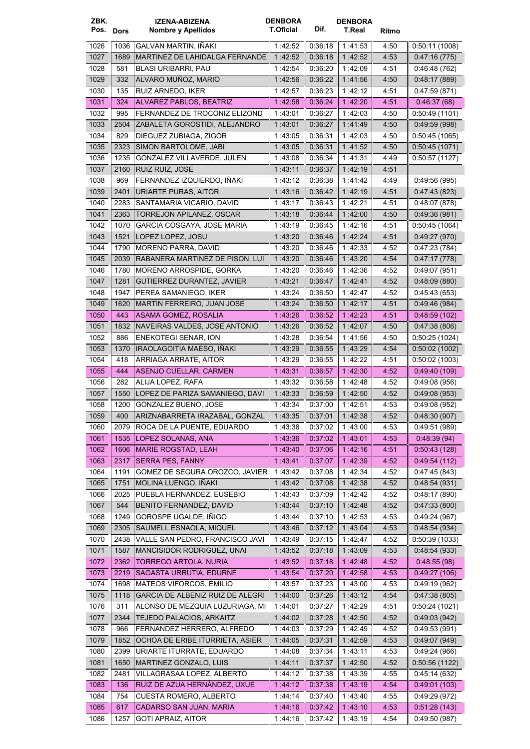| ZBK.         |      | <b>IZENA-ABIZENA</b>                                 | <b>DENBORA</b>     |                    | <b>DENBORA</b>     |              |                              |
|--------------|------|------------------------------------------------------|--------------------|--------------------|--------------------|--------------|------------------------------|
| Pos. Dors    |      | Nombre y Apellidos                                   | <b>T.Oficial</b>   | Dif.               | T.Real             | Ritmo        |                              |
| 1026         | 1036 | GALVAN MARTIN, IÑAKI                                 | 1:42:52            | 0:36:18            | 1:41:53            | 4:50         | 0.50:11(1008)                |
| 1027         | 1689 | MARTINEZ DE LAHIDALGA FERNANDE                       | 1 42:52            | 0.36.18            | 1:42:52            | 4:53         | 0.47:16(775)                 |
| 1028         | 581  | <b>BLASI URIBARRI, PAU</b>                           | 1:42:54            | 0:36:20            | 1:42:09            | 4:51         | 0:46:48(762)                 |
| 1029         | 332  | ALVARO MUÑOZ. MARIO                                  | 1:42:56            | 0:36:22            | 1:41:56            | 4:50         | 0.48:17(889)                 |
| 1030         | 135  | RUIZ ARNEDO, IKER                                    | 1:42:57            | 0:36:23            | 1:42:12            | 4:51         | 0.47:59(871)                 |
| 1031         | 324  | ALVAREZ PABLOS, BEATRIZ                              | 1:42:58            | 0.36.24            | 1:42:20            | 4:51         | 0.46.37(68)                  |
| 1032         | 995  | FERNANDEZ DE TROCONIZ ELIZOND                        | 1:43:01            | 0:36:27            | 1:42:03            | 4:50         | 0:50:49(1101)                |
| 1033         | 2504 | ZABALETA GOROSTIDI, ALEJANDRO                        | 1 43:01            | 0:36:27            | 1 41 49            | 4:50         | 0.49:59(998)                 |
| 1034         | 829  | DIEGUEZ ZUBIAGA, ZIGOR                               | 1 43:05            | 0:36:31            | 1:42:03            | 4:50         | 0.50.45(1065)                |
| 1035         | 2323 | SIMON BARTOLOME, JABI                                | 1:43:05            | 0:36:31            | 1 41:52            | 4:50         | 0.50.45(1071)                |
| 1036         | 1235 | GONZALEZ VILLAVERDE, JULEN                           | 1 43:08            | 0:36:34            | 1:41:31            | 4:49         | 0.50.57(1127)                |
| 1037         | 2160 | RUIZ RUIZ, JOSE                                      | 1 43:11            | 0:36:37            | 1:42:19            | 4:51         |                              |
| 1038         | 969  | FERNANDEZ IZQUIERDO, IÑAKI                           | 1:43:12            | 0:36:38            | 1:41:42            | 4:49         | 0.49.56(995)                 |
| 1039         | 2401 | URIARTE PURAS, AITOR                                 | 1 43 16            | 0:36:42            | 1:42:19            | 4:51         | 0.47.43(823)                 |
| 1040         | 2283 | SANTAMARIA VICARIO, DAVID                            | 1:43:17            | 0:36:43            | 1:42:21            | 4:51         | 0.48.07(878)                 |
| 1041         | 2363 | TORREJON APILANEZ, OSCAR                             | 1:43:18            | 0.36.44            | 1:42:00            | 4:50         | 0.49.36(981)                 |
| 1042         | 1070 | GARCIA COSGAYA, JOSE MARIA                           | 1:43:19            | 0:36:45            | 1:42:16            | 4:51         | 0.50.45(1064)                |
| 1043         | 1521 | LOPEZ LOPEZ, JOSU                                    | 1:43:20            | 0.36.46            | 1:42:24            | 4:51         | 0.49.27(970)                 |
| 1044         | 1790 | <b>MORENO PARRA, DAVID</b>                           | 1:43:20            | 0:36:46            | 1:42:33            | 4.52         | 0.47:23(784)                 |
| 1045         | 2039 | RABANERA MARTINEZ DE PISON, LUI                      | 1:43:20            | 0.36.46            | 1 43:20            | 4:54         | 0.47:17(778)                 |
| 1046         | 1780 | MORENO ARROSPIDE, GORKA                              | 1 43:20            | 0:36:46            | 1:42:36            | 4:52         | 0.49.07(951)                 |
| 1047         | 1281 | GUTIERREZ DURANTEZ, JAVIER                           | 1:43:21            | 0:36:47            | 1:42:41            | 4:52         | 0.48.09(880)                 |
| 1048         | 1947 | PEREA SAMANIEGO, IKER                                | 1:43:24            | 0:36:50            | 1:42:47            | 4:52         | 0.45.43(653)                 |
| 1049         | 1620 | <b>MARTIN FERREIRO, JUAN JOSE</b>                    | 1:43:24            | 0:36:50            | 1:42:17            | 4:51         | 0.49.46(984)                 |
| 1050         | 443  | ASAMA GOMEZ, ROSALIA                                 | 1:43:26            | 0:36:52            | 1.42.23            | 4:51         | 0.48.59(102)                 |
| 1051         | 1832 | NAVEIRAS VALDES, JOSE ANTONIO                        | 1:43:26            | 0.36:52            | 1.42.07            | 4:50         | 0.47:38(806)                 |
| 1052         | 886  | <b>ENEKOTEGI SENAR, ION</b>                          | 1:43:28            | 0.36:54            | 1:41:56            | 4:50         | 0.50:25(1024)                |
| 1053         | 1370 | IRAOLAGOITIA MAESO, IÑAKI                            | 1:43:29            | 0.36.55            | 1 43:29            | 4:54         | 0:50:02(1002)                |
| 1054         | 418  | ARRIAGA ARRATE, AITOR                                | 1 43:29            | 0:36:55            | 1:42:22            | 4:51         | 0.50.02(1003)                |
| 1055         | 444  | ASENJO CUELLAR, CARMEN                               | 1 43:31            | 0:36:57            | 1 42:30            | 4:52         | 0.49.40(109)                 |
| 1056         | 282  | ALIJA LOPEZ, RAFA                                    | 1:43:32            | 0:36:58            | 1:42:48            | 4:52         | 0.49.08(956)                 |
| 1057         | 1550 | LOPEZ DE PARIZA SAMANIEGO, DAVI                      | 1:43:33            | 0:36:59            | 1:42:50            | 4:52         | 0.49:08(953)                 |
| 1058         | 1200 | GONZALEZ BUENO, JOSE                                 | 1:43:34            | 0:37:00            | 1:42:51            | 4:53         | 0.49.08(952)                 |
| 1059         |      | 400   ARIZNABARRETA IRAZABAL, GONZAL                 | 1:43:35            | 0:37:01            | 1:42:38            | 4:52         | 0.48.30(907)                 |
| 1060         |      | 2079   ROCA DE LA PUENTE, EDUARDO                    | 1:43:36            | 0:37:02            | 1:43:00            | 4:53         | 0.49.51(989)                 |
| 1061         |      | 1535   LOPEZ SOLANAS, ANA                            | 1 43:36            | 0.37.02            | 1 43 01            | 4:53         | 0.48.39(94)                  |
| 1062         | 1606 | <b>MARIE ROGSTAD, LEAH</b>                           | 1:43:40            | 0.37.06            | 1.42.16            | 4:51         | 0.50.43(128)                 |
| 1063         | 2317 | SERRA PES, FANNY                                     | 1:43:41            | 0.37:07            | 1:42:39            | 4:52         | 0.49.54(112)                 |
| 1064         | 1191 | GOMEZ DE SEGURA OROZCO. JAVIER                       | 1:43:42            | 0.37:08            | 1:42:34            | 4:52         | 0.47:45(843)                 |
| 1065         | 1751 | MOLINA LUENGO, IÑAKI                                 | 1:43:42            | 0.37:08            | 1:42:38            | 4:52         | 0.48.54(931)                 |
| 1066         | 2025 | PUEBLA HERNANDEZ, EUSEBIO                            | 1:43:43            | 0:37:09            | 1:42:42            | 4:52         | 0.48:17(890)                 |
| 1067         | 544  | BENITO FERNANDEZ, DAVID                              | 1:43:44            | 0.37.10            | 1:42:48            | 4:52         | 0.47:33(800)                 |
| 1068         | 1249 | GOROSPE UGALDE, IÑIGO                                | 1:43:44            | 0:37:10            | 1:42:53            | 4:53         | 0.49.24(967)                 |
| 1069         | 2305 | SAUMELL ESNAOLA, MIQUEL                              | 1:43:46            | 0.37.12            | 1:43:04            | 4:53         | 0.48.54(934)                 |
| 1070         | 2438 | VALLE SAN PEDRO, FRANCISCO JAVI                      | 1:43:49            | 0:37:15            | 1:42:47            | 4:52         | 0.50:39(1033)                |
| 1071         | 1587 | MANCISIDOR RODRIGUEZ, UNAI                           | 1:43:52            | 0.37.18            | 1 43 09            | 4:53         | 0.48.54(933)                 |
| 1072         | 2362 | TORREGO ARTOLA, NURIA                                | 1:43:52            | 0.37.18            | 1.42.48            | 4:52         | 0.48:55(98)                  |
| 1073         | 2219 | SAGASTA URRUTIA, EDURNE                              | 1:43:54            | 0.37.20            | 1:42:58            | 4:53         | 0.49:27(106)                 |
| 1074         | 1698 | MATEOS VIFORCOS, EMILIO                              | 1:43:57            | 0.37.23            | 1:43:00            | 4:53         | 0.49.19(962)                 |
| 1075         | 1118 | GARCIA DE ALBENIZ RUIZ DE ALEGRI                     | 1:44:00            | 0.37.26            | 1:43:12            | 4:54         | 0.47:38(805)                 |
| 1076         | 311  | ALONSO DE MEZQUIA LUZURIAGA, MI                      | 1:44:01            | 0.37:27            | 1:42:29            | 4:51         | 0.50.24(1021)                |
| 1077         | 2344 | TEJEDO PALACIOS, ARKAITZ                             | 1:44:02            | 0.37.28            | 1:42.50            | 4:52         | 0.49:03(942)                 |
| 1078         | 966  | FERNANDEZ HERRERO, ALFREDO                           | 1:44:03            | 0:37:29            | 1:42:49            | 4:52         | 0.49.53(991)                 |
| 1079         | 1852 | OCHOA DE ERIBE ITURRIETA, ASIER                      | 1:44:05            | 0.37:31            | 1:42:59            | 4:53         | 0.49.07(949)                 |
| 1080         | 2399 | URIARTE ITURRATE, EDUARDO                            | 1:44:08            | 0.37:34            | 1:43:11            | 4:53         | 0.49.24(966)                 |
| 1081         | 1650 | MARTINEZ GONZALO, LUIS                               | 1:44:11            | 0.37:37            | 1:42:50            | 4:52         | 0.50.56(1122)                |
| 1082         | 2481 | VILLAGRASAA LOPEZ, ALBERTO                           | 1:44:12            | 0:37:38            | 1:43:39            | 4:55         | 0.45:14(632)                 |
| 1083         | 136  | RUIZ DE AZUA HERNÁNDEZ, UXUE                         | 1:44:12            | 0.37.38            | 1:43:19            | 4:54         | 0.49.01(103)                 |
| 1084         | 754  | CUESTA ROMERO, ALBERTO                               | 1:44:14            | 0:37:40            | 1:43:40            | 4:55         | 0.49.29(972)                 |
| 1085<br>1086 | 617  | CADARSO SAN JUAN, MARIA<br><b>GOTI APRAIZ, AITOR</b> | 1:44:16<br>1:44:16 | 0.37:42<br>0:37:42 | 1:43:10<br>1:43:19 | 4:53<br>4:54 | 0.51.28(143)<br>0.49:50(987) |
|              | 1257 |                                                      |                    |                    |                    |              |                              |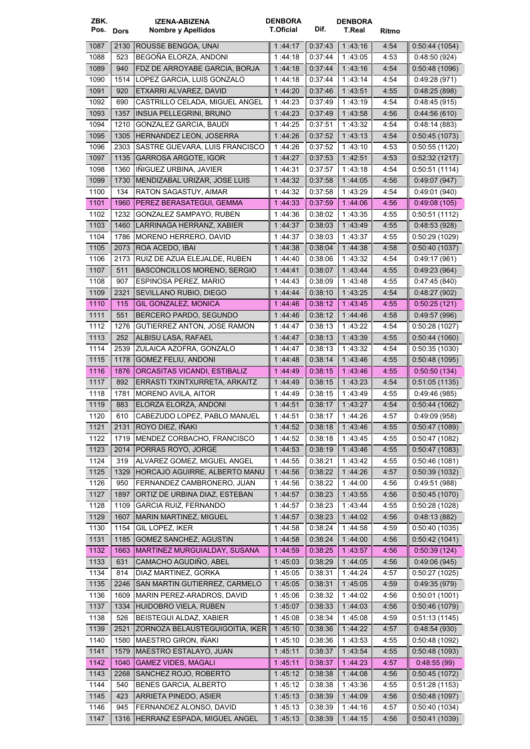| ZBK.      |      | <b>IZENA-ABIZENA</b>               | <b>DENBORA</b>   |         | <b>DENBORA</b> |       |                |
|-----------|------|------------------------------------|------------------|---------|----------------|-------|----------------|
| Pos. Dors |      | Nombre y Apellidos                 | <b>T.Oficial</b> | Dif.    | <b>T.Real</b>  | Ritmo |                |
| 1087      | 2130 | ROUSSE BENGOA, UNAI                | 1:44:17          | 0:37:43 | 1:43:16        | 4:54  | 0.50.44(1054)  |
| 1088      | 523  | BEGOÑA ELORZA, ANDONI              | 1:44:18          | 0:37:44 | 1:43:05        | 4:53  | 0.48:50(924)   |
| 1089      | 940  | FDZ DE ARROYABE GARCIA, BORJA      | 144.18           | 0:37:44 | 1:43:16        | 4:54  | 0.50.48(1096)  |
| 1090      | 1514 | LOPEZ GARCIA, LUIS GONZALO         | 144:18           | 0:37:44 | 1:43:14        | 4.54  | 0:49:28(971)   |
| 1091      | 920  | ETXARRI ALVAREZ, DAVID             | 1:44.20          | 0.37.46 | 1 43:51        | 4:55  | 0.48.25(898)   |
| 1092      | 690  | CASTRILLO CELADA, MIGUEL ANGEL     | 1 44:23          | 0:37:49 | 1:43:19        | 4:54  | 0.48.45(915)   |
| 1093      | 1357 | <b>INSUA PELLEGRINI, BRUNO</b>     | 1:44:23          | 0 37 49 | 1:43:58        | 4:56  | 0.44.56(610)   |
| 1094      | 1210 | GONZALEZ GARCIA, BAUDI             | 1:44:25          | 0:37:51 | 1:43:32        | 4:54  | 0.48.14(883)   |
| 1095      | 1305 | <b>HERNANDEZ LEON, JOSERRA</b>     | 1:44:26          | 0:37:52 | 1:43:13        | 4:54  | 0.50.45(1073)  |
| 1096      | 2303 | SASTRE GUEVARA, LUIS FRANCISCO     | 1 44:26          | 0:37:52 | 1:43:10        | 4.53  | 0.50:55(1120)  |
| 1097      | 1135 | <b>GARROSA ARGOTE, IGOR</b>        | 1:44.27          | 0.37.53 | 1:42:51        | 4:53  | 0.52.32(1217)  |
| 1098      | 1360 | IÑIGUEZ URBINA, JAVIER             | 1:44:31          | 0:37:57 | 1:43:18        | 4.54  | 0:50:51(1114)  |
| 1099      | 1730 | MENDIZABAL URIZAR, JOSE LUIS       | 1 44 32          | 0:37:58 | 1:44:05        | 4:56  | 0.49:07(947)   |
| 1100      | 134  | RATON SAGASTUY, AIMAR              | 1:44:32          | 0:37:58 | 1:43:29        | 4.54  | 0.49.01(940)   |
| 1101      | 1960 | PEREZ BERASATEGUI, GEMMA           | 1:44:33          | 0.37.59 | 1.44.06        | 4:56  | 0:49:08(105)   |
| 1102      | 1232 | GONZALEZ SAMPAYO, RUBEN            | 1 44:36          | 0:38:02 | 1:43:35        | 4:55  | 0:50:51(1112)  |
| 1103      | 1460 | LARRINAGA HERRANZ, XABIER          | 1:44:37          | 0.38.03 | 1:43:49        | 4:55  | 0.48.53(928)   |
| 1104      | 1786 | MORENO HERRERO, DAVID              | 1 44:37          | 0:38:03 | 1:43:37        | 4:55  | 0.50.29(1029)  |
| 1105      | 2073 | ROA ACEDO, IBAI                    | 1:44:38          | 0.38:04 | 1:44:38        | 4:58  | 0.50.40(1037)  |
| 1106      | 2173 | RUIZ DE AZUA ELEJALDE, RUBEN       |                  | 0:38:06 | 1:43:32        | 4:54  |                |
| 1107      | 511  | <b>BASCONCILLOS MORENO, SERGIO</b> | 1 44:40          | 0:38:07 | 1:43:44        | 4:55  | 0.49:17(961)   |
|           |      |                                    | 1:44:41          |         |                |       | 0.49:23(964)   |
| 1108      | 907  | ESPINOSA PEREZ, MARIO              | 1 44:43          | 0:38:09 | 1:43:48        | 4:55  | 0.47:45(840)   |
| 1109      | 2321 | SEVILLANO RUBIO, DIEGO             | 1 44 44          | 0.38:10 | 1:43:25        | 4:54  | 0.48:27(902)   |
| 1110      | 115  | <b>GIL GONZALEZ, MONICA</b>        | 1 44 46          | 0.38:12 | 1 43 45        | 4:55  | 0:50:25(121)   |
| 1111      | 551  | BERCERO PARDO, SEGUNDO             | 1 44 46          | 0:38:12 | 1 44 46        | 4:58  | 0.49.57(996)   |
| 1112      | 1276 | GUTIERREZ ANTON, JOSE RAMON        | 1:44:47          | 0:38:13 | 1:43:22        | 4:54  | 0.50:28(1027)  |
| 1113      | 252  | ALBISU LASA, RAFAEL                | 1:44:47          | 0.38:13 | 1 43:39        | 4:55  | 0.50.44(1060)  |
| 1114      | 2539 | ZULAICA AZOFRA, GONZALO            | 1 44 47          | 0:38:13 | 1:43:32        | 4:54  | 0.50.35(1030)  |
| 1115      | 1178 | <b>GOMEZ FELIU, ANDONI</b>         | 1 44:48          | 0.38.14 | 1 43 46        | 4:55  | 0.50.48(1095)  |
| 1116      | 1876 | ORCASITAS VICANDI, ESTIBALIZ       | 1.44.49          | 0.38:15 | 1 43 46        | 4:55  | 0:50:50(134)   |
| 1117      | 892  | ERRASTI TXINTXURRETA, ARKAITZ      | 1:44:49          | 0:38:15 | 1 43:23        | 4.54  | 0.51:05(1135)  |
| 1118      | 1781 | MORENO AVILA, AITOR                | 1:44:49          | 0:38:15 | 1:43:49        | 4:55  | 0.49.46(985)   |
| 1119      | 883  | ELORZA ELORZA, ANDONI              | 1:44:51          | 0:38:17 | 1:43:27        | 4:54  | 0.50.44(1062)  |
| 1120      | 610  | CABEZUDO LOPEZ, PABLO MANUEL       | 1:44:51          | 0:38:17 | 1:44:26        | 4:57  | 0.49:09(958)   |
| 1121      | 2131 | ROYO DIEZ, IÑAKI                   | 1:44.52          | 0:38:18 | 1:43:46        | 4:55  | 0.50.47(1089)  |
| 1122      | 1719 | MENDEZ CORBACHO, FRANCISCO         | 1:44:52          | 0.38.18 | 1:43:45        | 4:55  | 0.50.47(1082)  |
| 1123      | 2014 | PORRAS ROYO, JORGE                 | 1:44:53          | 0.38.19 | 1:43:46        | 4:55  | 0.50.47(1083)  |
| 1124      | 319  | ALVAREZ GOMEZ, MIGUEL ANGEL        | 1:44:55          | 0:38:21 | 1:43:42        | 4:55  | 0.50.46(1081)  |
| 1125      | 1329 | HORCAJO AGUIRRE, ALBERTO MANU      | 1:44:56          | 0:38:22 | 1:44:26        | 4:57  | 0.50.39(1032)  |
| 1126      | 950  | FERNANDEZ CAMBRONERO, JUAN         | 1:44:56          | 0.38.22 | 1:44:00        | 4:56  | 0.49.51(988)   |
| 1127      | 1897 | ORTIZ DE URBINA DIAZ, ESTEBAN      | 1:44:57          | 0.38.23 | 1:43:55        | 4:56  | 0.50.45(1070)  |
| 1128      | 1109 | <b>GARCIA RUIZ, FERNANDO</b>       | 1:44:57          | 0:38:23 | 1:43:44        | 4:55  | 0:50:28 (1028) |
| 1129      | 1607 | MARIN MARTINEZ, MIGUEL             | 1:44:57          | 0.38.23 | 1:44:02        | 4:56  | 0:48:13(882)   |
| 1130      | 1154 | GIL LOPEZ, IKER                    | 1:44:58          | 0.38.24 | 1:44:58        | 4:59  | 0.50.40(1035)  |
| 1131      | 1185 | <b>GOMEZ SANCHEZ, AGUSTIN</b>      | 1:44:58          | 0.38.24 | 1:44.00        | 4:56  | 0.50.42(1041)  |
| 1132      | 1663 | MARTINEZ MURGUIALDAY, SUSANA       | 1.44.59          | 0.38.25 | 1.43.57        | 4:56  | 0.50.39(124)   |
| 1133      | 631  | CAMACHO AGUDIÑO, ABEL              | 1:45:03          | 0:38:29 | 1:44:05        | 4:56  | 0.49.06(945)   |
| 1134      | 814  | DIAZ MARTINEZ, GORKA               | 1:45:05          | 0:38:31 | 1:44:24        | 4:57  | 0.50.27(1025)  |
| 1135      | 2246 | SAN MARTIN GUTIERREZ, CARMELO      | 1:45:05          | 0.38.31 | 1:45.05        | 4:59  | 0.49.35(979)   |
| 1136      | 1609 | MARIN PEREZ-ARADROS, DAVID         | 1:45:06          | 0.38.32 | 1:44.02        | 4:56  | 0.50.01(1001)  |
| 1137      | 1334 | HUIDOBRO VIELA, RUBEN              | 1:45:07          | 0:38:33 | 1:44.03        | 4:56  | 0.50.46(1079)  |
| 1138      | 526  | BEISTEGUI ALDAZ, XABIER            | 1.45.08          | 0:38:34 | 1:45:08        | 4:59  | 0.51:13(1145)  |
| 1139      | 2521 | ZORNOZA BELAUSTEGUIGOITIA, IKER    | 1:45:10          | 0.38:36 | 1:44:22        | 4:57  | 0.48.54(930)   |
| 1140      | 1580 | MAESTRO GIRON, INAKI               | 1:45:10          | 0:38:36 | 1:43:53        | 4:55  | 0.50.48(1092)  |
| 1141      | 1579 | MAESTRO ESTALAYO, JUAN             | 1:45:11          | 0.38:37 | 1:43:54        | 4:55  | 0.50.48(1093)  |
| 1142      | 1040 | <b>GAMEZ VIDES, MAGALI</b>         | 1:45:11          | 0.38:37 | 1:44.23        | 4:57  | 0.48.55(99)    |
| 1143      | 2268 | SANCHEZ ROJO, ROBERTO              | 1:45.12          | 0:38:38 | 1:44.08        | 4:56  | 0.50.45(1072)  |
| 1144      | 540  | <b>BENES GARCIA, ALBERTO</b>       | 1:45:12          | 0.38:38 | 1:43:36        | 4:55  | 0:51:28(1153)  |
| 1145      | 423  | ARRIETA PINEDO, ASIER              | 1:45:13          | 0.38:39 | 1.44.09        | 4:56  | 0.50.48(1097)  |
| 1146      | 945  | FERNANDEZ ALONSO, DAVID            | 1:45:13          | 0:38:39 | 1:44:16        | 4:57  | 0.50.40(1034)  |
| 1147      | 1316 | HERRANZ ESPADA, MIGUEL ANGEL       | 1:45:13          | 0.38.39 | 1:44:15        | 4:56  | 0.50.41(1039)  |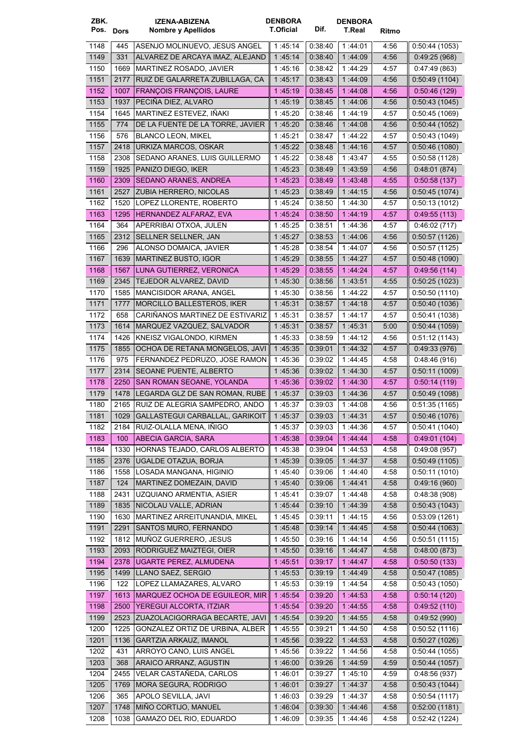| ZBK.         |              | <b>IZENA-ABIZENA</b>                                 | <b>DENBORA</b>     |                    | <b>DENBORA</b>     |              |                               |
|--------------|--------------|------------------------------------------------------|--------------------|--------------------|--------------------|--------------|-------------------------------|
| Pos. Dors    |              | Nombre y Apellidos                                   | <b>T.Oficial</b>   | Dif.               | <b>T.Real</b>      | Ritmo        |                               |
| 1148         | 445          | ASENJO MOLINUEVO, JESUS ANGEL                        | 1:45:14            | 0:38:40            | 1:44:01            | 4:56         | 0:50:44(1053)                 |
| 1149         | 331          | ALVAREZ DE ARCAYA IMAZ, ALEJAND                      | 1:45:14            | 0.38:40            | 1:44:09            | 4:56         | 0.49:25(968)                  |
| 1150         | 1669         | MARTINEZ ROSADO, JAVIER                              | 1:45:16            | 0:38:42            | 1:44:29            | 4:57         | 0.47:49(863)                  |
| 1151         | 2177         | RUIZ DE GALARRETA ZUBILLAGA, CA                      | 1:45:17            | 0.38.43            | 1:44:09            | 4:56         | 0.50:49(1104)                 |
| 1152         | 1007         | <b>FRANÇOIS FRANÇOIS, LAURE</b>                      | 1:45:19            | 0.38:45            | 1:44:08            | 4:56         | 0:50:46(129)                  |
| 1153         | 1937         | PECIÑA DIEZ, ALVARO                                  | 1:45:19            | 0.38:45            | 1:44:06            | 4:56         | 0.50.43(1045)                 |
| 1154         | 1645         | MARTINEZ ESTEVEZ, IÑAKI                              | 1:45:20            | 0:38:46            | 1:44:19            | 4:57         | 0.50.45(1069)                 |
| 1155         | 774          | DE LA FUENTE DE LA TORRE, JAVIER                     | 1 45:20            | 0:38:46            | 1:44:08            | 4:56         | 0.50.44(1052)                 |
| 1156         | 576          | <b>BLANCO LEON, MIKEL</b>                            | 1:45:21            | 0:38:47            | 1:44:22            | 4:57         | 0.50:43(1049)                 |
| 1157         | 2418         | URKIZA MARCOS, OSKAR                                 | 1:45:22            | 0:38:48            | 1 44 16            | 4:57         | 0.50.46(1080)                 |
| 1158         | 2308         | SEDANO ARANES, LUIS GUILLERMO                        | 1:45:22            | 0:38:48            | 1:43:47            | 4:55         | 0.50.58(1128)                 |
| 1159         | 1925         | PANIZO DIEGO, IKER                                   | 1:45:23            | 0.38:49            | 1 43:59            | 4:56         | 0.48:01(874)                  |
| 1160         | 2309         | SEDANO ARANES, ANDREA                                | 1.45.23            | 0:38:49<br>0:38:49 | 1 43:48            | 4:55         | 0:50:58(137)                  |
| 1161         | 2527         | ZUBIA HERRERO, NICOLAS                               | 1:45:23            |                    | 1:44:15            | 4:56         | 0.50.45(1074)                 |
| 1162<br>1163 | 1520<br>1295 | LOPEZ LLORENTE, ROBERTO<br>HERNANDEZ ALFARAZ, EVA    | 1:45:24<br>1:45:24 | 0:38:50<br>0.38.50 | 1:44:30<br>1:44:19 | 4:57<br>4:57 | 0:50:13(1012)<br>0.49.55(113) |
| 1164         | 364          | APERRIBAI OTXOA, JULEN                               | 1:45:25            | 0:38:51            | 1:44:36            | 4:57         | 0.46.02(717)                  |
| 1165         | 2312         | SELLNER SELLNER, JAN                                 | 1 45 27            | 0.38:53            | 1:44:06            | 4:56         | 0.50.57(1126)                 |
| 1166         | 296          | ALONSO DOMAICA, JAVIER                               | 1:45:28            | 0:38:54            | 1:44:07            | 4:56         | 0.50.57(1125)                 |
| 1167         | 1639         | MARTINEZ BUSTO, IGOR                                 | 1:45:29            | 0:38:55            | 1:44:27            | 4:57         | 0:50:48(1090)                 |
| 1168         | 1567         | LUNA GUTIERREZ, VERONICA                             | 1:45:29            | 0.38:55            | 1:44:24            | 4:57         | 0.49.56(114)                  |
| 1169         | 2345         | TEJEDOR ALVAREZ, DAVID                               | 1:45:30            | 0:38:56            | 1:43:51            | 4:55         | 0:50:25(1023)                 |
| 1170         | 1585         | MANCISIDOR ARANA, ANGEL                              | 1 45:30            | 0:38:56            | 1:44:22            | 4:57         | 0:50:50(1110)                 |
| 1171         | 1777         | MORCILLO BALLESTEROS, IKER                           | 1:45:31            | 0:38:57            | 1.44.18            | 4:57         | 0.50:40(1036)                 |
| 1172         | 658          | CARIÑANOS MARTINEZ DE ESTIVARIZ                      | 1 45 31            | 0:38:57            | 1:44:17            | 4:57         | 0:50:41(1038)                 |
| 1173         | 1614         | MARQUEZ VAZQUEZ, SALVADOR                            | 1 45:31            | 0:38:57            | 1:45:31            | 5:00         | 0.50.44(1059)                 |
| 1174         | 1426         | KNEISZ VIGALONDO, KIRMEN                             | 1:45:33            | 0:38:59            | 1:44:12            | 4:56         | 0.51:12(1143)                 |
| 1175         | 1855         | OCHOA DE RETANA MONGELOS, JAVI                       | 1.45:35            | 0.39.01            | 1 44 32            | 4:57         | 0.49.33(976)                  |
| 1176         | 975          | FERNANDEZ PEDRUZO, JOSE RAMON                        | 1:45:36            | 0:39:02            | 1 44 45            | 4:58         | 0.48:46(916)                  |
| 1177         | 2314         | SEOANE PUENTE, ALBERTO                               | 1:45:36            | 0:39:02            | 1:44:30            | 4:57         | 0:50:11(1009)                 |
| 1178         | 2250         | SAN ROMAN SEOANE, YOLANDA                            | 1 45 36            | 0.39.02            | 1:44:30            | 4:57         | 0:50:14(119)                  |
| 1179         | 1478         | LEGARDA GLZ DE SAN ROMAN, RUBE                       | 1:45:37            | 0:39:03            | 1:44:36            | 4:57         | 0.50.49(1098)                 |
| 1180         | 2165         | RUIZ DE ALEGRIA SAMPEDRO, ANDO                       | 1:45:37            | 0:39:03            | 1:44:08            | 4:56         | 0:51:35(1165)                 |
| 1181         |              | 1029 GALLASTEGUI CARBALLAL, GARIKOIT                 | 1:45:37            | 0:39:03            | 1:44:31            | 4:57         | 0:50:46(1076)                 |
| 1182         | 2184         | RUIZ-OLALLA MENA, IÑIGO                              | 1:45:37            | 0.39.03            | 1:44:36            | 4:57         | 0:50:41(1040)                 |
| 1183         | 100          | ABECIA GARCIA, SARA                                  | 1 45:38            | 0:39:04            | 1 44 44            | 4:58         | 0.49:01(104)                  |
| 1184         | 1330         | HORNAS TEJADO, CARLOS ALBERTO                        | 1:45:38            | 0.39:04            | 1:44:53            | 4:58         | 0.49.08(957)                  |
| 1185         | 2376         | UGALDE OTAZUA, BORJA                                 | 1:45:39            | 0.39:05            | 1:44:37            | 4:58         | 0.50.49(1105)                 |
| 1186         | 1558         | LOSADA MANGANA, HIGINIO                              | 1:45:40            | 0.39.06            | 1:44:40            | 4:58         | 0.50:11(1010)                 |
| 1187<br>1188 | 124<br>2431  | MARTINEZ DOMEZAIN, DAVID<br>UZQUIANO ARMENTIA, ASIER | 1 45:40<br>1:45:41 | 0.39.06<br>0:39:07 | 1 44 41<br>1:44:48 | 4:58<br>4:58 | 0.49:16(960)<br>0.48.38(908)  |
| 1189         | 1835         | NICOLAU VALLE, ADRIAN                                | 1:45:44            | 0.39.10            | 1:44:39            | 4:58         | 0.50.43(1043)                 |
| 1190         | 1630         | MARTINEZ ARREITUNANDIA, MIKEL                        | 1:45:45            | 0.39.11            | 1:44:15            | 4:56         | 0:53:09(1261)                 |
| 1191         | 2291         | SANTOS MURO, FERNANDO                                | 1:45:48            | 0.39.14            | 1 44 45            | 4:58         | 0.50.44(1063)                 |
| 1192         | 1812         | MUÑOZ GUERRERO, JESUS                                | 1:45:50            | 0.39.16            | 1:44:14            | 4:56         | 0:50:51(1115)                 |
| 1193         | 2093         | RODRIGUEZ MAIZTEGI, OIER                             | 1:45:50            | 0.39.16            | 1 44 47            | 4:58         | 0.48:00(873)                  |
| 1194         | 2378         | UGARTE PEREZ, ALMUDENA                               | 1:45.51            | 0.39:17            | 1:44.47            | 4:58         | 0.50.50(133)                  |
| 1195         | 1499         | LLANO SAEZ, SERGIO                                   | 1:45:53            | 0.39:19            | 1:44:49            | 4:58         | 0.50.47(1085)                 |
| 1196         | 122          | LOPEZ LLAMAZARES, ALVARO                             | 1:45:53            | 0:39:19            | 1:44:54            | 4:58         | 0.50.43(1050)                 |
| 1197         | 1613         | <b>MARQUEZ OCHOA DE EGUILEOR, MIR</b>                | 1:45:54            | 0.39.20            | 1:44:53            | 4:58         | 0.50:14(120)                  |
| 1198         | 2500         | YEREGUI ALCORTA, ITZIAR                              | 1:45:54            | 0:39:20            | 1 44.55            | 4:58         | 0.49.52(110)                  |
| 1199         | 2523         | ZUAZOLACIGORRAGA BECARTE, JAVI                       | 1:45:54            | 0:39:20            | 1:44:55            | 4:58         | 0.49:52(990)                  |
| 1200         | 1225         | GONZALEZ ORTIZ DE URBINA, ALBER                      | 1:45:55            | 0:39:21            | 1:44:50            | 4:58         | 0.50.52(1116)                 |
| 1201         | 1136         | GARTZIA ARKAUZ, IMANOL                               | 1:45:56            | 0.39.22            | 1 44 53            | 4:58         | 0.50:27(1026)                 |
| 1202         | 431          | ARROYO CANO, LUIS ANGEL                              | 1:45:56            | 0.39.22            | 1:44:56            | 4:58         | 0:50:44(1055)                 |
| 1203         | 368          | ARAICO ARRANZ, AGUSTIN                               | 1:46:00            | 0.39.26            | 1:44:59            | 4:59         | 0.50.44(1057)                 |
| 1204         | 2455         | VELAR CASTANEDA, CARLOS                              | 1:46:01            | 0:39:27            | 1:45:10            | 4:59         | 0.48.56(937)                  |
| 1205         | 1769         | <b>MORA SEGURA, RODRIGO</b>                          | 1:46:01            | 0.39:27            | 1:44:37            | 4:58         | 0.50.43(1044)                 |
| 1206         | 365          | APOLO SEVILLA, JAVI                                  | 1:46:03            | 0:39:29            | 1:44:37            | 4:58         | 0.50.54(1117)                 |
| 1207         | 1748         | MIÑO CORTIJO, MANUEL                                 | 1:46:04            | 0.39.30            | 1:44:46            | 4:58         | 0.52:00(1181)                 |
| 1208         | 1038         | GAMAZO DEL RIO, EDUARDO                              | 1:46:09            | 0.39.35            | 1 44 46            | 4:58         | 0.52:42 (1224)                |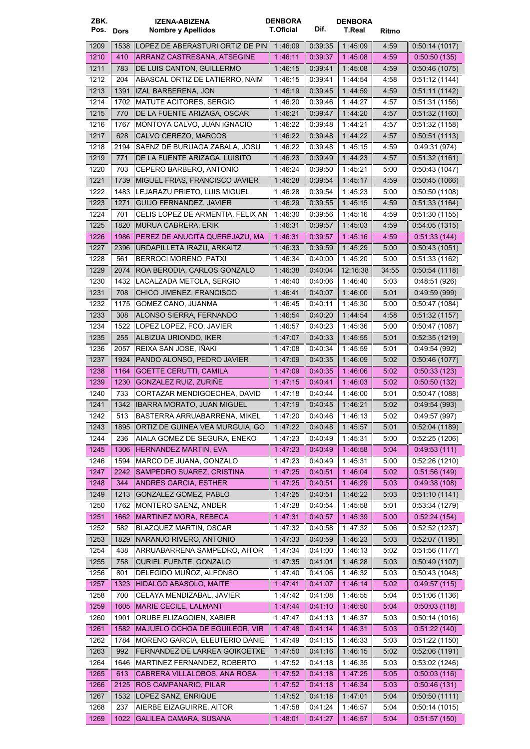| ZBK.<br>Pos. Dors |             | <b>IZENA-ABIZENA</b><br>Nombre y Apellidos                | <b>DENBORA</b><br><b>T.Oficial</b> | Dif.               | <b>DENBORA</b><br><b>T.Real</b> | Ritmo        |                               |
|-------------------|-------------|-----------------------------------------------------------|------------------------------------|--------------------|---------------------------------|--------------|-------------------------------|
| 1209              | 1538        | LOPEZ DE ABERASTURI ORTIZ DE PIN                          | 1:46:09                            | 0:39:35            | 1 45:09                         | 4:59         | 0.50:14(1017)                 |
| 1210              | 410         | ARRANZ CASTRESANA, ATSEGINE                               | 1:46:11                            | 0:39:37            | 1:45:08                         | 4:59         | 0.50:50(135)                  |
| 1211              | 783         | DE LUIS CANTON, GUILLERMO                                 | 1:46:15                            | 0:39:41            | 1:45:08                         | 4:59         | 0.50.46(1075)                 |
| 1212              | 204         | ABASCAL ORTIZ DE LATIERRO, NAIM                           | 1 46 15                            | 0:39:41            | 1:44:54                         | 4:58         | 0.51:12(1144)                 |
| 1213              | 1391        | IZAL BARBERENA, JON                                       | 1:46:19                            | 0.39.45            | 1:44:59                         | 4:59         | 0.51:11(1142)                 |
| 1214              | 1702        | <b>MATUTE ACITORES, SERGIO</b>                            | 1 46:20                            | 0:39:46            | 1:44:27                         | 4:57         | 0.51.31(1156)                 |
| 1215              | 770         | DE LA FUENTE ARIZAGA, OSCAR                               | 1:46:21                            | 0:39:47            | 1:44.20                         | 4:57         | 0.51:32(1160)                 |
| 1216              | 1767        | MONTOYA CALVO, JUAN IGNACIO                               | 1:46:22                            | 0:39:48            | 1:44:21                         | 4:57         | 0:51:32(1158)                 |
| 1217              | 628         | CALVO CEREZO, MARCOS                                      | 1:46:22                            | 0.39.48            | 1:44:22                         | 4:57         | 0.50.51(1113)                 |
| 1218              | 2194        | SAENZ DE BURUAGA ZABALA, JOSU                             | 1:46:22                            | 0.39:48            | 1:45:15                         | 4:59         | 0.49.31(974)                  |
| 1219              | 771         | DE LA FUENTE ARIZAGA, LUISITO                             | 1 46:23                            | 0.39.49            | 1.44.23                         | 4:57         | 0.51.32(1161)                 |
| 1220              | 703         | CEPERO BARBERO, ANTONIO                                   | 1 46:24                            | 0:39:50            | 1:45:21                         | 5:00         | 0.50:43(1047)                 |
| 1221              | 1739        | MIGUEL FRIAS, FRANCISCO JAVIER                            | 1:46:28                            | 0.39.54            | 1:45:17                         | 4:59         | 0.50.45(1066)                 |
| 1222              | 1483        | LEJARAZU PRIETO, LUIS MIGUEL                              | 1:46:28                            | 0.39.54            | 1:45:23                         | 5:00         | 0.50.50(1108)                 |
| 1223              | 1271        | GUIJO FERNANDEZ, JAVIER                                   | 1:46:29                            | 0:39:55            | 1:45:15                         | 4:59         | 0:51:33(1164)                 |
| 1224              | 701         | CELIS LOPEZ DE ARMENTIA, FELIX AN                         | 1:46:30                            | 0:39:56            | 1:45:16                         | 4:59         | 0:51:30(1155)                 |
| 1225              | 1820        | MURUA CABRERA, ERIK                                       | 1:46:31                            | 0:39:57            | 1:45:03                         | 4:59         | 0.54:05(1315)                 |
| 1226              | 1986        | PEREZ DE ANUCITA QUEREJAZU, MA                            | 1:46:31                            | 0:39:57            | 1:45:16                         | 4:59         | 0.51.33(144)                  |
| 1227              | 2396        | URDAPILLETA IRAZU, ARKAITZ                                | 1:46:33                            | 0.39:59            | 1:45.29                         | 5:00         | 0.50.43(1051)                 |
| 1228              | 561         | BERROCI MORENO, PATXI                                     | 1 46 34                            | 0.40:00            | 1:45:20                         | 5:00         | 0.51.33(1162)                 |
| 1229              | 2074        | ROA BERODIA, CARLOS GONZALO                               | 1:46:38                            | 0.40.04            | 12:16:38                        | 34:55        | 0.50.54(1118)                 |
| 1230              | 1432        | LACALZADA METOLA, SERGIO                                  | 1:46:40                            | 0.40.06            | 1:46:40                         | 5:03         | 0.48:51(926)                  |
| 1231              | 708         | CHICO JIMENEZ, FRANCISCO                                  | 1:46:41                            | 0.40.07            | 1:46:00                         | 5:01         | 0.49.59(999)                  |
| 1232              | 1175        | GOMEZ CANO, JUANMA                                        | 1:46:45                            | 0:40:11            | 1:45:30                         | 5:00         | 0.50.47(1084)                 |
| 1233              | 308         | ALONSO SIERRA, FERNANDO                                   | 1 46:54                            | 0.40:20            | 1:44:54                         | 4:58         | 0:51:32(1157)                 |
| 1234              | 1522        | LOPEZ LOPEZ, FCO. JAVIER                                  | 1 46:57                            | 0:40:23            | 1:45:36                         | 5:00         | 0.50.47(1087)                 |
| 1235              | 255         | ALBIZUA URIONDO, IKER                                     | 1:47:07                            | 0.40.33            | 1:45:55                         | 5:01         | 0.52.35(1219)                 |
| 1236              | 2057        | REIXA SAN JOSE, IÑAKI                                     | 1:47:08                            | 0:40:34            | 1:45:59                         | 5:01         | 0.49.54(992)                  |
| 1237              | 1924        | PANDO ALONSO, PEDRO JAVIER                                | 1:47:09                            | 0.40.35            | 1:46.09                         | 5:02         | 0.50.46(1077)                 |
| 1238              | 1164        | <b>GOETTE CERUTTI, CAMILA</b>                             | 1:47:09                            | 0.40.35            | 1.46.06                         | 5:02         | 0:50:33(123)                  |
| 1239              | 1230        | GONZALEZ RUIZ, ZURIÑE                                     | 1:47:15                            | 0.40.41            | 1 46:03                         | 5:02         | 0:50:50(132)                  |
| 1240              | 733         | CORTAZAR MENDIGOECHEA, DAVID                              | 147:18                             | 0.40.44            | 1:46:00                         | 5:01         | 0.50.47(1088)                 |
| 1241              | 1342        | IBARRA MORATO, JUAN MIGUEL                                | 1:47:19                            | 0.40.45            | 1:46:21                         | 5:02         | 0.49.54(993)                  |
| 1242              | 513         | BASTERRA ARRUABARRENA, MIKEL                              | 1:47:20                            | 0:40:46            | 1:46:13                         | 5:02         | 0:49:57 (997)                 |
| 1243              | 1895        | ORTIZ DE GUINEA VEA MURGUIA, GO                           | 1:47:22                            | 0.40:48            | 1:45.57                         | 5:01         | 0:52:04(1189)                 |
| 1244              | 236         | AIALA GOMEZ DE SEGURA, ENEKO                              | 1:47:23                            | 0:40:49            | 1:45:31                         | 5:00         | 0:52:25(1206)                 |
| 1245              | 1306        | HERNANDEZ MARTIN, EVA                                     | 1:47.23                            | 0.40:49            | 1:46:58                         | 5:04         | 0.49.53(111)                  |
| 1246              | 1594        | MARCO DE JUANA, GONZALO                                   | 1:47:23                            | 0.40.49            | 1:45:31                         | 5:00         | 0.52:26(1210)                 |
| 1247              | 2242        | SAMPEDRO SUAREZ, CRISTINA                                 | 1:47.25                            | 0.40.51            | 1:46:04                         | 5:02         | 0.51.56(149)                  |
| 1248              | 344         | <b>ANDRES GARCIA, ESTHER</b>                              | 1 47:25                            | 0:40.51            | 1 46 29                         | 5:03         | 0.49.38(108)                  |
| 1249              | 1213        | GONZALEZ GOMEZ, PABLO                                     | 1 47 25                            | 0:40.51            | 1:46:22                         | 5:03         | 0:51:10(1141)                 |
| 1250              | 1762        | MONTERO SAENZ, ANDER                                      | 1:47:28                            | 0.40:54            | 1:45:58                         | 5:01         | 0:53:34(1279)                 |
| 1251              | 1662        | <b>MARTINEZ MORA, REBECA</b>                              | 1:47:31                            | 0.40.57            | 1:45:39                         | 5:00         | 0.52.24(154)                  |
| 1252              | 582         | BLAZQUEZ MARTIN, OSCAR                                    | 1:47:32                            | 0.40:58            | 1:47:32                         | 5:06         | 0:52:52(1237)                 |
| 1253              | 1829        | NARANJO RIVERO, ANTONIO                                   | 1:47:33                            | 0.40.59            | 1:46:23                         | 5:03         | 0.52:07(1195)                 |
| 1254              | 438         | ARRUABARRENA SAMPEDRO, AITOR                              | 1:47:34                            | 0.41:00            | 1:46:13                         | 5:02         | 0:51:56(1177)                 |
| 1255              | 758         | CURIEL FUENTE, GONZALO                                    | 1:47.35                            | 0:41:01            | 1:46:28                         | 5:03         | 0.50.49(1107)                 |
| 1256              | 801<br>1323 | DELEGIDO MUÑOZ, ALFONSO                                   | 1:47:40                            | 0.41.06            | 1:46:32                         | 5:03<br>5:02 | 0:50:43(1048)                 |
| 1257              |             | HIDALGO ABASOLO, MAITE                                    | 1:47.41                            | 0:41:07            | 1.46.14                         |              | 0.49.57(115)                  |
| 1258<br>1259      | 700<br>1605 | CELAYA MENDIZABAL, JAVIER<br><b>MARIE CECILE, LALMANT</b> | 1:47:42<br>1.47.44                 | 0.41:08<br>0.41:10 | 1:46:55<br>1:46:50              | 5:04<br>5:04 | 0.51:06(1136)                 |
| 1260              | 1901        | ORUBE ELIZAGOIEN, XABIER                                  | 1:47:47                            | 0.41:13            | 1:46:37                         | 5:03         | 0.50.03(118)<br>0:50:14(1016) |
| 1261              | 1582        | <b>MAJUELO OCHOA DE EGUILEOR, VIR</b>                     | 1:47.48                            | 0.41.14            | 1:46:31                         | 5:03         | 0.51.22(140)                  |
| 1262              | 1784        | MORENO GARCIA, ELEUTERIO DANIE                            | 1:47:49                            | 0.41:15            | 1:46:33                         | 5:03         | 0.51:22(1150)                 |
| 1263              | 992         | FERNANDEZ DE LARREA GOIKOETXE                             | 1:47:50                            | 0.41.16            | 1:46:15                         | 5:02         | 0.52:06(1191)                 |
| 1264              | 1646        | MARTINEZ FERNANDEZ, ROBERTO                               | 1:47:52                            | 0.41:18            | 1:46:35                         | 5:03         | 0.53.02(1246)                 |
| 1265              | 613         | CABRERA VILLALOBOS, ANA ROSA                              | 1:47:52                            | 0.41:18            | 1:47.25                         | 5:05         | 0.50:03(116)                  |
| 1266              | 2125        | ROS CAMPANARIO, PILAR                                     | 1:47:52                            | 0.41:18            | 1:46:34                         | 5:03         | 0.50.46(131)                  |
| 1267              | 1532        | LOPEZ SANZ, ENRIQUE                                       | 1:47:52                            | 0.41.18            | 1:47:01                         | 5:04         | 0.50.50(1111)                 |
| 1268              | 237         | AIERBE EIZAGUIRRE, AITOR                                  | 1 47 58                            | 0.41:24            | 1:46:57                         | 5:04         | 0.50.14(1015)                 |
| 1269              | 1022        | <b>GALILEA CAMARA, SUSANA</b>                             | 1:48:01                            | 0.41:27            | 1.46.57                         | 5:04         | 0.51.57(150)                  |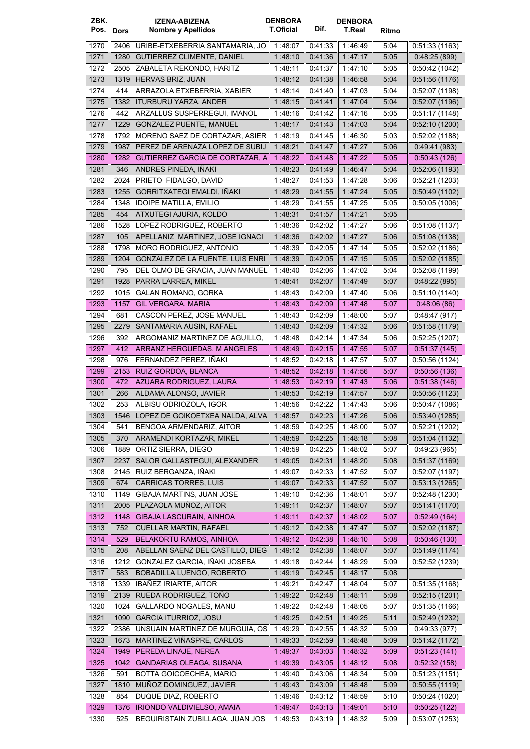| ZBK.<br>Pos. Dors |              | <b>IZENA-ABIZENA</b><br>Nombre y Apellidos                | <b>DENBORA</b><br><b>T.Oficial</b> | Dif.               | <b>DENBORA</b><br>T.Real | Ritmo        |                        |
|-------------------|--------------|-----------------------------------------------------------|------------------------------------|--------------------|--------------------------|--------------|------------------------|
|                   |              |                                                           |                                    |                    |                          |              |                        |
| 1270              | 2406         | URIBE-ETXEBERRIA SANTAMARIA, JO                           | 1:48:07                            | 0:41:33            | 1:46:49                  | 5:04         | 0.51:33(1163)          |
| 1271              | 1280         | <b>GUTIERREZ CLIMENTE, DANIEL</b>                         | 1:48:10                            | 0:41:36            | 1:47:17                  | 5:05         | 0.48:25(899)           |
| 1272              | 2505         | ZABALETA REKONDO, HARITZ                                  | 1 48:11                            | 0:41:37            | 1:47:10                  | 5:05         | 0:50:42(1042)          |
| 1273              | 1319         | HERVAS BRIZ, JUAN                                         | 1 48 12                            | 0.41.38            | 1 46 58                  | 5:04         | 0:51:56(1176)          |
| 1274              | 414          | ARRAZOLA ETXEBERRIA, XABIER                               | 1 48:14                            | 0:41:40            | 1:47:03                  | 5:04         | 0.52:07(1198)          |
| 1275              | 1382         | <b>ITURBURU YARZA, ANDER</b>                              | 1.48:15                            | 0.41.41            | 1 47 04                  | 5:04         | 0.52:07(1196)          |
| 1276              | 442          | ARZALLUS SUSPERREGUI. IMANOL                              | 1:48:16                            | 0:41:42            | 1:47:16                  | 5:05         | 0:51:17(1148)          |
| 1277              | 1229         | <b>GONZALEZ PUENTE, MANUEL</b>                            | 1:48:17                            | 0.41.43            | 1.47.03                  | 5:04         | 0.52:10(1200)          |
| 1278              | 1792         | MORENO SAEZ DE CORTAZAR. ASIER                            | 1:48:19                            | 0:41:45            | 1 46:30                  | 5:03         | 0.52:02(1188)          |
| 1279              | 1987         | PEREZ DE ARENAZA LOPEZ DE SUBIJ                           | 1:48:21                            | 0.41.47            | 1:47:27                  | 5:06         | 0.49.41(983)           |
| 1280              | 1282         | GUTIERREZ GARCIA DE CORTAZAR, A                           | 1.48:22                            | 0.41.48            | 1 47 22                  | 5:05         | 0.50.43(126)           |
| 1281              | 346          | ANDRES PINEDA, IÑAKI                                      | 1 48:23                            | 0.41.49            | 1:46:47                  | 5:04         | 0:52:06(1193)          |
| 1282              | 2024         | PRIETO FIDALGO, DAVID                                     | 1:48:27                            | 0:41:53            | 1:47:28                  | 5:06         | 0:52:21(1203)          |
| 1283              | 1255         | GORRITXATEGI EMALDI, IÑAKI                                | 1 48:29                            | 0.41.55            | 1:47:24                  | 5:05         | 0:50:49(1102)          |
| 1284              | 1348         | <b>IDOIPE MATILLA, EMILIO</b>                             | 1 48:29                            | 0:41:55            | 1:47:25                  | 5:05         | 0.50.05(1006)          |
| 1285              | 454          | ATXUTEGI AJURIA, KOLDO                                    | 1:48:31                            | 0.41.57            | 1:47:21                  | 5:05         |                        |
| 1286              | 1528         | LOPEZ RODRIGUEZ, ROBERTO                                  | 1:48:36                            | 0:42:02            | 1:47:27                  | 5:06         | 0:51:08(1137)          |
| 1287              | 105          | APELLANIZ MARTINEZ, JOSE IGNACI                           | 1:48:36                            | 0.42.02            | 1:47:27                  | 5:06         | 0.51.08(1138)          |
| 1288              | 1798         | MORO RODRIGUEZ, ANTONIO                                   | 1 48:39                            | 0:42:05            | 1 47 14                  | 5:05         | 0.52:02(1186)          |
| 1289              | 1204         | GONZALEZ DE LA FUENTE, LUIS ENRI                          | 1 48 39                            | 0.42:05            | 1:47:15                  | 5:05         | 0.52:02(1185)          |
| 1290              | 795          | DEL OLMO DE GRACIA, JUAN MANUEL                           | 1:48:40                            | 0:42:06            | 1:47:02                  | 5:04         | 0.52:08(1199)          |
| 1291              | 1928         | PARRA LARREA, MIKEL                                       | 1:48:41                            | 0:42:07            | 1 47 49                  | 5:07         | 0.48.22(895)           |
| 1292              | 1015         | GALAN ROMANO, GORKA                                       | 1:48:43                            | 0.42.09            | 1:47:40                  | 5:06         | 0:51:10(1140)          |
| 1293              | 1157         | <b>GIL VERGARA, MARIA</b>                                 | 1:48:43                            | 0.42:09            | 1:47:48                  | 5:07         | 0.48:06(86)            |
| 1294              | 681          | CASCON PEREZ, JOSE MANUEL                                 | 1 48 43                            | 0:42:09            | 1 48 00                  | 5:07         | 0.48.47(917)           |
| 1295              | 2279         | SANTAMARIA AUSIN, RAFAEL                                  | 1 48 43                            | 0.42:09            | 1:47:32                  | 5:06         | 0.51.58(1179)          |
| 1296              | 392          | ARGOMANIZ MARTINEZ DE AGUILLO,                            | 1 48:48                            | 0.42:14            | 1:47:34                  | 5:06         | 0.52:25(1207)          |
| 1297              | 412          | ARRANZ HERGUEDAS, M ANGELES                               | 1 48 49                            | 0.42:15            | 1:47:55                  | 5:07         | 0.51.37(145)           |
| 1298              | 976          | FERNANDEZ PEREZ, INAKI                                    | 1 48:52                            | 0.42:18            | 1:47:57                  | 5:07         | 0.50.56(1124)          |
| 1299              | 2153         | RUIZ GORDOA, BLANCA                                       | 1:48:52                            | 0.42:18            | 1:47:56                  | 5:07         | 0:50:56(136)           |
| 1300              | 472          | AZUARA RODRIGUEZ, LAURA                                   | 1 48:53                            | 0.42:19            | 1:47:43                  | 5.06         | 0.51.38(146)           |
| 1301              | 266          | ALDAMA ALONSO, JAVIER                                     | 1:48:53                            | 0:42:19            | 1:47:57                  | 5:07         | 0:50:56(1123)          |
| 1302              | 253          | ALBISU ODRIOZOLA, IGOR                                    | 1:48:56                            | 0:42:22            | 1:47:43                  | 5:06         | 0:50:47(1086)          |
| 1303              |              | 1546   LOPEZ DE GOIKOETXEA NALDA, ALVA 1:48:57            |                                    | 0:42:23            | 1:47:26                  | 5:06         | $\vert$ 0:53:40 (1285) |
| 1304              | 541          | BENGOA ARMENDARIZ, AITOR                                  | 1:48:59                            | 0:42:25            | 1:48:00                  | 5:07         | 0:52:21(1202)          |
| 1305              | 370          | ARAMENDI KORTAZAR, MIKEL                                  | 1:48:59                            | 0.42.25            | 1 48 18                  | 5:08         | 0:51:04(1132)          |
| 1306              | 1889         | ORTIZ SIERRA, DIEGO                                       | 1:48:59                            | 0.42:25            | 1:48:02                  | 5:07         | 0.49:23(965)           |
| 1307              | 2237         | SALOR GALLASTEGUI, ALEXANDER                              | 1:49:05                            | 0:42:31            | 1:48.20                  | 5:08         | 0:51:37(1169)          |
| 1308              | 2145         | RUIZ BERGANZA, IÑAKI                                      |                                    | 0:42:33            | 1:47:52                  | 5:07         | 0.52:07(1197)          |
| 1309              |              | <b>CARRICAS TORRES, LUIS</b>                              | 1:49:07                            |                    |                          |              |                        |
| 1310              | 674          | GIBAJA MARTINS, JUAN JOSE                                 | 1:49:07                            | 0.42:33<br>0:42:36 | 1:47:52                  | 5:07         | 0.53:13(1265)          |
| 1311              | 1149<br>2005 | PLAZAOLA MUÑOZ, AITOR                                     | 1:49:10<br>1:49:11                 | 0.42.37            | 1:48:01<br>1:48:07       | 5:07<br>5:07 | 0.52:48(1230)          |
|                   |              |                                                           |                                    |                    |                          |              | 0.51:41(1170)          |
| 1312              | 1148         | GIBAJA LASCURAIN, AINHOA<br><b>CUELLAR MARTIN, RAFAEL</b> | 1:49:11                            | 0.42:37<br>0.42.38 | 1:48.02                  | 5:07         | 0.52.49(164)           |
| 1313              | 752          |                                                           | 1:49:12                            |                    | 1 47 47                  | 5:07         | 0:52:02(1187)          |
| 1314              | 529          | <b>BELAKORTU RAMOS, AINHOA</b>                            | 1:49:12                            | 0.42.38            | 1:48:10                  | 5:08         | 0.50.46(130)           |
| 1315              | 208          | ABELLAN SAENZ DEL CASTILLO, DIEG                          | 1:49:12                            | 0.42.38            | 1:48.07                  | 5:07         | 0.51.49(1174)          |
| 1316              | 1212         | GONZALEZ GARCIA, IÑAKI JOSEBA                             | 1:49:18                            | 0.42.44            | 1:48:29                  | 5:09         | 0.52.52(1239)          |
| 1317              | 583          | BOBADILLA LUENGO, ROBERTO                                 | 1:49:19                            | 0:42:45            | 1:48.17                  | 5:08         |                        |
| 1318              | 1339         | <b>IBANEZ IRIARTE, AITOR</b>                              | 1:49:21                            | 0.42:47            | 1:48:04                  | 5:07         | 0.51.35(1168)          |
| 1319              | 2139         | RUEDA RODRIGUEZ, TOÑO                                     | 1:49:22                            | 0.42:48            | 1 48:11                  | 5:08         | 0.52:15(1201)          |
| 1320              | 1024         | GALLARDO NOGALES, MANU                                    | 1:49:22                            | 0.42:48            | 1:48:05                  | 5:07         | 0.51.35(1166)          |
| 1321              | 1090         | <b>GARCIA ITURRIOZ, JOSU</b>                              | 1:49:25                            | 0.42.51            | 1:49:25                  | 5:11         | 0.52:49(1232)          |
| 1322              | 2386         | UNSUAIN MARTINEZ DE MURGUIA, OS                           | 1:49:29                            | 0.42:55            | 1:48:32                  | 5:09         | 0.49.33(977)           |
| 1323              |              | 1673   MARTINEZ VIÑASPRE, CARLOS                          | 1:49:33                            | 0.42.59            | 1:48:48                  | 5:09         | 0.51.42(1172)          |
| 1324              | 1949         | PEREDA LINAJE, NEREA                                      | 1:49:37                            | 0.43:03            | 1:48:32                  | 5:09         | 0.51.23(141)           |
| 1325              | 1042         | <b>GANDARIAS OLEAGA, SUSANA</b>                           | 1:49:39                            | 0.43:05            | 1:48:12                  | 5:08         | 0.52.32(158)           |
| 1326              | 591          | BOTTA GOICOECHEA, MARIO                                   | 1:49:40                            | 0.43.06            | 1:48:34                  | 5:09         | 0.51:23(1151)          |
| 1327              | 1810         | MUÑOZ DOMINGUEZ, JAVIER                                   | 1:49:43                            | 0.43:09            | 1:48:48                  | 5:09         | 0.50.55(1119)          |
| 1328              | 854          | DUQUE DIAZ, ROBERTO                                       | 1:49:46                            | 0.43.12            | 1:48:59                  | 5:10         | 0.50:24(1020)          |
| 1329              | 1376         | IRIONDO VALDIVIELSO, AMAIA                                | 1:49:47                            | 0.43:13            | 1:49.01                  | 5:10         | 0.50:25(122)           |
| 1330              | 525          | BEGUIRISTAIN ZUBILLAGA, JUAN JOS                          | 1:49:53                            | 0:43:19            | 1:48:32                  | 5:09         | 0.53:07(1253)          |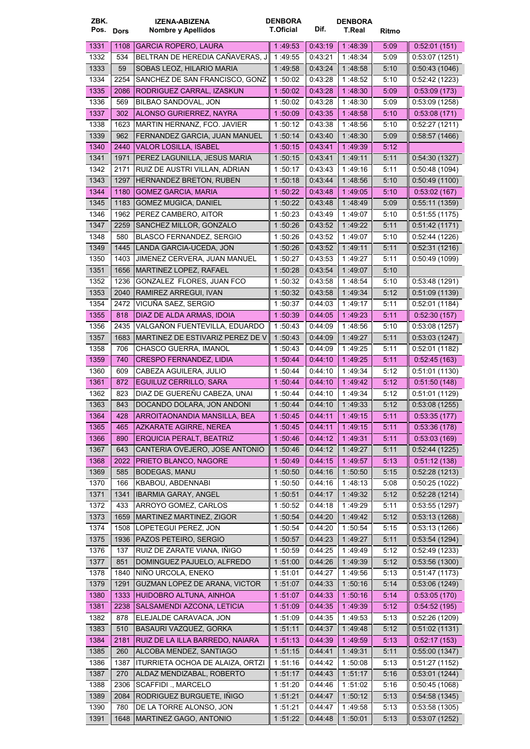| ZBK.      |      | <b>IZENA-ABIZENA</b>                 | <b>DENBORA</b>   |                    | <b>DENBORA</b>     |       |                                |
|-----------|------|--------------------------------------|------------------|--------------------|--------------------|-------|--------------------------------|
| Pos. Dors |      | <b>Nombre y Apellidos</b>            | <b>T.Oficial</b> | Dif.               | T.Real             | Ritmo |                                |
| 1331      | 1108 | <b>GARCIA ROPERO, LAURA</b>          | 1:49:53          | 0.43.19            | 1 48 39            | 5:09  | 0.52:01(151)                   |
| 1332      | 534  | BELTRAN DE HEREDIA CAÑAVERAS, J      | 1:49:55          | 0:43:21            | 1:48:34            | 5:09  | 0:53:07(1251)                  |
| 1333      | 59   | SOBAS LEOZ, HILARIO MARIA            | 1 49:58          | 0.43.24            | 1:48:58            | 5:10  | 0:50:43(1046)                  |
| 1334      | 2254 | SANCHEZ DE SAN FRANCISCO, GONZ       | 1:50:02          | 0:43:28            | 1:48:52            | 5:10  | 0.52.42(1223)                  |
| 1335      | 2086 | RODRIGUEZ CARRAL, IZASKUN            | 1:50:02          | 0.43.28            | 1:48:30            | 5:09  | 0.53.09(173)                   |
| 1336      | 569  | BILBAO SANDOVAL, JON                 | 1 50:02          | 0.43.28            | 1:48:30            | 5:09  | 0.53.09(1258)                  |
| 1337      | 302  | ALONSO GURIERREZ, NAYRA              | 1:50:09          | 0.43.35            | 1:48:58            | 5:10  | 0.53.08(171)                   |
| 1338      | 1623 | MARTIN HERNANZ, FCO. JAVIER          | 1:50:12          | 0:43:38            | 1:48:56            | 5:10  | 0.52:27(1211)                  |
| 1339      | 962  | FERNANDEZ GARCIA, JUAN MANUEL        | 1.50:14          | 0.43.40            | 1:48:30            | 5:09  | 0.58.57(1466)                  |
| 1340      | 2440 | <b>VALOR LOSILLA, ISABEL</b>         | 1:50:15          | 0.43.41            | 1:49:39            | 5:12  |                                |
| 1341      | 1971 | PEREZ LAGUNILLA, JESUS MARIA         | 1:50:15          | 0.43.41            | 1 49:11            | 5:11  | 0.54.30(1327)                  |
| 1342      | 2171 | RUIZ DE AUSTRI VILLAN, ADRIAN        | 1:50:17          | 0:43:43            | 1:49:16            | 5:11  | 0:50:48(1094)                  |
| 1343      | 1297 | HERNANDEZ BRETON, RUBEN              | 1:50:18          | 0.43.44            | 1:48:56            | 5:10  | 0.50.49(1100)                  |
| 1344      | 1180 | <b>GOMEZ GARCIA, MARIA</b>           | 1:50:22          | 0.43.48            | 1:49:05            | 5:10  | 0.53.02(167)                   |
| 1345      | 1183 | <b>GOMEZ MUGICA, DANIEL</b>          | 1:50:22          | 0:43:48            | 1:48:49            | 5:09  | 0:55:11(1359)                  |
| 1346      | 1962 | PEREZ CAMBERO, AITOR                 | 1 50:23          | 0:43:49            | 1:49:07            | 5:10  | 0.51:55(1175)                  |
| 1347      | 2259 | SANCHEZ MILLOR, GONZALO              | 1:50:26          | 0.43.52            | 1:49:22            | 5:11  | 0.51.42(1171)                  |
| 1348      | 580  | <b>BLASCO FERNANDEZ, SERGIO</b>      | 1 50:26          | 0:43:52            | 1:49:07            | 5:10  | 0.52:44(1226)                  |
| 1349      | 1445 | LANDA GARCIA-UCEDA, JON              | 1:50:26          | 0.43.52            | 1:49:11            | 5:11  | 0.52.31(1216)                  |
| 1350      | 1403 | JIMENEZ CERVERA, JUAN MANUEL         | 1:50:27          | 0:43:53            | 1:49:27            | 5:11  | 0:50:49(1099)                  |
| 1351      | 1656 | MARTINEZ LOPEZ. RAFAEL               | 1:50:28          | 0:43:54            | 1:49:07            | 5:10  |                                |
| 1352      | 1236 | GONZALEZ FLORES, JUAN FCO            | 1:50:32          | 0:43:58            | 1:48:54            | 5:10  | 0:53:48(1291)                  |
| 1353      | 2040 | RAMIREZ ARREGUI, IVAN                | 1:50:32          | 0.43.58            | 1:49:34            | 5:12  | 0.51.09(1139)                  |
| 1354      | 2472 | VICUÑA SAEZ, SERGIO                  | 1:50:37          | 0.44.03            | 1:49:17            | 5:11  | 0.52:01(1184)                  |
| 1355      | 818  | DIAZ DE ALDA ARMAS, IDOIA            | 1:50:39          | 0.44:05            | 1:49:23            | 5:11  | 0:52:30(157)                   |
| 1356      | 2435 | VALGAÑON FUENTEVILLA, EDUARDO        | 1 50:43          | 0.44.09            | 1:48:56            | 5:10  | 0.53.08(1257)                  |
| 1357      | 1683 | MARTINEZ DE ESTIVARIZ PEREZ DE V     | 1:50:43          | 0.44.09            | 1:49:27            | 5:11  | 0.53.03(1247)                  |
| 1358      | 706  | CHASCO GUERRA, IMANOL                | 1 50:43          | 0:44:09            | 1:49:25            | 5:11  | 0.52:01(1182)                  |
| 1359      | 740  | <b>CRESPO FERNANDEZ, LIDIA</b>       | 1 50:44          | 0.44:10            | 1:49:25            | 5:11  | 0.52.45(163)                   |
| 1360      | 609  | CABEZA AGUILERA, JULIO               | 1:50:44          | 0.44.10            | 1:49:34            | 5:12  | 0.51.01(1130)                  |
| 1361      | 872  | EGUILUZ CERRILLO, SARA               | 1:50:44          | 0.44.10            | 1 49 42            | 5:12  | 0.51.50(148)                   |
| 1362      | 823  | DIAZ DE GUEREÑU CABEZA, UNAI         | 1.50:44          | 0.44:10            | 1:49:34            | 5:12  | 0:51:01(1129)                  |
| 1363      | 843  | DOCANDO DOLARA, JON ANDONI           | 1:50:44          | 0.44:10            | 1:49:33            | 5:12  | 0.53:08(1255)                  |
| 1364      | 428  | ARROITAONANDIA MANSILLA, BEA         | 1:50:45          | 0.44.11            | 1:49:15            | 5:11  | 0:53:35(177)                   |
| 1365      | 465  | AZKARATE AGIRRE, NEREA               | 1:50:45          | 0.44:11            | 1:49:15            | 5:11  | 0.53.36(178)                   |
| 1366      | 890  | ERQUICIA PERALT, BEATRIZ             | 1:50:46          | 0.44.12            | 1 49 31            | 5:11  | 0.53.03(169)                   |
| 1367      | 643  | CANTERIA OVEJERO, JOSE ANTONIO       | 1:50:46          | 0.44.12            | 1:49.27            | 5:11  | 0.52.44(1225)                  |
| 1368      | 2022 | PRIETO BLANCO, NAGORE                | 1:50:49          | 0.44.15            | 1:49.57            | 5:13  | 0.51.12(138)                   |
| 1369      | 585  | <b>BODEGAS, MANU</b>                 | 1:50:50          | 0.44:16            | 1:50:50            | 5:15  | 0.52:28(1213)                  |
| 1370      | 166  | KBABOU, ABDENNABI                    | 1:50:50          | 0.44:16            | 1:48:13            | 5:08  | 0.50.25(1022)                  |
| 1371      | 1341 | <b>IBARMIA GARAY, ANGEL</b>          | 1:50:51          | 0.44.17            | 1:49:32            | 5:12  | 0.52:28(1214)                  |
| 1372      | 433  | ARROYO GOMEZ, CARLOS                 | 1:50:52          | 0.44:18            | 1:49:29            | 5:11  | 0:53:55(1297)                  |
| 1373      | 1659 | MARTINEZ MARTINEZ, ZIGOR             | 1:50:54          | 0.44.20            | 1:49:42            | 5:12  | 0:53:13(1268)                  |
| 1374      | 1508 | LOPETEGUI PEREZ, JON                 |                  |                    |                    |       | 0:53:13(1266)                  |
|           |      | PAZOS PETEIRO, SERGIO                | 1:50:54          | 0.44:20<br>0.44.23 | 1:50:54<br>1:49:27 | 5:15  |                                |
| 1375      | 1936 | RUIZ DE ZARATE VIANA, IÑIGO          | 1:50:57          |                    |                    | 5:11  | 0.53.54(1294)<br>0:52:49(1233) |
| 1376      | 137  |                                      | 1:50:59          | 0:44:25            | 1:49:49            | 5:12  |                                |
| 1377      | 851  | DOMINGUEZ PAJUELO, ALFREDO           | 1:51:00          | 0.44.26            | 1:49:39            | 5:12  | 0:53:56(1300)                  |
| 1378      | 1840 | NIÑO URCOLA, ENEKO                   | 1:51:01          | 0.44.27            | 1:49:56            | 5:13  | 0:51:47(1173)                  |
| 1379      | 1291 | <b>GUZMAN LOPEZ DE ARANA, VICTOR</b> | 1:51.07          | 0.44.33            | 1:50:16            | 5:14  | 0.53.06(1249)                  |
| 1380      | 1333 | HUIDOBRO ALTUNA, AINHOA              | 1:51:07          | 0.44:33            | 1 50 16            | 5:14  | 0.53:05(170)                   |
| 1381      | 2238 | SALSAMENDI AZCONA, LETICIA           | 1:51:09          | 0.44.35            | 1:49:39            | 5:12  | 0.54.52(195)                   |
| 1382      | 878  | ELEJALDE CARAVACA, JON               | 1:51:09          | 0:44:35            | 1:49.53            | 5:13  | 0.52.26(1209)                  |
| 1383      | 510  | BASAURI VAZQUEZ, GORKA               | 1:51:11          | 0.44.37            | 1 49 48            | 5:12  | 0.51.02(1131)                  |
| 1384      | 2181 | RUIZ DE LA ILLA BARREDO, NAIARA      | 1:51:13          | 0.44:39            | 1:49:59            | 5:13  | 0.52:17(153)                   |
| 1385      | 260  | ALCOBA MENDEZ, SANTIAGO              | 1:51:15          | 0.44:41            | 1 49:31            | 5:11  | 0.55:00(1347)                  |
| 1386      | 1387 | ITURRIETA OCHOA DE ALAIZA, ORTZI     | 1:51:16          | 0.44.42            | 1:50:08            | 5:13  | 0:51:27(1152)                  |
| 1387      | 270  | ALDAZ MENDIZABAL, ROBERTO            | 1:51:17          | 0.44.43            | 1:51:17            | 5:16  | 0:53:01(1244)                  |
| 1388      | 2306 | SCAFFIDI ., MARCELO                  | 1:51:20          | 0.44:46            | 1:51:02            | 5:16  | 0.50:45(1068)                  |
| 1389      | 2084 | RODRIGUEZ BURGUETE, IÑIGO            | 1:51:21          | 0.44:47            | 1:50:12            | 5:13  | 0.54.58(1345)                  |
| 1390      | 780  | DE LA TORRE ALONSO, JON              | 1:51:21          | 0:44:47            | 1:49:58            | 5:13  | 0.53.58(1305)                  |
| 1391      | 1648 | MARTINEZ GAGO, ANTONIO               | 1:51:22          | 0.44.48            | 1 50:01            | 5:13  | 0.53.07(1252)                  |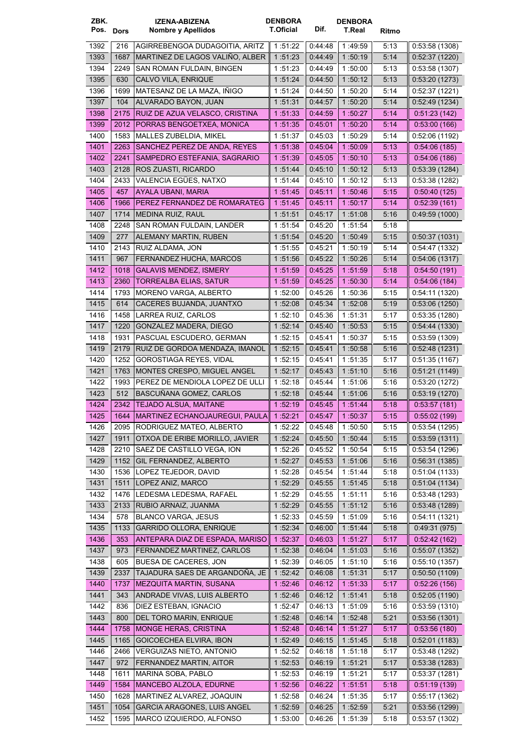| ZBK.<br>Pos. Dors |              | <b>IZENA-ABIZENA</b><br>Nombre y Apellidos               | <b>DENBORA</b><br><b>T.Oficial</b> | Dif.               | <b>DENBORA</b><br>T.Real | Ritmo        |                                |
|-------------------|--------------|----------------------------------------------------------|------------------------------------|--------------------|--------------------------|--------------|--------------------------------|
| 1392              | 216          | AGIRREBENGOA DUDAGOITIA, ARITZ                           | 1:51:22                            | 0.44.48            | 1:49:59                  | 5:13         | 0:53:58(1308)                  |
| 1393              | 1687         | MARTINEZ DE LAGOS VALIÑO, ALBER                          | 1:51:23                            | 0.44.49            | 1:50:19                  | 5:14         | 0.52:37(1220)                  |
| 1394              | 2249         | SAN ROMAN FULDAIN, BINGEN                                | 1:51:23                            | 0:44:49            | 1:50:00                  | 5:13         | 0:53:58(1307)                  |
| 1395              | 630          | CALVO VILA, ENRIQUE                                      | 1:51:24                            | 0.44:50            | 1:50:12                  | 5:13         | 0.53:20(1273)                  |
| 1396              | 1699         | MATESANZ DE LA MAZA, IÑIGO                               | 1:51:24                            | 0.44:50            | 1:50:20                  | 5:14         | 0.52.37(1221)                  |
| 1397              | 104          | ALVARADO BAYON, JUAN                                     | 1:51:31                            | 0.44.57            | 1:50:20                  | 5:14         | 0.52:49(1234)                  |
| 1398              | 2175         | RUIZ DE AZUA VELASCO, CRISTINA                           | 1 51:33                            | 0.44.59            | 1:50.27                  | 5:14         | 0:51:23(142)                   |
| 1399              | 2012         | PORRAS BENGOETXEA, MONICA                                | 1:51:35                            | 0:45.01            | 1:50:20                  | 5:14         | 0.53:00(166)                   |
| 1400              | 1583         | <b>MALLES ZUBELDIA, MIKEL</b>                            | 1:51:37                            | 0:45:03            | 1:50:29                  | 5:14         | 0:52:06(1192)                  |
| 1401              | 2263         | SANCHEZ PEREZ DE ANDA, REYES                             | 1 51 38                            | 0.45.04            | 1 50:09                  | 5:13         | 0.54:06(185)                   |
| 1402              | 2241         | SAMPEDRO ESTEFANIA, SAGRARIO                             | 1:51:39                            | 0.45.05            | 1 50:10                  | 5:13         | 0.54:06(186)                   |
| 1403              | 2128         | ROS ZUASTI, RICARDO                                      | 1:51:44                            | 0.45.10            | 1:50:12                  | 5:13         | 0.53.39(1284)                  |
| 1404              | 2433         | VALENCIA EGÜES, NATXO                                    | 1 51:44                            | 0:45:10            | 1:50:12                  | 5:13         | 0:53:38(1282)                  |
| 1405              | 457          | AYALA UBANI, MARIA                                       | 1:51:45                            | 0.45.11            | 1:50:46                  | 5:15         | 0.50.40(125)                   |
| 1406              | 1966         | PEREZ FERNANDEZ DE ROMARATEG                             | 1:51:45                            | 0.45:11            | 1:50:17                  | 5:14         | 0.52.39(161)                   |
| 1407              | 1714         | MEDINA RUIZ, RAUL                                        | 1:51:51                            | 0.45:17            | 1:51:08                  | 5:16         | 0.49.59(1000)                  |
| 1408              | 2248         | SAN ROMAN FULDAIN, LANDER                                | 1:51:54                            | 0:45:20            | 1:51:54                  | 5:18         |                                |
| 1409              | 277          | ALEMANY MARTIN, RUBEN                                    | 1:51:54                            | 0.45:20            | 1:50:49                  | 5:15         | 0.50.37(1031)                  |
| 1410              | 2143         | RUIZ ALDAMA, JON                                         | 1:51:55                            | 0:45:21            | 1:50:19                  | 5:14         | 0.54.47(1332)                  |
| 1411              | 967          | FERNANDEZ HUCHA, MARCOS                                  | 1:51:56                            | 0.45.22            | 1:50:26                  | 5:14         | 0.54.06(1317)                  |
| 1412              | 1018         | <b>GALAVIS MENDEZ, ISMERY</b>                            | 1:51:59                            | 0.45.25            | 1 51:59                  | 5:18         | 0.54:50(191)                   |
| 1413              | 2360         | <b>TORREALBA ELIAS, SATUR</b>                            | 1:51:59                            | 0.45.25            | 1:50:30                  | 5:14         | 0.54.06(184)                   |
| 1414              | 1793         | MORENO VARGA, ALBERTO                                    | 1:52:00                            | 0:45:26            | 1:50:36                  | 5:15         | 0.54:11(1320)                  |
| 1415              | 614          | CACERES BUJANDA, JUANTXO                                 | 1:52:08                            | 0.45.34            | 1:52:08                  | 5:19         | 0.53:06(1250)                  |
| 1416              | 1458         | LARREA RUIZ, CARLOS                                      | 1:52:10                            | 0:45:36            | 1:51:31                  | 5:17         | 0:53:35(1280)                  |
| 1417              | 1220         | GONZALEZ MADERA, DIEGO                                   | 1:52:14                            | 0.45:40            | 1 50:53                  | 5:15         | 0.54.44(1330)                  |
| 1418              | 1931         | PASCUAL ESCUDERO, GERMAN                                 | 1.52:15                            | 0:45:41            | 1:50:37                  | 5:15         | 0.53.59(1309)                  |
| 1419              | 2179         | RUIZ DE GORDOA MENDAZA, IMANOL                           | 1:52:15                            | 0:45.41            | 1:50:58                  | 5:16         | 0.52.48(1231)                  |
| 1420              | 1252         | <b>GOROSTIAGA REYES, VIDAL</b>                           | 1:52:15                            | 0:45:41            | 1:51:35                  | 5:17         | 0.51.35(1167)                  |
| 1421              | 1763         | MONTES CRESPO, MIGUEL ANGEL                              | 1:52:17                            | 0.45.43            | 1:51:10                  | 5:16         | 0:51:21(1149)                  |
| 1422              | 1993         | PEREZ DE MENDIOLA LOPEZ DE ULLI                          | 1:52:18                            | 0:45:44            | 1:51:06                  | 5:16         | 0:53:20(1272)                  |
| 1423<br>1424      | 512<br>2342  | BASCUÑANA GOMEZ, CARLOS<br><b>TEJADO ALSUA, MAITANE</b>  | 1:52:18<br>1:52:19                 | 0:45:44            | 1:51:06<br>1 51 44       | 5:16         | 0:53:19(1270)<br>0:53:57(181)  |
| 1425              | 1644         | MARTINEZ ECHANOJAUREGUI, PAULA                           | 1:52:21                            | 0.45.45<br>0:45:47 | 1:50:37                  | 5:18<br>5:15 | 0:55:02(199)                   |
| 1426              | 2095         | RODRIGUEZ MATEO, ALBERTO                                 | 1:52:22                            | 0.45:48            | 1:50:50                  | 5:15         | 0.53.54(1295)                  |
| 1427              | 1911         | OTXOA DE ERIBE MORILLO, JAVIER                           | 1:52:24                            | 0:45:50            | 1 50 44                  | 5:15         | 0:53:59(1311)                  |
| 1428              | 2210         | SAEZ DE CASTILLO VEGA, ION                               | 1:52:26                            | 0.45:52            | 1:50:54                  | 5:15         | 0.53.54(1296)                  |
| 1429              | 1152         | GIL FERNANDEZ, ALBERTO                                   | 1:52:27                            | 0.45.53            | 1:51:06                  | 5:16         | 0:56:31(1385)                  |
| 1430              | 1536         | LOPEZ TEJEDOR, DAVID                                     | 1:52:28                            | 0.45:54            | 1:51:44                  | 5:18         | 0.51.04(1133)                  |
| 1431              | 1511         | LOPEZ ANIZ, MARCO                                        | 1:52:29                            | 0.45.55            | 1:51:45                  | 5:18         | 0.51.04(1134)                  |
| 1432              | 1476         | LEDESMA LEDESMA, RAFAEL                                  | 1:52:29                            | 0:45:55            | 1:51:11                  | 5:16         | 0.53.48(1293)                  |
| 1433              | 2133         | RUBIO ARNAIZ, JUANMA                                     | 1:52:29                            | 0.45.55            | 1:51:12                  | 5:16         | 0.53.48(1289)                  |
| 1434              | 578          | <b>BLANCO VARGA, JESUS</b>                               | 1:52:33                            | 0.45.59            | 1:51:09                  | 5:16         | 0:54:11(1321)                  |
| 1435              | 1133         | <b>GARRIDO OLLORA, ENRIQUE</b>                           | 1 52 34                            | 0.46:00            | 1 51 44                  | 5:18         | 0.49.31(975)                   |
| 1436              | 353          | ANTEPARA DIAZ DE ESPADA, MARISO                          | 1:52:37                            | 0.46.03            | 1:51.27                  | 5:17         | 0.52.42(162)                   |
| 1437              | 973          | FERNANDEZ MARTINEZ, CARLOS                               | 1:52:38                            | 0.46.04            | 1:51:03                  | 5:16         | 0.55.07(1352)                  |
| 1438              | 605          | BUESA DE CACERES, JON                                    | 1:52:39                            | 0.46:05            | 1:51:10                  | 5:16         | 0.55:10(1357)                  |
| 1439              | 2337         | TAJADURA SAES DE ARGANDOÑA, JE                           | 1:52:42                            | 0.46:08            | 1:51:31                  | 5:17         | 0:50:50(1109)                  |
| 1440              | 1737         | MEZQUITA MARTIN, SUSANA                                  | 1:52:46                            | 0.46:12            | 1 51 33                  | 5:17         | 0.52:26(156)                   |
| 1441              | 343          | ANDRADE VIVAS, LUIS ALBERTO                              | 1:52:46                            | 0.46.12            | 1 51 41                  | 5:18         | 0.52:05(1190)                  |
| 1442              | 836          | DIEZ ESTEBAN, IGNACIO                                    | 1:52.47                            | 0.46:13            | 1:51:09                  | 5:16         | 0:53:59(1310)                  |
| 1443              | 800          | DEL TORO MARIN, ENRIQUE                                  | 1:52:48                            | 0.46.14            | 1 52:48                  | 5:21         | 0.53.56(1301)                  |
| 1444              | 1758         | <b>MONGE HERAS, CRISTINA</b>                             | 1:52:48                            | 0.46:14            | 1.51.27                  | 5:17         | 0.53.56(180)                   |
| 1445              | 1165         | GOICOECHEA ELVIRA, IBON                                  | 1:52.49                            | 0:46:15            | 1 51 45                  | 5:18         | 0.52.01(1183)                  |
| 1446              | 2466         | VERGUIZAS NIETO, ANTONIO                                 | 1:52:52                            | 0.46:18            | 1:51:18                  | 5:17         | 0.53.48(1292)                  |
| 1447              | 972          | FERNANDEZ MARTIN, AITOR                                  | 1:52:53                            | 0.46.19            | 1:51:21                  | 5:17         | 0.53.38(1283)                  |
| 1448              | 1611         | MARINA SOBA, PABLO                                       | 1:52:53                            | 0.46:19            | 1:51:21                  | 5:17         | 0.53.37(1281)                  |
| 1449              | 1584         | MANCEBO ALZOLA, EDURNE                                   | 1:52:56                            | 0.46:22            | 1 51:51                  | 5:18         | 0.51.19(139)                   |
| 1450<br>1451      | 1628<br>1054 | MARTINEZ ALVAREZ, JOAQUIN<br>GARCIA ARAGONES, LUIS ANGEL | 1:52:58                            | 0.46.24<br>0.46.25 | 1:51:35<br>1:52:59       | 5:17<br>5:21 | 0.55:17(1362)<br>0:53:56(1299) |
| 1452              | 1595         | MARCO IZQUIERDO, ALFONSO                                 | 1:52:59<br>1:53:00                 | 0:46:26            | 1:51:39                  | 5:18         | 0:53:57(1302)                  |
|                   |              |                                                          |                                    |                    |                          |              |                                |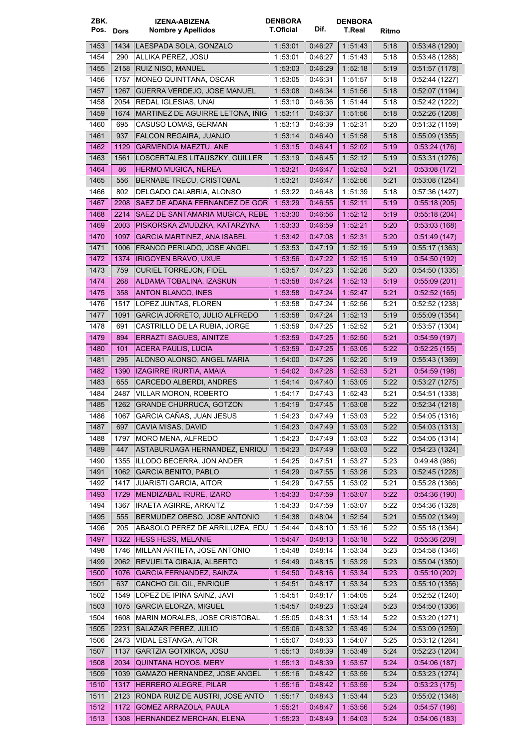| ZBK.      |      | <b>IZENA-ABIZENA</b>               | <b>DENBORA</b>   |         | <b>DENBORA</b> |       |                |
|-----------|------|------------------------------------|------------------|---------|----------------|-------|----------------|
| Pos. Dors |      | Nombre y Apellidos                 | <b>T.Oficial</b> | Dif.    | T.Real         | Ritmo |                |
| 1453      | 1434 | LAESPADA SOLA, GONZALO             | 1:53:01          | 0:46:27 | 1 51 43        | 5:18  | 0.53.48(1290)  |
| 1454      | 290  | ALLIKA PEREZ, JOSU                 | 1:53:01          | 0:46:27 | 1:51:43        | 5:18  | 0:53:48(1288)  |
| 1455      | 2158 | RUIZ NISO, MANUEL                  | 1:53:03          | 0.46.29 | 1:52:18        | 5:19  | 0:51:57(1178)  |
| 1456      | 1757 | <b>MONEO QUINTTANA, OSCAR</b>      | 1 53:05          | 0:46:31 | 1:51:57        | 5:18  | 0:52:44(1227)  |
| 1457      | 1267 | GUERRA VERDEJO, JOSE MANUEL        | 1:53:08          | 0.46:34 | 1:51:56        | 5:18  | 0.52.07(1194)  |
| 1458      | 2054 | REDAL IGLESIAS, UNAI               | 1:53:10          | 0:46:36 | 1 51:44        | 5:18  | 0.52.42(1222)  |
| 1459      | 1674 | MARTINEZ DE AGUIRRE LETONA, IÑIG   | 1:53:11          | 0:46:37 | 1:51:56        | 5:18  | 0:52:26(1208)  |
| 1460      | 695  | CASUSO LOMAS, GERMAN               | 1:53:13          | 0:46:39 | 1 52:31        | 5:20  | 0.51.32(1159)  |
| 1461      | 937  | <b>FALCON REGAIRA, JUANJO</b>      | 1:53:14          | 0.46.40 | 1:51:58        | 5:18  | 0.55.09(1355)  |
| 1462      | 1129 | <b>GARMENDIA MAEZTU, ANE</b>       | 1:53:15          | 0.46.41 | 1 52 02        | 5:19  | 0.53.24(176)   |
| 1463      | 1561 | LOSCERTALES LITAUSZKY, GUILLER     | 1.53:19          | 0.46.45 | 1:52:12        | 5:19  | 0.53.31(1276)  |
| 1464      | 86   | <b>HERMO MUGICA, NEREA</b>         | 1:53:21          | 0.46.47 | 1 52:53        | 5:21  | 0.53.08(172)   |
| 1465      | 556  | BERNABE TRECU, CRISTOBAL           | 1:53:21          | 0.46.47 | 1:52:56        | 5:21  | 0.53:08(1254)  |
| 1466      | 802  | DELGADO CALABRIA, ALONSO           | 1:53:22          | 0.46.48 | 1:51:39        | 5:18  | 0.57.36(1427)  |
| 1467      | 2208 | SAEZ DE ADANA FERNANDEZ DE GOR     | 1:53:29          | 0.46.55 | 1:52:11        | 5:19  | 0.55:18(205)   |
| 1468      | 2214 | SAEZ DE SANTAMARIA MUGICA, REBE    | 1 53 30          | 0.46.56 | 1:52:12        | 5:19  | 0.55.18(204)   |
| 1469      | 2003 | PISKORSKA ZMUDZKA, KATARZYNA       | 1 53:33          | 0.46:59 | 1:52:21        | 5:20  | 0.53.03(168)   |
| 1470      | 1097 | <b>GARCIA MARTINEZ, ANA ISABEL</b> | 1:53:42          | 0.47:08 | 1:52:31        | 5:20  | 0.51.49(147)   |
| 1471      | 1006 | FRANCO PERLADO, JOSE ANGEL         | 1 53:53          | 0.47:19 | 1:52:19        | 5:19  | 0.55:17(1363)  |
| 1472      | 1374 | <b>IRIGOYEN BRAVO, UXUE</b>        | 1:53:56          | 0.47.22 | 1:52:15        | 5:19  | 0.54:50(192)   |
| 1473      | 759  | <b>CURIEL TORREJON, FIDEL</b>      | 1:53:57          | 0.47.23 | 1:52:26        | 5:20  | 0.54.50(1335)  |
| 1474      | 268  | ALDAMA TOBALINA, IZASKUN           | 1:53:58          | 0.47.24 | 1:52:13        | 5:19  | 0.55.09(201)   |
| 1475      | 358  | <b>ANTON BLANCO, INES</b>          | 1:53:58          | 0.47.24 | 1:52.47        | 5:21  | 0.52:52(165)   |
| 1476      | 1517 | LOPEZ JUNTAS, FLOREN               | 1:53:58          | 0.47.24 | 1:52:56        | 5:21  | 0.52:52(1238)  |
| 1477      | 1091 | GARCIA JORRETO, JULIO ALFREDO      | 1:53:58          | 0.47.24 | 1:52:13        | 5:19  | 0.55:09(1354)  |
| 1478      | 691  | CASTRILLO DE LA RUBIA, JORGE       | 1:53:59          | 0.47:25 | 1:52:52        | 5:21  | 0.53.57(1304)  |
| 1479      | 894  | ERRAZTI SAGUES, AINITZE            | 1:53:59          | 0.47.25 | 1:52:50        | 5:21  | 0.54.59(197)   |
| 1480      | 101  | ACERA PAULIS, LUCIA                | 1:53:59          | 0.47.25 | 1:53:05        | 5:22  | 0:52:25(155)   |
| 1481      | 295  | ALONSO ALONSO, ANGEL MARIA         | 1 54:00          | 0.47.26 | 1:52:20        | 5:19  | 0.55.43(1369)  |
| 1482      | 1390 | IZAGIRRE IRURTIA, AMAIA            | 1:54.02          | 0.47.28 | 1 52:53        | 5:21  | 0.54.59(198)   |
| 1483      | 655  | CARCEDO ALBERDI, ANDRES            | 1:54:14          | 0.47.40 | 1:53:05        | 5:22  | 0:53:27(1275)  |
| 1484      | 2487 | <b>VILLAR MORON, ROBERTO</b>       | 1:54:17          | 0:47:43 | 1:52:43        | 5:21  | 0.54.51(1338)  |
| 1485      | 1262 | <b>GRANDE CHURRUCA, GOTZON</b>     | 1:54:19          | 0:47:45 | 1 53 08        | 5:22  | 0:52:34(1218)  |
| 1486      | 1067 | GARCIA CAÑAS, JUAN JESUS           | 1 54 23          | 0:47:49 | 1:53:03        | 5:22  | 0.54.05(1316)  |
| 1487      | 697  | CAVIA MISAS, DAVID                 | 1 54:23          | 0:47:49 | 1 53 03        | 5:22  | 0.54.03(1313)  |
| 1488      | 1797 | MORO MENA, ALFREDO                 | 1:54:23          | 0.47:49 | 1:53:03        | 5:22  | 0.54.05(1314)  |
| 1489      | 447  | ASTABURUAGA HERNANDEZ, ENRIQU      | 1:54:23          | 0.47:49 | 1:53:03        | 5:22  | 0.54.23(1324)  |
| 1490      | 1355 | ILLODO BECERRA, JON ANDER          | 1:54:25          | 0:47:51 | 1:53:27        | 5:23  | 0.49.48(986)   |
| 1491      | 1062 | <b>GARCIA BENITO, PABLO</b>        | 1:54:29          | 0.47:55 | 1:53:26        | 5:23  | 0.52.45(1228)  |
| 1492      | 1417 | <b>JUARISTI GARCIA, AITOR</b>      | 1:54:29          | 0.47:55 | 1:53:02        | 5:21  | 0.55.28(1366)  |
| 1493      | 1729 | MENDIZABAL IRURE, IZARO            | 1:54:33          | 0.47:59 | 1 53 07        | 5:22  | 0.54.36(190)   |
| 1494      | 1367 | <b>IRAETA AGIRRE, ARKAITZ</b>      | 1 54:33          | 0.47:59 | 1:53:07        | 5:22  | 0:54:36 (1328) |
| 1495      | 555  | BERMUDEZ OBESO, JOSE ANTONIO       | 1:54:38          | 0.48.04 | 1:52:54        | 5:21  | 0:55:02(1349)  |
| 1496      | 205  | ABASOLO PEREZ DE ARRILUZEA, EDU    | 1:54:44          | 0:48:10 | 1:53:16        | 5:22  | 0:55:18(1364)  |
| 1497      | 1322 | <b>HESS HESS, MELANIE</b>          | 1:54:47          | 0:48:13 | 1 53 18        | 5:22  | 0.55.36(209)   |
| 1498      | 1746 | MILLAN ARTIETA, JOSE ANTONIO       | 1:54:48          | 0.48.14 | 1 53 34        | 5:23  | 0.54.58(1346)  |
| 1499      | 2062 | REVUELTA GIBAJA, ALBERTO           | 1:54.49          | 0.48.15 | 1:53:29        | 5:23  | 0.55.04(1350)  |
| 1500      | 1076 | <b>GARCIA FERNANDEZ, SAINZA</b>    | 1:54:50          | 0.48.16 | 1:53:34        | 5:23  | 0.55:10(202)   |
| 1501      | 637  | CANCHO GIL GIL, ENRIQUE            | 1:54:51          | 0.48:17 | 1:53:34        | 5:23  | 0:55:10(1356)  |
| 1502      | 1549 | LOPEZ DE IPIÑA SAINZ, JAVI         | 1:54:51          | 0.48:17 | 1:54:05        | 5:24  | 0.52.52(1240)  |
| 1503      | 1075 | <b>GARCIA ELORZA, MIGUEL</b>       | 1:54:57          | 0.48.23 | 1 53 24        | 5:23  | 0.54.50(1336)  |
| 1504      | 1608 | MARIN MORALES, JOSE CRISTOBAL      | 1:55:05          | 0:48:31 | 1 53 14        | 5:22  | 0:53:20 (1271) |
| 1505      | 2231 | SALAZAR PEREZ, JULIO               | 1:55:06          | 0.48:32 | 1:53:49        | 5:24  | 0.53:09(1259)  |
| 1506      | 2473 | VIDAL ESTANGA, AITOR               | 1:55:07          | 0:48:33 | 1:54:07        | 5:25  | 0.53:12(1264)  |
| 1507      | 1137 | GARTZIA GOTXIKOA, JOSU             | 1:55:13          | 0.48:39 | 1 53 49        | 5:24  | 0.52:23(1204)  |
| 1508      | 2034 | <b>QUINTANA HOYOS, MERY</b>        | 1:55:13          | 0.48:39 | 1:53:57        | 5:24  | 0.54:06(187)   |
| 1509      | 1039 | GAMAZO HERNANDEZ, JOSE ANGEL       | 1:55:16          | 0.48:42 | 1 53 59        | 5:24  | 0.53.23(1274)  |
| 1510      | 1317 | HERRERO ALEGRE, PILAR              | 1:55.16          | 0.48.42 | 1:53:59        | 5:24  | 0.53.23(175)   |
| 1511      | 2123 | RONDA RUIZ DE AUSTRI, JOSE ANTO    | 1:55:17          | 0.48:43 | 1:53:44        | 5:23  | 0.55.02(1348)  |
| 1512      | 1172 | GOMEZ ARRAZOLA, PAULA              | 1:55:21          | 0.48:47 | 1:53:56        | 5:24  | 0.54.57(196)   |
| 1513      | 1308 | HERNANDEZ MERCHAN, ELENA           | 1:55:23          | 0.48.49 | 1:54:03        | 5:24  | 0.54:06(183)   |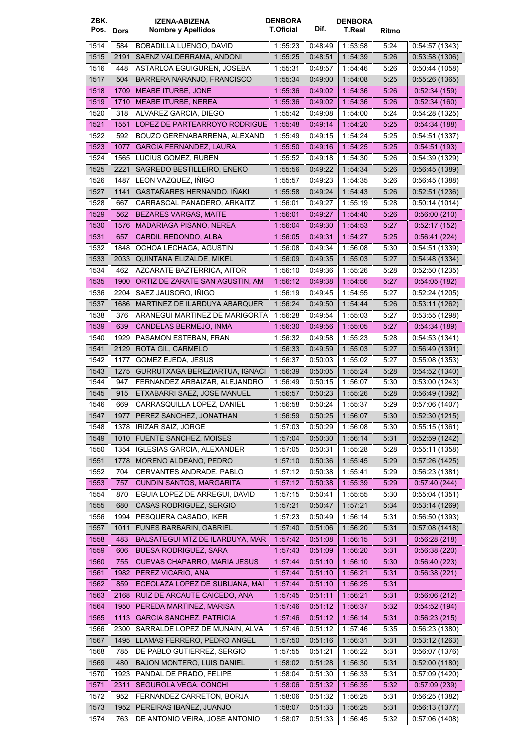| ZBK.      |      | <b>IZENA-ABIZENA</b>              | <b>DENBORA</b><br><b>T.Oficial</b> | Dif.    | <b>DENBORA</b> |       |                |
|-----------|------|-----------------------------------|------------------------------------|---------|----------------|-------|----------------|
| Pos. Dors |      | Nombre y Apellidos                |                                    |         | <b>T.Real</b>  | Ritmo |                |
| 1514      | 584  | BOBADILLA LUENGO, DAVID           | 1:55:23                            | 0:48:49 | 1:53:58        | 5:24  | 0.54.57(1343)  |
| 1515      | 2191 | SAENZ VALDERRAMA, ANDONI          | 1:55:25                            | 0.48.51 | 1 54 39        | 5:26  | 0.53.58(1306)  |
| 1516      | 448  | ASTARLOA EGUIGUREN, JOSEBA        | 1:55:31                            | 0:48:57 | 1 54 46        | 5:26  | 0:50:44(1058)  |
| 1517      | 504  | BARRERA NARANJO, FRANCISCO        | 1:55:34                            | 0.49:00 | 1 54:08        | 5:25  | 0.55:26(1365)  |
| 1518      | 1709 | <b>MEABE ITURBE, JONE</b>         | 1:55:36                            | 0.49.02 | 1 54 36        | 5:26  | 0:52:34(159)   |
| 1519      | 1710 | <b>MEABE ITURBE, NEREA</b>        | 1:55:36                            | 0.49:02 | 1:54:36        | 5:26  | 0.52:34(160)   |
| 1520      | 318  | ALVAREZ GARCIA, DIEGO             | 1 55:42                            | 0:49:08 | 1:54:00        | 5:24  | 0.54:28(1325)  |
| 1521      | 1551 | LOPEZ DE PARTEARROYO RODRIGUE     | 1.55:48                            | 0.49.14 | 1:54:20        | 5:25  | 0.54.34(188)   |
| 1522      | 592  | BOUZO GERENABARRENA. ALEXAND      | 1 55:49                            | 0.49.15 | 1:54:24        | 5:25  | 0.54.51(1337)  |
| 1523      | 1077 | <b>GARCIA FERNANDEZ, LAURA</b>    | 1:55:50                            | 0.49.16 | 1:54:25        | 5:25  | 0:54:51(193)   |
| 1524      | 1565 | LUCIUS GOMEZ, RUBEN               | 1:55:52                            | 0:49:18 | 1:54:30        | 5:26  | 0.54.39(1329)  |
| 1525      | 2221 | SAGREDO BESTILLEIRO, ENEKO        | 1 55:56                            | 0.49.22 | 1 54 34        | 5:26  | 0.56.45(1389)  |
| 1526      | 1487 | LEON VAZQUEZ, IÑIGO               | 1 55:57                            | 0.49.23 | 1:54:35        | 5:26  | 0:56:45(1388)  |
| 1527      | 1141 | GASTAÑARES HERNANDO, IÑAKI        | 1:55:58                            | 0.49.24 | 1 54 43        | 5:26  | 0.52:51(1236)  |
| 1528      | 667  | CARRASCAL PANADERO, ARKAITZ       | 1:56:01                            | 0.49.27 | 1:55:19        | 5:28  | 0:50:14(1014)  |
| 1529      | 562  | <b>BEZARES VARGAS, MAITE</b>      | 1:56:01                            | 0:49:27 | 1:54.40        | 5:26  | 0.56:00(210)   |
| 1530      | 1576 | <b>MADARIAGA PISANO, NEREA</b>    | 1 56:04                            | 0.49.30 | 1 54 53        | 5:27  | 0.52:17(152)   |
| 1531      | 657  | CARDIL REDONDO, ALBA              | 1:56:05                            | 0:49:31 | 1:54:27        | 5:25  | 0.56.41(224)   |
| 1532      | 1848 | OCHOA LECHAGA, AGUSTIN            | 1 56:08                            | 0:49:34 | 1:56:08        | 5:30  | 0.54.51(1339)  |
| 1533      | 2033 | QUINTANA ELIZALDE. MIKEL          | 1:56:09                            | 0.49.35 | 1:55:03        | 5:27  | 0.54.48(1334)  |
| 1534      | 462  | AZCARATE BAZTERRICA, AITOR        | 1:56:10                            | 0:49:36 | 1:55:26        | 5:28  | 0:52:50(1235)  |
| 1535      | 1900 | ORTIZ DE ZARATE SAN AGUSTIN, AM   | 1:56:12                            | 0.49.38 | 1:54:56        | 5:27  | 0.54:05(182)   |
| 1536      | 2204 | SAEZ JAUSORO, INIGO               | 1 56:19                            | 0:49:45 | 1:54:55        | 5:27  | 0:52:24(1205)  |
| 1537      | 1686 | MARTINEZ DE ILARDUYA ABARQUER     | 1 56:24                            | 0.49.50 | 1 54 44        | 5:26  | 0.53:11(1262)  |
| 1538      | 376  | ARANEGUI MARTINEZ DE MARIGORTA    | 1:56:28                            | 0:49:54 | 1:55:03        | 5:27  | 0.53.55(1298)  |
| 1539      | 639  | CANDELAS BERMEJO, INMA            | 1:56:30                            | 0:49:56 | 1:55:05        | 5:27  | 0:54:34(189)   |
| 1540      | 1929 | PASAMON ESTEBAN, FRAN             | 1 56:32                            | 0:49:58 | 1:55:23        | 5:28  | 0.54.53(1341)  |
| 1541      | 2129 | ROTA GIL, CARMELO                 | 1 56:33                            | 0.49.59 | 1:55:03        | 5:27  | 0.56.49(1391)  |
| 1542      | 1177 | GOMEZ EJEDA, JESUS                | 1 56:37                            | 0:50:03 | 1:55:02        | 5:27  | 0.55:08(1353)  |
| 1543      | 1275 | GURRUTXAGA BEREZIARTUA, IGNACI    | 1 56:39                            | 0:50:05 | 1:55:24        | 5:28  | 0:54:52(1340)  |
| 1544      | 947  | FERNANDEZ ARBAIZAR, ALEJANDRO     | 1 56:49                            | 0:50:15 | 1:56:07        | 5:30  | 0:53:00(1243)  |
| 1545      | 915  | ETXABARRI SAEZ, JOSE MANUEL       | 1:56:57                            | 0:50:23 | 1:55:26        | 5:28  | 0.56.49(1392)  |
| 1546      | 669  | CARRASQUILLA LOPEZ, DANIEL        | 1 56 58                            | 0:50:24 | 1:55:37        | 5:29  | 0.57:06(1407)  |
| 1547      |      | 1977   PEREZ SANCHEZ, JONATHAN    | 1:56:59                            | 0:50:25 | 1:56:07        | 5:30  | 0:52:30(1215)  |
| 1548      |      | 1378   IRIZAR SAIZ, JORGE         | 1:57:03                            | 0.50.29 | 1:56:08        | 5:30  | 0:55:15(1361)  |
| 1549      | 1010 | FUENTE SANCHEZ, MOISES            | 1 57:04                            | 0:50:30 | 1 56 14        | 5:31  | 0.52:59(1242)  |
| 1550      | 1354 | <b>IGLESIAS GARCIA, ALEXANDER</b> | 1:57:05                            | 0:50:31 | 1:55:28        | 5:28  | 0.55:11(1358)  |
| 1551      | 1778 | MORENO ALDEANO, PEDRO             | 1:57:10                            | 0.50:36 | 1:55.45        | 5:29  | 0.57:26(1425)  |
| 1552      | 704  | CERVANTES ANDRADE, PABLO          | 1:57:12                            | 0:50:38 | 1:55:41        | 5:29  | 0.56.23(1381)  |
| 1553      | 757  | <b>CUNDIN SANTOS, MARGARITA</b>   | 1:57:12                            | 0.50.38 | 1:55:39        | 5:29  | 0.57:40(244)   |
| 1554      | 870  | EGUIA LOPEZ DE ARREGUI, DAVID     | 1:57:15                            | 0:50:41 | 1:55:55        | 5:30  | 0:55:04(1351)  |
| 1555      | 680  | CASAS RODRIGUEZ, SERGIO           | 1:57:21                            | 0:50:47 | 1 57:21        | 5:34  | 0:53:14(1269)  |
| 1556      | 1994 | PESQUERA CASADO, IKER             | 1 57:23                            | 0:50:49 | 1:56:14        | 5:31  | 0:56:50(1393)  |
| 1557      | 1011 | <b>FUNES BARBARIN, GABRIEL</b>    | 1:57:40                            | 0.51.06 | 1 56:20        | 5:31  | 0.57:08(1418)  |
| 1558      | 483  | BALSATEGUI MTZ DE ILARDUYA, MAR   | 1:57:42                            | 0:51:08 | 1:56:15        | 5:31  | 0:56:28(218)   |
| 1559      | 606  | <b>BUESA RODRIGUEZ, SARA</b>      | 1 57 43                            | 0:51:09 | 1 56 20        | 5:31  | 0.56.38(220)   |
| 1560      | 755  | CUEVAS CHAPARRO, MARIA JESUS      | 1:57:44                            | 0.51.10 | 1:56:10        | 5:30  | 0.56.40(223)   |
| 1561      | 1982 | PEREZ VICARIO, ANA                | 1:57:44                            | 0.51:10 | 1:56:21        | 5:31  | 0.56.38(221)   |
| 1562      | 859  | ECEOLAZA LOPEZ DE SUBIJANA, MAI   | 1:57.44                            | 0.51.10 | 1:56.25        | 5:31  |                |
| 1563      | 2168 | RUIZ DE ARCAUTE CAICEDO, ANA      | 1:57:45                            | 0.51:11 | 1:56:21        | 5:31  | 0.56.06(212)   |
| 1564      | 1950 | PEREDA MARTINEZ, MARISA           | 1:57:46                            | 0.51.12 | 1 56 37        | 5:32  | 0.54.52(194)   |
| 1565      | 1113 | <b>GARCIA SANCHEZ, PATRICIA</b>   | 1:57:46                            | 0.51:12 | 1:56:14        | 5:31  | 0.56:23(215)   |
| 1566      | 2300 | SARRALDE LOPEZ DE MUNAIN, ALVA    | 1:57:46                            | 0:51:12 | 1:57:46        | 5:35  | 0.56.23(1380)  |
| 1567      | 1495 | LLAMAS FERRERO, PEDRO ANGEL       | 1:57:50                            | 0.51.16 | 1 56:31        | 5:31  | 0.53.12(1263)  |
| 1568      | 785  | DE PABLO GUTIERREZ, SERGIO        | 1:57:55                            | 0:51:21 | 1:56:22        | 5:31  | 0.56.07(1376)  |
| 1569      | 480  | <b>BAJON MONTERO, LUIS DANIEL</b> | 1:58:02                            | 0.51.28 | 1:56:30        | 5:31  | 0:52:00(1180)  |
| 1570      | 1923 | PANDAL DE PRADO, FELIPE           | 1:58:04                            | 0.51.30 | 1:56:33        | 5:31  | 0:57:09 (1420) |
| 1571      | 2311 | SEGUROLA VEGA, CONCHI             | 1:58.06                            | 0.51.32 | 1 56 35        | 5:32  | 0.57:09(239)   |
| 1572      | 952  | FERNANDEZ CARRETON, BORJA         | 1:58:06                            | 0.51.32 | 1:56:25        | 5:31  | 0.56.25(1382)  |
| 1573      | 1952 | PEREIRAS IBAÑEZ, JUANJO           | 1:58:07                            | 0.51.33 | 1:56:25        | 5:31  | 0.56:13(1377)  |
| 1574      | 763  | DE ANTONIO VEIRA, JOSE ANTONIO    | 1:58:07                            | 0.51.33 | 1:56:45        | 5:32  | 0:57:06(1408)  |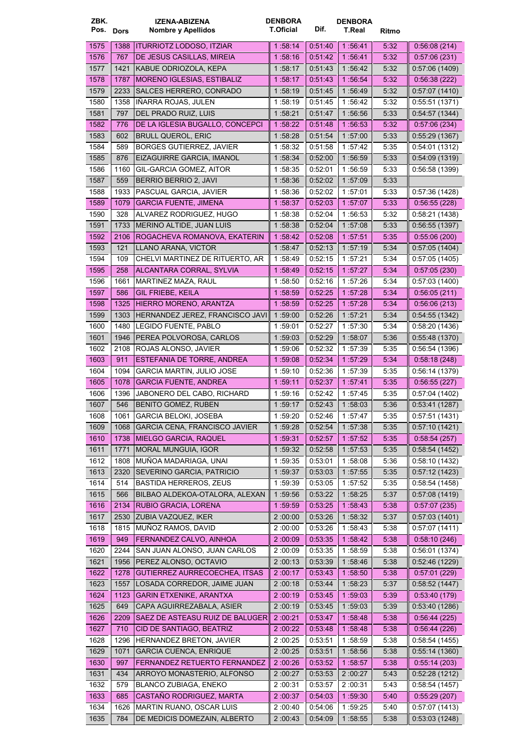| ZBK.<br>Pos. Dors |      | <b>IZENA-ABIZENA</b><br>Nombre y Apellidos | <b>DENBORA</b><br>T.Oficial | Dif.               | <b>DENBORA</b><br><b>T.Real</b> | Ritmo |               |
|-------------------|------|--------------------------------------------|-----------------------------|--------------------|---------------------------------|-------|---------------|
| 1575              | 1388 | <b>ITURRIOTZ LODOSO, ITZIAR</b>            | 1.58:14                     | 0:51:40            | 1 56 41                         | 5:32  | 0.56:08(214)  |
| 1576              | 767  | DE JESUS CASILLAS, MIREIA                  | 1:58:16                     | 0.51.42            | 1:56.41                         | 5:32  | 0.57:06(231)  |
| 1577              | 1421 | KABUE ODRIOZOLA, KEPA                      | 1 58 17                     | 0:51:43            | 1 56 42                         | 5:32  | 0.57:06(1409) |
| 1578              | 1787 | MORENO IGLESIAS, ESTIBALIZ                 | 1 58 17                     | 0.51.43            | 1 56 54                         | 5:32  | 0.56.38(222)  |
| 1579              | 2233 | SALCES HERRERO, CONRADO                    | 1:58:19                     | 0.51.45            | 1:56:49                         | 5:32  | 0.57:07(1410) |
| 1580              | 1358 | IÑARRA ROJAS, JULEN                        | 1 58:19                     | 0.51.45            | 1:56:42                         | 5:32  | 0.55.51(1371) |
| 1581              | 797  | DEL PRADO RUIZ, LUIS                       | 1 58:21                     | 0:51:47            | 1:56:56                         | 5:33  | 0.54:57(1344) |
| 1582              | 776  | DE LA IGLESIA BUGALLO, CONCEPCI            | 1 58:22                     | 0.51.48            | 1 56:53                         | 5:32  | 0.57:06(234)  |
| 1583              | 602  | <b>BRULL QUEROL, ERIC</b>                  | 1:58:28                     | 0.51.54            | 1:57:00                         | 5:33  | 0.55.29(1367) |
| 1584              | 589  | <b>BORGES GUTIERREZ, JAVIER</b>            | 1 58 32                     | 0:51:58            | 1:57:42                         | 5:35  | 0.54:01(1312) |
| 1585              | 876  | EIZAGUIRRE GARCIA, IMANOL                  | 1 58:34                     | 0.52.00            | 1:56:59                         | 5:33  | 0.54.09(1319) |
| 1586              | 1160 | GIL-GARCIA GOMEZ, AITOR                    | 1:58:35                     | 0.52:01            | 1:56:59                         | 5:33  | 0.56.58(1399) |
| 1587              | 559  | BERRIO BERRIO 2, JAVI                      | 1:58:36                     | 0.52.02            | 1 57:09                         | 5:33  |               |
| 1588              | 1933 | PASCUAL GARCIA, JAVIER                     | 1 58 36                     | 0:52:02            | 1:57:01                         | 5:33  | 0.57.36(1428) |
| 1589              | 1079 | <b>GARCIA FUENTE, JIMENA</b>               | 1:58:37                     | 0.52:03            | 1 57 07                         | 5:33  | 0.56.55(228)  |
| 1590              | 328  | ALVAREZ RODRIGUEZ, HUGO                    | 1 58 38                     | 0.52:04            | 1:56:53                         | 5:32  | 0.58:21(1438) |
| 1591              | 1733 | MERINO ALTIDE, JUAN LUIS                   | 1:58:38                     | 0.52.04            | 1 57:08                         | 5:33  | 0.56.55(1397) |
| 1592              | 2106 | ROGACHEVA ROMANOVA, EKATERIN               | 1 58:42                     | 0.52:08            | 1:57:51                         | 5.35  | 0.55:06(200)  |
| 1593              | 121  | LLANO ARANA, VICTOR                        | 1:58.47                     | 0.52.13            | 1:57:19                         | 5:34  | 0.57:05(1404) |
| 1594              | 109  | CHELVI MARTINEZ DE RITUERTO, AR            | 1 58:49                     | 0.52:15            | 1:57:21                         | 5:34  | 0:57:05(1405) |
| 1595              | 258  | ALCANTARA CORRAL, SYLVIA                   | 1 58:49                     | 0.52.15            | 1:57:27                         | 5:34  | 0:57:05(230)  |
| 1596              | 1661 | MARTINEZ MAZA, RAUL                        | 1:58:50                     | 0.52:16            | 1:57:26                         | 5:34  | 0:57:03(1400) |
| 1597              | 586  | <b>GIL FRIEBE, KEILA</b>                   | 1 58:59                     | 0.52:25            | 1:57:28                         | 5:34  | 0.56.05(211)  |
| 1598              | 1325 | HIERRO MORENO, ARANTZA                     | 1 58:59                     | 0.52:25            | 1 57 28                         | 5:34  | 0.56:06(213)  |
| 1599              | 1303 | HERNANDEZ JEREZ, FRANCISCO JAVI            | 1:59:00                     | 0.52:26            | 1:57:21                         | 5:34  | 0.54.55(1342) |
| 1600              | 1480 | LEGIDO FUENTE, PABLO                       | 1:59:01                     | 0.52:27            | 1:57:30                         | 5:34  | 0.58:20(1436) |
| 1601              | 1946 | PEREA POLVOROSA, CARLOS                    | 1:59:03                     | 0.52.29            | 1:58:07                         | 5:36  | 0.55.48(1370) |
| 1602              | 2108 | ROJAS ALONSO, JAVIER                       | 1 59:06                     | 0.52:32            | 1:57:39                         | 5:35  | 0.56:54(1396) |
| 1603              | 911  | ESTEFANIA DE TORRE, ANDREA                 | 1:59:08                     | 0.52.34            | 1:57:29                         | 5:34  | 0.58.18(248)  |
| 1604              | 1094 | <b>GARCIA MARTIN, JULIO JOSE</b>           | 1:59:10                     | 0:52:36            | 1:57:39                         | 5:35  | 0.56:14(1379) |
| 1605              | 1078 | <b>GARCIA FUENTE, ANDREA</b>               | 1:59:11                     | 0.52.37            | 1 57 41                         | 5.35  | 0.56.55(227)  |
| 1606              | 1396 | JABONERO DEL CABO, RICHARD                 | 1 59 16                     | 0:52:42            | 1:57:45                         | 5:35  | 0.57:04(1402) |
| 1607              | 546  | BENITO GOMEZ, RUBEN                        | 1:59:17                     | 0.52.43            | 1:58:03                         | 5:36  | 0.53.41(1287) |
| 1608              |      | 1061 GARCIA BELOKI, JOSEBA                 | 1:59:20                     | 0.52.46            | 1:57:47                         | 5:35  | 0.57.51(1431) |
| 1609              | 1068 | <b>GARCIA CENA, FRANCISCO JAVIER</b>       | 1:59:28                     | 0:52:54            | 1 57 38                         | 5:35  | 0:57:10(1421) |
| 1610              | 1738 | MIELGO GARCIA, RAQUEL                      | 1:59:31                     | 0.52.57            | 1 57 52                         | 5:35  | 0.58:54(257)  |
| 1611              | 1771 | MORAL MUNGUIA, IGOR                        | 1:59:32                     | 0:52:58            | 1 57 53                         | 5:35  | 0.58.54(1452) |
| 1612              | 1808 | MUÑOA MADARIAGA, UNAI                      | 1:59:35                     | 0.53.01            | 1:58:08                         | 5:36  | 0.58.10(1432) |
| 1613              | 2320 | SEVERINO GARCIA, PATRICIO                  | 1:59:37                     | 0:53:03            | 1:57:55                         | 5:35  | 0.57:12(1423) |
| 1614              | 514  | <b>BASTIDA HERREROS, ZEUS</b>              | 1:59:39                     | 0.53.05            | 1:57:52                         | 5:35  | 0.58:54(1458) |
| 1615              | 566  | BILBAO ALDEKOA-OTALORA, ALEXAN             | 1:59:56                     | 0.53.22            | 1:58:25                         | 5:37  | 0.57.08(1419) |
| 1616              | 2134 | RUBIO GRACIA, LORENA                       | 1:59:59                     | 0.53.25            | 1 58:43                         | 5:38  | 0.57:07(235)  |
| 1617              | 2530 | ZUBIA VAZQUEZ, IKER                        | 2:00:00                     | 0.53.26            | 1:58:32                         | 5:37  | 0.57:03(1401) |
| 1618              | 1815 | MUÑOZ RAMOS, DAVID                         | 2:00:00                     | 0:53:26            | 1:58:43                         | 5:38  | 0.57:07(1411) |
| 1619              | 949  | FERNANDEZ CALVO, AINHOA                    | 2:00:09                     | 0.53.35            | 1 58:42                         | 5:38  | 0.58:10(246)  |
| 1620              | 2244 | SAN JUAN ALONSO, JUAN CARLOS               | 2:00.09                     | 0:53:35            | 1 58:59                         | 5:38  | 0.56.01(1374) |
| 1621              | 1956 | PEREZ ALONSO, OCTAVIO                      | 2:00:13                     | 0:53:39            | 1 58 46                         | 5:38  | 0.52.46(1229) |
| 1622              | 1278 | <b>GUTIERREZ AURRECOECHEA, ITSAS</b>       | 2:00:17                     | 0.53.43            | 1 58:50                         | 5:38  | 0.57:01(229)  |
| 1623              |      | LOSADA CORREDOR, JAIME JUAN                |                             | 0.53.44            |                                 |       |               |
| 1624              | 1557 | <b>GARIN ETXENIKE, ARANTXA</b>             | 2:00:18                     |                    | 1 58 23                         | 5:37  | 0.58.52(1447) |
| 1625              | 1123 | CAPA AGUIRREZABALA, ASIER                  | 2:00:19                     | 0.53:45<br>0.53.45 | 1:59:03                         | 5:39  | 0.53.40(179)  |
|                   | 649  |                                            | 2:00:19                     |                    | 1:59:03                         | 5:39  | 0.53.40(1286) |
| 1626              | 2209 | SAEZ DE ASTEASU RUIZ DE BALUGER            | 2:00:21                     | 0.53.47            | 1 58 48                         | 5:38  | 0.56.44(225)  |
| 1627              | 710  | CID DE SANTIAGO, BEATRIZ                   | 2:00:22                     | 0.53.48            | 1:58:48                         | 5:38  | 0.56:44(226)  |
| 1628              | 1296 | HERNANDEZ BRETON, JAVIER                   | 2:00:25                     | 0:53:51            | 1:58:59                         | 5:38  | 0.58.54(1455) |
| 1629              | 1071 | <b>GARCIA CUENCA, ENRIQUE</b>              | 2:00.25                     | 0:53:51            | 1 58 56                         | 5:38  | 0.55:14(1360) |
| 1630              | 997  | FERNANDEZ RETUERTO FERNANDEZ               | 2:00:26                     | 0.53:52            | 1:58:57                         | 5:38  | 0.55:14(203)  |
| 1631              | 434  | ARROYO MONASTERIO, ALFONSO                 | 2:00.27                     | 0:53:53            | 2:00.27                         | 5:43  | 0.52.28(1212) |
| 1632              | 579  | BLANCO ZUBIAGA, ENEKO                      | 2:00:31                     | 0.53.57            | 2:00:31                         | 5:43  | 0.58.54(1457) |
| 1633              | 685  | CASTAÑO RODRIGUEZ, MARTA                   | 2:00:37                     | 0.54:03            | 1:59:30                         | 5:40  | 0.55:29(207)  |
| 1634              | 1626 | MARTIN RUANO, OSCAR LUIS                   | 2:00:40                     | 0.54.06            | 1:59:25                         | 5:40  | 0.57.07(1413) |
| 1635              | 784  | DE MEDICIS DOMEZAIN, ALBERTO               | 2:00:43                     | 0:54:09            | 1 58:55                         | 5:38  | 0.53.03(1248) |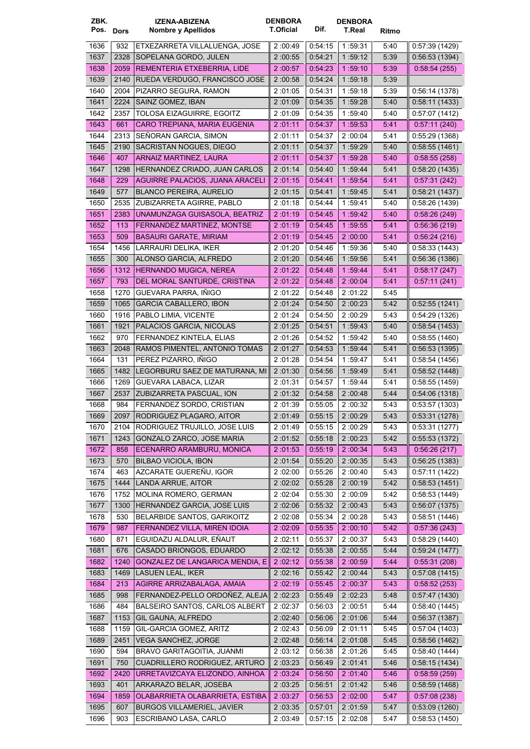| ZBK.      |      | <b>IZENA-ABIZENA</b>              | <b>DENBORA</b>   |         | <b>DENBORA</b> |       |                |
|-----------|------|-----------------------------------|------------------|---------|----------------|-------|----------------|
| Pos. Dors |      | <b>Nombre y Apellidos</b>         | <b>T.Oficial</b> | Dif.    | T.Real         | Ritmo |                |
| 1636      | 932  | ETXEZARRETA VILLALUENGA, JOSE     | 2:00:49          | 0.54.15 | 1:59:31        | 5:40  | 0.57:39(1429)  |
| 1637      | 2328 | SOPELANA GORDO, JULEN             | 2:00:55          | 0.54.21 | 1:59:12        | 5:39  | 0.56.53(1394)  |
|           |      | REMENTERIA ETXEBERRIA, LIDE       | 2:00:57          |         |                |       |                |
| 1638      | 2059 |                                   |                  | 0.54.23 | 1:59:10        | 5:39  | 0.58.54(255)   |
| 1639      | 2140 | RUEDA VERDUGO, FRANCISCO JOSE     | 2:00:58          | 0.54.24 | 1:59:18        | 5:39  |                |
| 1640      | 2004 | PIZARRO SEGURA, RAMON             | 2:01:05          | 0:54:31 | 1:59:18        | 5:39  | 0:56:14(1378)  |
| 1641      | 2224 | SAINZ GOMEZ, IBAN                 | 2:01:09          | 0:54:35 | 1:59:28        | 5:40  | 0.58:11(1433)  |
| 1642      | 2357 | TOLOSA EIZAGUIRRE, EGOITZ         | 2:01:09          | 0:54:35 | 1:59:40        | 5:40  | 0.57:07(1412)  |
| 1643      | 661  | CARO TREPIANA, MARIA EUGENIA      | 2:01:11          | 0:54:37 | 1:59:53        | 5.41  | 0.57:11(240)   |
| 1644      | 2313 | SEÑORAN GARCIA, SIMON             | 2 :01:11         | 0:54:37 | 2:00:04        | 5:41  | 0.55:29(1368)  |
| 1645      | 2190 | SACRISTAN NOGUES, DIEGO           | 2:01:11          | 0.54.37 | 1 59:29        | 5:40  | 0.58:55(1461)  |
| 1646      | 407  | ARNAIZ MARTINEZ, LAURA            | 2:01:11          | 0.54:37 | 1:59:28        | 5:40  | 0:58:55(258)   |
| 1647      | 1298 | HERNANDEZ CRIADO, JUAN CARLOS     | 2:01:14          | 0.54.40 | 1 59:44        | 5:41  | 0:58:20(1435)  |
| 1648      | 229  | AGUIRRE PALACIOS, JUANA ARACELI   | 2:01:15          | 0.54.41 | 1:59:54        | 5.41  | 0:57:31(242)   |
| 1649      | 577  | <b>BLANCO PEREIRA, AURELIO</b>    | 2:01:15          | 0.54.41 | 1:59:45        | 5:41  | 0.58:21(1437)  |
|           |      |                                   |                  |         |                |       | 0:58:26 (1439) |
| 1650      | 2535 | ZUBIZARRETA AGIRRE, PABLO         | 2:01:18          | 0.54.44 | 1:59:41        | 5:40  |                |
| 1651      | 2383 | UNAMUNZAGA GUISASOLA, BEATRIZ     | 2:01:19          | 0.54:45 | 1 59:42        | 5:40  | 0:58:26(249)   |
| 1652      | 113  | FERNANDEZ MARTINEZ, MONTSE        | 2:01:19          | 0.54.45 | 1:59:55        | 5:41  | 0.56.36(219)   |
| 1653      | 509  | BASAURI GARATE, MIRIAM            | 2:01:19          | 0.54.45 | 2:00:00        | 5.41  | 0.56:24(216)   |
| 1654      | 1456 | LARRAURI DELIKA, IKER             | 2:01:20          | 0.54.46 | 1:59:36        | 5:40  | 0.58.33(1443)  |
| 1655      | 300  | ALONSO GARCIA, ALFREDO            | 2 01:20          | 0.54.46 | 1:59:56        | 5:41  | 0.56.36(1386)  |
| 1656      | 1312 | <b>HERNANDO MUGICA, NEREA</b>     | 2:01:22          | 0.54.48 | 1 59:44        | 5:41  | 0.58.17(247)   |
| 1657      | 793  | DEL MORAL SANTURDE, CRISTINA      | 2:01:22          | 0.54.48 | 2:00:04        | 5:41  | 0.57:11(241)   |
| 1658      | 1270 | GUEVARA PARRA, IÑIGO              | 2:01:22          | 0.54.48 | 2:01:22        | 5:45  |                |
| 1659      | 1065 | <b>GARCIA CABALLERO, IBON</b>     | 2:01:24          | 0:54:50 | 2:00:23        | 5:42  | 0.52.55(1241)  |
|           |      |                                   |                  |         |                |       |                |
| 1660      | 1916 | PABLO LIMIA, VICENTE              | 2:01:24          | 0.54.50 | 2:00:29        | 5:43  | 0:54:29(1326)  |
| 1661      | 1921 | PALACIOS GARCIA, NICOLAS          | 2:01:25          | 0.54.51 | 1 59:43        | 5:40  | 0.58.54(1453)  |
| 1662      | 970  | FERNANDEZ KINTELA, ELIAS          | 2:01:26          | 0:54:52 | 1:59:42        | 5:40  | 0.58.55(1460)  |
| 1663      | 2048 | RAMOS PIMENTEL, ANTONIO TOMAS     | 2:01:27          | 0.54.53 | 1:59:44        | 5.41  | 0.56.53(1395)  |
| 1664      | 131  | PEREZ PIZARRO, IÑIGO              | 2:01:28          | 0:54:54 | 1:59:47        | 5:41  | 0.58.54(1456)  |
| 1665      | 1482 | LEGORBURU SAEZ DE MATURANA, MI    | 2:01:30          | 0.54:56 | 1 59:49        | 5:41  | 0.58.52(1448)  |
| 1666      | 1269 | GUEVARA LABACA, LIZAR             | 2:01:31          | 0:54:57 | 1:59:44        | 5:41  | 0:58:55(1459)  |
| 1667      | 2537 | ZUBIZARRETA PASCUAL, ION          | 2 01:32          | 0:54:58 | 2:00:48        | 5:44  | 0:54:06(1318)  |
| 1668      | 984  | FERNANDEZ SORDO, CRISTIAN         | 2:01:39          | 0:55:05 | 2:00:32        | 5:43  | 0:53:57(1303)  |
|           |      |                                   | 2:01:49          | 0:55:15 | 2:00:29        | 5:43  | 0:53:31(1278)  |
| 1669      |      | 2097 RODRIGUEZ PLAGARO, AITOR     |                  |         |                |       |                |
| 1670      | 2104 | RODRIGUEZ TRUJILLO, JOSE LUIS     | 2:01:49          | 0:55:15 | 2:00:29        | 5:43  | 0:53:31(1277)  |
| 1671      | 1243 | GONZALO ZARCO, JOSE MARIA         | 2:01:52          | 0.55.18 | 2:00.23        | 5:42  | 0:55:53(1372)  |
| 1672      | 858  | ECENARRO ARAMBURU, MONICA         | 2:01.53          | 0.55.19 | 2 :00:34       | 5:43  | 0:56:26(217)   |
| 1673      | 570  | <b>BILBAO VICIOLA, IBON</b>       | 2:01:54          | 0.55.20 | 2:00:35        | 5:43  | 0:56:25(1383)  |
| 1674      | 463  | AZCARATE GUEREÑU, IGOR            | 2:02:00          | 0.55.26 | 2:00:40        | 5:43  | 0.57:11(1422)  |
| 1675      | 1444 | LANDA ARRUE, AITOR                | 2:02:02          | 0.55.28 | 2:00:19        | 5:42  | 0.58.53(1451)  |
| 1676      | 1752 | MOLINA ROMERO, GERMAN             | 2:02:04          | 0.55.30 | 2:00:09        | 5:42  | 0.58.53(1449)  |
| 1677      | 1300 | HERNANDEZ GARCIA, JOSE LUIS       | 2:02:06          | 0:55:32 | 2:00:43        | 5:43  | 0.56:07(1375)  |
| 1678      | 530  | BELARBIDE SANTOS, GARIKOITZ       | 2:02:08          | 0.55.34 | 2:00:28        | 5:43  | 0:58:51(1446)  |
| 1679      |      | FERNANDEZ VILLA, MIREN IDOIA      | 2:02:09          | 0.55.35 | 2:00:10        | 5:42  | 0.57:36(243)   |
|           | 987  |                                   |                  |         |                |       |                |
| 1680      | 871  | EGUIDAZU ALDALUR, EÑAUT           | 2:02:11          | 0:55:37 | 2:00:37        | 5:43  | 0.58.29(1440)  |
| 1681      | 676  | CASADO BRIONGOS, EDUARDO          | 2:02:12          | 0:55:38 | 2:00:55        | 5:44  | 0.59.24(1477)  |
| 1682      | 1240 | GONZALEZ DE LANGARICA MENDIA, E   | 2:02:12          | 0:55:38 | 2 :00:59       | 5:44  | 0.55.31(208)   |
| 1683      | 1469 | LASUEN LEAL, IKER                 | 2:02:16          | 0.55.42 | 2:00:44        | 5:43  | 0.57:08(1415)  |
| 1684      | 213  | AGIRRE ARRIZABALAGA, AMAIA        | 2:02:19          | 0.55:45 | 2:00:37        | 5:43  | 0.58.52(253)   |
| 1685      | 998  | FERNANDEZ-PELLO ORDOÑEZ, ALEJA    | 2:02:23          | 0:55:49 | 2:02.23        | 5:48  | 0.57:47(1430)  |
| 1686      | 484  | BALSEIRO SANTOS, CARLOS ALBERT    | 2:02:37          | 0:56:03 | 2:00:51        | 5:44  | 0.58.40(1445)  |
| 1687      | 1153 | GIL GAUNA, ALFREDO                | 2:02:40          | 0.56.06 | 2:01:06        | 5:44  | 0:56:37(1387)  |
| 1688      | 1159 | GIL-GARCIA GOMEZ, ARITZ           | 2:02:43          | 0.56.09 | 2:01:11        |       | 0:57:04(1403)  |
|           |      |                                   |                  |         |                | 5:45  |                |
| 1689      | 2451 | VEGA SANCHEZ, JORGE               | 2:02:48          | 0.56:14 | 2 :01:08       | 5:45  | 0.58.56(1462)  |
| 1690      | 594  | BRAVO GARITAGOITIA, JUANMI        | 2:03:12          | 0.56:38 | 2:01:26        | 5:45  | 0.58:40(1444)  |
| 1691      | 750  | CUADRILLERO RODRIGUEZ, ARTURO     | 2:03:23          | 0.56.49 | 2:01:41        | 5:46  | 0.58.15(1434)  |
| 1692      | 2420 | URRETAVIZCAYA ELIZONDO, AINHOA    | 2 :03:24         | 0:56:50 | 2 01:40        | 5:46  | 0.58.59(259)   |
| 1693      | 401  | ARKARAZO BELAR, JOSEBA            | 2:03:25          | 0.56.51 | 2:01:42        | 5:46  | 0.58.59(1468)  |
| 1694      | 1859 | OLABARRIETA OLABARRIETA, ESTIBA   | 2:03:27          | 0.56:53 | 2:02:00        | 5:47  | 0.57:08(238)   |
| 1695      | 607  | <b>BURGOS VILLAMERIEL, JAVIER</b> | 2:03:35          | 0.57.01 | 2:01:59        | 5:47  | 0.53.09(1260)  |
| 1696      | 903  | ESCRIBANO LASA, CARLO             | 2:03:49          | 0.57:15 | 2:02:08        | 5:47  | 0:58:53(1450)  |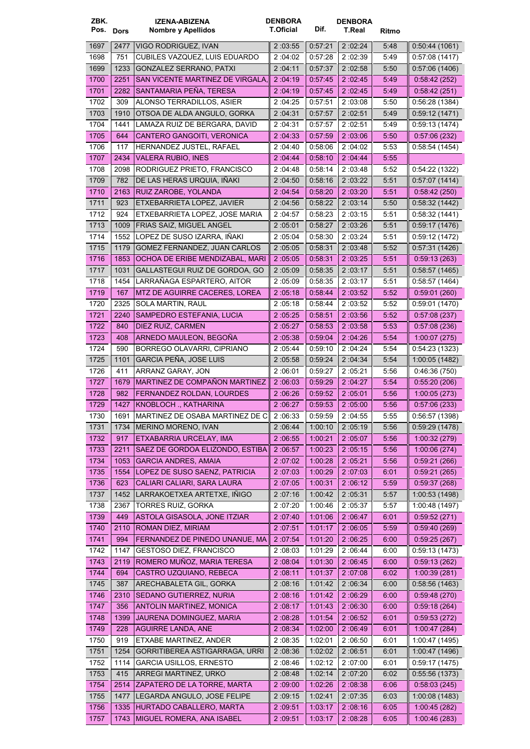| ZBK. |           | <b>IZENA-ABIZENA</b>                 | <b>DENBORA</b> |         | <b>DENBORA</b> |       |                |
|------|-----------|--------------------------------------|----------------|---------|----------------|-------|----------------|
|      | Pos. Dors | <b>Nombre y Apellidos</b>            | T.Oficial      | Dif.    | <b>T.Real</b>  | Ritmo |                |
| 1697 | 2477      | VIGO RODRIGUEZ, IVAN                 | 2:03:55        | 0.57.21 | 2:02:24        | 5:48  | 0.50.44(1061)  |
| 1698 | 751       | CUBILES VAZQUEZ, LUIS EDUARDO        | 2:04:02        | 0.57:28 | 2:02:39        | 5:49  | 0:57:08(1417)  |
| 1699 | 1233      | <b>GONZALEZ SERRANO, PATXI</b>       | 2:04:11        | 0.57.37 | 2:02:58        | 5:50  | 0.57:06(1406)  |
| 1700 | 2251      | SAN VICENTE MARTINEZ DE VIRGALA,     | 2:04:19        | 0.57.45 | 2:02:45        | 5:49  | 0.58.42(252)   |
| 1701 | 2282      | SANTAMARIA PEÑA, TERESA              | 2:04:19        | 0.57.45 | 2:02:45        | 5:49  | 0.58:42(251)   |
|      |           |                                      |                |         |                |       |                |
| 1702 | 309       | ALONSO TERRADILLOS, ASIER            | 2:04:25        | 0.57:51 | 2:03:08        | 5:50  | 0.56.28(1384)  |
| 1703 | 1910      | OTSOA DE ALDA ANGULO, GORKA          | 2:04:31        | 0.57:57 | 2:02:51        | 5:49  | 0:59:12(1471)  |
| 1704 | 1441      | LAMAZA RUIZ DE BERGARA, DAVID        | 2 :04:31       | 0:57:57 | 2:02:51        | 5:49  | 0.59.13(1474)  |
| 1705 | 644       | CANTERO GANGOITI, VERONICA           | 2:04:33        | 0.57.59 | 2:03:06        | 5:50  | 0.57:06(232)   |
| 1706 | 117       | HERNANDEZ JUSTEL, RAFAEL             | 2:04:40        | 0:58:06 | 2:04:02        | 5:53  | 0.58.54(1454)  |
| 1707 | 2434      | <b>VALERA RUBIO, INES</b>            | 2:04:44        | 0.58:10 | 2:04.44        | 5:55  |                |
| 1708 | 2098      | RODRIGUEZ PRIETO, FRANCISCO          | 2:04:48        | 0:58:14 | 2:03:48        | 5:52  | 0:54:22(1322)  |
| 1709 | 782       | DE LAS HERAS URQUIA, IÑAKI           | 2:04:50        | 0.58.16 | 2:03:22        | 5:51  | 0.57.07(1414)  |
| 1710 | 2163      | RUIZ ZAROBE, YOLANDA                 | 2 04:54        | 0.58.20 | 2:03:20        | 5:51  | 0:58:42(250)   |
| 1711 | 923       | ETXEBARRIETA LOPEZ, JAVIER           | 2:04:56        | 0:58:22 | 2 :03:14       | 5:50  | 0.58.32(1442)  |
| 1712 | 924       | ETXEBARRIETA LOPEZ, JOSE MARIA       | 2:04:57        | 0:58:23 | 2:03:15        | 5:51  | 0.58.32(1441)  |
| 1713 | 1009      | FRIAS SAIZ, MIGUEL ANGEL             | 2:05:01        | 0.58.27 | 2:03:26        | 5:51  | 0.59:17(1476)  |
| 1714 | 1552      | LOPEZ DE SUSO IZARRA, IÑAKI          | 2:05:04        | 0.58:30 | 2:03:24        | 5:51  | 0.59:12(1472)  |
| 1715 | 1179      | GOMEZ FERNANDEZ, JUAN CARLOS         | 2:05:05        | 0:58:31 | 2:03:48        | 5:52  | 0.57.31(1426)  |
| 1716 | 1853      | OCHOA DE ERIBE MENDIZABAL, MARI      | 2:05:05        | 0:58:31 | 2:03:25        | 5:51  | 0.59.13(263)   |
| 1717 | 1031      | GALLASTEGUI RUIZ DE GORDOA, GO       | 2:05:09        | 0:58:35 | 2:03:17        | 5:51  | 0.58.57(1465)  |
| 1718 | 1454      | LARRAÑAGA ESPARTERO, AITOR           | 2:05:09        | 0.58.35 | 2:03:17        | 5:51  | 0.58.57(1464)  |
| 1719 | 167       | MTZ DE AGUIRRE CACERES, LOREA        | 2:05:18        | 0.58.44 | 2 03 52        | 5:52  | 0.59:01(260)   |
| 1720 | 2325      | SOLA MARTIN, RAUL                    | 2:05:18        | 0.58.44 | 2:03:52        | 5:52  | 0.59:01(1470)  |
| 1721 | 2240      | SAMPEDRO ESTEFANIA, LUCIA            | 2:05:25        | 0.58:51 | 2:03:56        | 5:52  | 0.57:08(237)   |
| 1722 | 840       | DIEZ RUIZ, CARMEN                    | 2:05:27        | 0.58:53 | 2:03:58        | 5:53  | 0.57:08(236)   |
|      |           |                                      |                |         |                |       |                |
| 1723 | 408       | ARNEDO MAULEON, BEGOÑA               | 2:05:38        | 0.59.04 | 2 :04:26       | 5:54  | 1:00:07(275)   |
| 1724 | 590       | BORREGO OLAVARRI, CIPRIANO           | 2:05:44        | 0.59.10 | 2:04:24        | 5:54  | 0.54.23(1323)  |
| 1725 | 1101      | <b>GARCIA PEÑA, JOSE LUIS</b>        | 2:05:58        | 0.59.24 | 2:04:34        | 5:54  | 1:00:05(1482)  |
| 1726 | 411       | ARRANZ GARAY, JON                    | 2:06:01        | 0:59:27 | 2:05:21        | 5:56  | 0.46:36(750)   |
| 1727 | 1679      | MARTINEZ DE COMPAÑON MARTINEZ        | 2:06:03        | 0.59.29 | 2:04:27        | 5:54  | 0.55:20(206)   |
| 1728 | 982       | FERNANDEZ ROLDAN, LOURDES            | 2:06.26        | 0.59.52 | 2:05:01        | 5:56  | 1:00:05(273)   |
| 1729 | 1427      | KNOBLOCH ., KATHARINA                | 2:06:27        | 0.59.53 | 2:05:00        | 5.56  | 0.57:06(233)   |
| 1730 |           | 1691 MARTINEZ DE OSABA MARTINEZ DE C | 2:06:33        | 0:59:59 | 2:04:55        | 5:55  | 0.56:57(1398)  |
| 1731 | 1734      | MERINO MORENO, IVAN                  | 2:06:44        | 1:00:10 | 2 :05:19       | 5:56  | 0.59.29(1478)  |
| 1732 | 917       | ETXABARRIA URCELAY, IMA              | 2:06:55        | 1:00:21 | 2:05:07        | 5:56  | 1:00:32(279)   |
| 1733 | 2211      | SAEZ DE GORDOA ELIZONDO, ESTIBA      | 2:06:57        | 1:00:23 | 2 :05:15       | 5:56  | 1:00:06(274)   |
| 1734 | 1053      | <b>GARCIA ANDRES, AMAIA</b>          | 2:07:02        | 1.00.28 | 2:05:21        | 5:56  | 0.59.21(266)   |
| 1735 | 1554      | LOPEZ DE SUSO SAENZ, PATRICIA        | 2:07:03        | 1:00:29 | 2:07:03        | 6:01  | 0.59:21(265)   |
| 1736 | 623       | CALIARI CALIARI, SARA LAURA          | 2:07:05        | 1:00:31 | 2:06:12        | 5:59  | 0.59.37(268)   |
| 1737 | 1452      | LARRAKOETXEA ARTETXE, IÑIGO          | 2:07:16        | 1.00.42 | 2:05:31        | 5:57  | 1:00:53(1498)  |
| 1738 | 2367      | <b>TORRES RUIZ, GORKA</b>            | 2:07:20        | 1:00:46 | 2:05:37        | 5:57  | 1:00:48 (1497) |
| 1739 | 449       | ASTOLA GISASOLA, JONE ITZIAR         | 2:07:40        | 1.01.06 | 2:06:47        | 6:01  | 0:59:52(271)   |
| 1740 | 2110      | ROMAN DIEZ, MIRIAM                   | 2:07:51        | 1.01.17 | 2:06:05        | 5:59  | 0.59.40(269)   |
| 1741 | 994       | FERNANDEZ DE PINEDO UNANUE, MA       | 2 .07 .54      | 1:01:20 | 2:06:25        | 6:00  | 0:59:25(267)   |
| 1742 | 1147      | <b>GESTOSO DIEZ, FRANCISCO</b>       | 2:08:03        | 1:01:29 | 2:06:44        | 6:00  | 0.59.13(1473)  |
| 1743 | 2119      | ROMERO MUÑOZ, MARIA TERESA           | 2:08.04        | 1:01:30 | 2 .06:45       | 6:00  | 0.59.13(262)   |
| 1744 | 694       | CASTRO UZQUIANO, REBECA              | 2:08:11        | 1.01.37 | 2:07:08        | 6:02  | 1:00:39(281)   |
| 1745 | 387       | ARECHABALETA GIL, GORKA              | 2:08:16        | 1.01.42 | 2:06:34        | 6:00  | 0.58.56(1463)  |
| 1746 |           | SEDANO GUTIERREZ, NURIA              |                |         |                |       |                |
|      | 2310      |                                      | 2:08:16        | 1 01 42 | 2 06:29        | 6:00  | 0.59.48(270)   |
| 1747 | 356       | ANTOLIN MARTINEZ, MONICA             | 2:08.17        | 1.01.43 | 2:06:30        | 6:00  | 0.59.18(264)   |
| 1748 | 1399      | JAURENA DOMINGUEZ, MARIA             | 2:08:28        | 1:01:54 | 2 .06:52       | 6:01  | 0.59.53(272)   |
| 1749 | 228       | AGUIRRE LANDA, ANE                   | 2:08:34        | 1.02.00 | 2 :06:49       | 6:01  | 1:00.47(284)   |
| 1750 | 919       | ETXABE MARTINEZ, ANDER               | 2:08:35        | 1:02:01 | 2:06:50        | 6:01  | 1:00:47 (1495) |
| 1751 | 1254      | GORRITIBEREA ASTIGARRAGA, URRI       | 2:08:36        | 1:02:02 | 2:06:51        | 6:01  | 1:00:47 (1496) |
| 1752 | 1114      | <b>GARCIA USILLOS, ERNESTO</b>       | 2:08:46        | 1:02:12 | 2:07:00        | 6:01  | 0.59:17(1475)  |
| 1753 | 415       | ARREGI MARTINEZ, URKO                | 2:08:48        | 1:02:14 | 2:07:20        | 6:02  | 0:55:56(1373)  |
| 1754 | 2514      | ZAPATERO DE LA TORRE, MARTA          | 2:09:00        | 1.02.26 | 2 :08:38       | 6:06  | 0.58.03(245)   |
| 1755 | 1477      | LEGARDA ANGULO, JOSE FELIPE          | 2:09:15        | 1.02.41 | 2:07:35        | 6:03  | 1:00:08 (1483) |
| 1756 | 1335      | HURTADO CABALLERO, MARTA             | 2:09:51        | 1.03.17 | 2:08:16        | 6:05  | 1:00:45(282)   |
| 1757 | 1743      | MIGUEL ROMERA, ANA ISABEL            | 2:09:51        | 1.03.17 | 2:08:28        | 6:05  | 1:00:46(283)   |